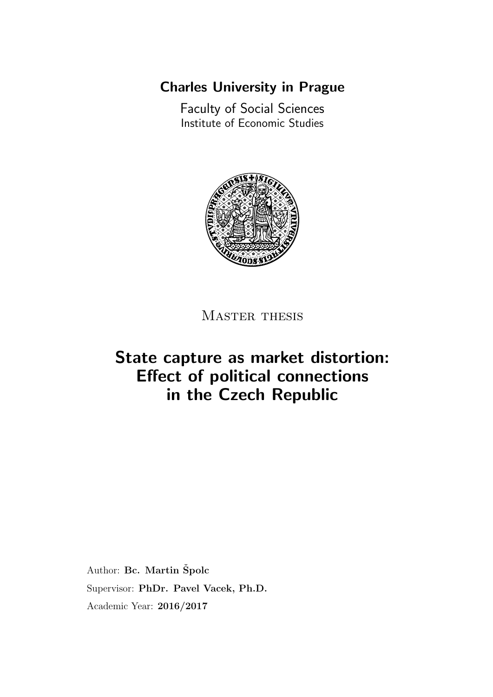## [Charles University in Prague](http://www.cuni.cz/UKENG-7.html)

[Faculty of Social Sciences](http://fsveng.fsv.cuni.cz/) [Institute of Economic Studies](http://ies.fsv.cuni.cz/)



MASTER THESIS

# State capture as market distortion: Effect of political connections in the Czech Republic

Author: [Bc. Martin](martin@spolc.cz) Špolc Supervisor: [PhDr. Pavel Vacek, Ph.D.](http://ies.fsv.cuni.cz/en/staff/vacek) Academic Year: 2016/2017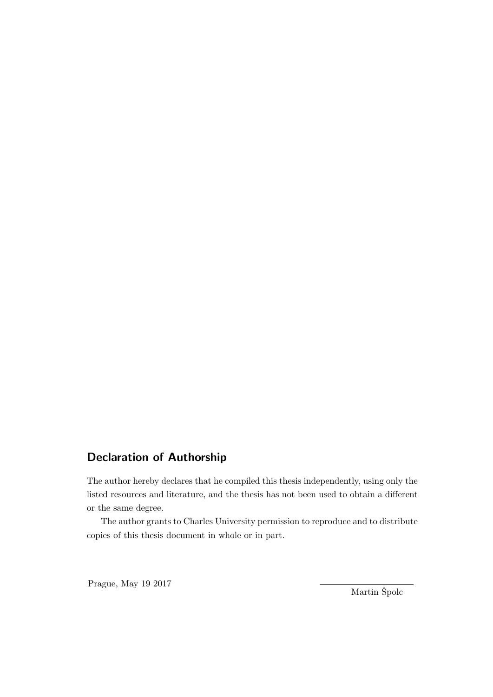## Declaration of Authorship

The author hereby declares that he compiled this thesis independently, using only the listed resources and literature, and the thesis has not been used to obtain a different or the same degree.

The author grants to Charles University permission to reproduce and to distribute copies of this thesis document in whole or in part.

Prague, May 19 2017

Martin Spolc ˇ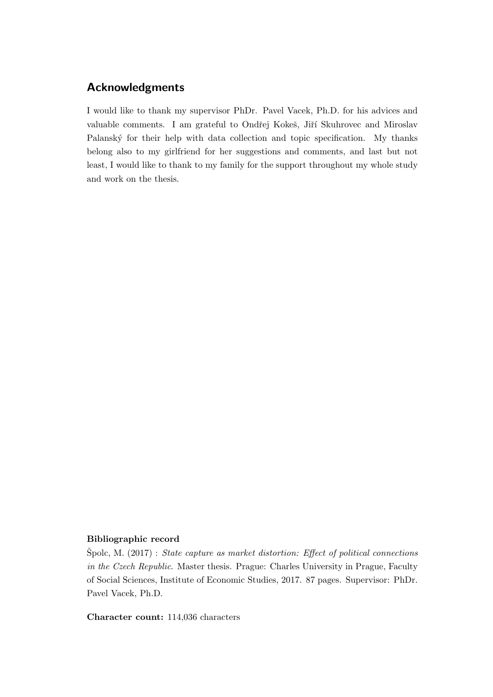## Acknowledgments

I would like to thank my supervisor PhDr. Pavel Vacek, Ph.D. for his advices and valuable comments. I am grateful to Ondřej Kokeš, Jiří Skuhrovec and Miroslav Palanský for their help with data collection and topic specification. My thanks belong also to my girlfriend for her suggestions and comments, and last but not least, I would like to thank to my family for the support throughout my whole study and work on the thesis.

### Bibliographic record

 $\rm Spolc, M.$  (2017) : *State capture as market distortion: Effect of political connections* in the Czech Republic. Master thesis. Prague: Charles University in Prague, Faculty of Social Sciences, Institute of Economic Studies, 2017. 87 pages. Supervisor: PhDr. Pavel Vacek, Ph.D.

Character count: 114,036 characters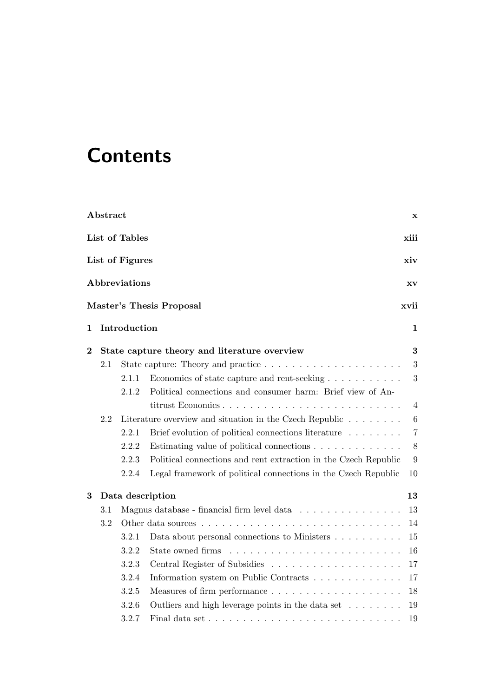# **Contents**

|          | Abstract                      |                 |                                                                                                    | $\mathbf x$      |  |
|----------|-------------------------------|-----------------|----------------------------------------------------------------------------------------------------|------------------|--|
|          | <b>List of Tables</b><br>xiii |                 |                                                                                                    |                  |  |
|          |                               | List of Figures |                                                                                                    | xiv              |  |
|          |                               | Abbreviations   |                                                                                                    | XV               |  |
|          |                               |                 | Master's Thesis Proposal                                                                           | xvii             |  |
| 1        |                               | Introduction    |                                                                                                    | 1                |  |
| $\bf{2}$ |                               |                 | State capture theory and literature overview                                                       | 3                |  |
|          | 2.1                           |                 |                                                                                                    | 3                |  |
|          |                               | 2.1.1           | Economics of state capture and rent-seeking $\dots \dots \dots$                                    | $\boldsymbol{3}$ |  |
|          |                               | 2.1.2           | Political connections and consumer harm: Brief view of An-                                         |                  |  |
|          |                               |                 |                                                                                                    | $\overline{4}$   |  |
|          | 2.2                           |                 | Literature overview and situation in the Czech Republic $\dots \dots$                              | $\,6\,$          |  |
|          |                               | 2.2.1           | Brief evolution of political connections literature                                                | $\overline{7}$   |  |
|          |                               | 2.2.2           | Estimating value of political connections $\dots \dots \dots \dots$                                | $8\,$            |  |
|          |                               | 2.2.3           | Political connections and rent extraction in the Czech Republic                                    | 9                |  |
|          |                               | 2.2.4           | Legal framework of political connections in the Czech Republic                                     | 10               |  |
| 3        |                               |                 | Data description                                                                                   | 13               |  |
|          | 3.1                           |                 | Magnus database - financial firm level data                                                        | 13               |  |
|          | 3.2                           |                 |                                                                                                    | 14               |  |
|          |                               | 3.2.1           | Data about personal connections to Ministers                                                       | 15               |  |
|          |                               | 3.2.2           | State owned firms $\ldots$ $\ldots$ $\ldots$ $\ldots$ $\ldots$ $\ldots$ $\ldots$ $\ldots$ $\ldots$ | 16               |  |
|          |                               | 3.2.3           |                                                                                                    | 17               |  |
|          |                               | 3.2.4           | Information system on Public Contracts                                                             | 17               |  |
|          |                               | 3.2.5           |                                                                                                    | 18               |  |
|          |                               | 3.2.6           | Outliers and high leverage points in the data set $\dots \dots$                                    | 19               |  |
|          |                               | 3.2.7           | Final data set $\dots \dots \dots \dots \dots \dots \dots \dots \dots \dots \dots \dots$           | 19               |  |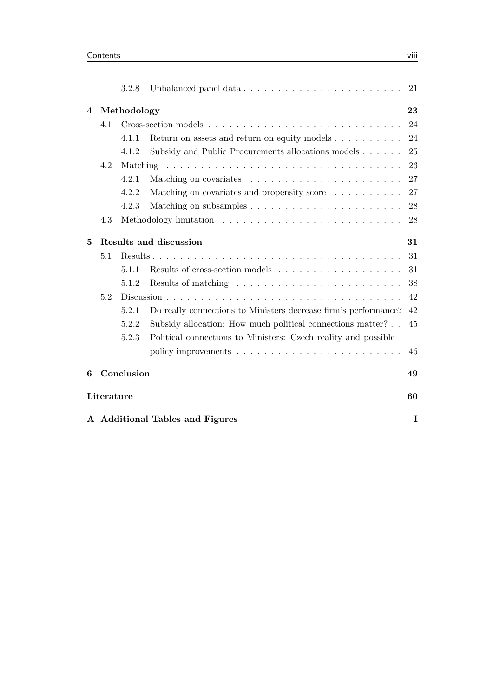|   |            | 3.2.8       |                                                                       | 21 |
|---|------------|-------------|-----------------------------------------------------------------------|----|
| 4 |            | Methodology |                                                                       | 23 |
|   | 4.1        |             |                                                                       | 24 |
|   |            | 4.1.1       | Return on assets and return on equity models $\dots \dots \dots$      | 24 |
|   |            | 4.1.2       | Subsidy and Public Procurements allocations models                    | 25 |
|   | 4.2        |             |                                                                       | 26 |
|   |            | 4.2.1       |                                                                       | 27 |
|   |            | 4.2.2       | Matching on covariates and propensity score                           | 27 |
|   |            | 4.2.3       |                                                                       | 28 |
|   | 4.3        |             |                                                                       | 28 |
| 5 |            |             | Results and discussion                                                | 31 |
|   | 5.1        |             |                                                                       | 31 |
|   |            | 5.1.1       |                                                                       | 31 |
|   |            | 5.1.2       | Results of matching $\dots \dots \dots \dots \dots \dots \dots \dots$ | 38 |
|   | 5.2        |             |                                                                       | 42 |
|   |            | 5.2.1       | Do really connections to Ministers decrease firm's performance?       | 42 |
|   |            | 5.2.2       | Subsidy allocation: How much political connections matter?            | 45 |
|   |            | 5.2.3       | Political connections to Ministers: Czech reality and possible        |    |
|   |            |             |                                                                       | 46 |
| 6 |            | Conclusion  |                                                                       | 49 |
|   | Literature |             |                                                                       | 60 |
|   |            |             | A Additional Tables and Figures                                       | Ι  |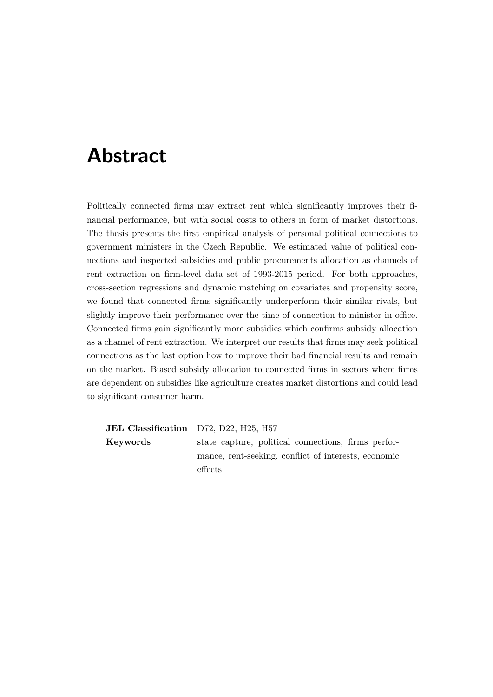# <span id="page-9-0"></span>Abstract

Politically connected firms may extract rent which significantly improves their financial performance, but with social costs to others in form of market distortions. The thesis presents the first empirical analysis of personal political connections to government ministers in the Czech Republic. We estimated value of political connections and inspected subsidies and public procurements allocation as channels of rent extraction on firm-level data set of 1993-2015 period. For both approaches, cross-section regressions and dynamic matching on covariates and propensity score, we found that connected firms significantly underperform their similar rivals, but slightly improve their performance over the time of connection to minister in office. Connected firms gain significantly more subsidies which confirms subsidy allocation as a channel of rent extraction. We interpret our results that firms may seek political connections as the last option how to improve their bad financial results and remain on the market. Biased subsidy allocation to connected firms in sectors where firms are dependent on subsidies like agriculture creates market distortions and could lead to significant consumer harm.

JEL Classification [D72,](http://ideas.repec.org/j/D72.html) [D22,](http://ideas.repec.org/j/D22.html) [H25,](http://ideas.repec.org/j/H25.html) [H57](http://ideas.repec.org/j/H57.html)

Keywords [state capture,](http://ideas.repec.org/cgi-bin/htsearch?q=state capture) [political connections,](http://ideas.repec.org/cgi-bin/htsearch?q=political connections) [firms perfor](http://ideas.repec.org/cgi-bin/htsearch?q=firms performance)[mance,](http://ideas.repec.org/cgi-bin/htsearch?q=firms performance) [rent-seeking,](http://ideas.repec.org/cgi-bin/htsearch?q=rent-seeking) [conflict of interests,](http://ideas.repec.org/cgi-bin/htsearch?q=conflict of interests) [economic](http://ideas.repec.org/cgi-bin/htsearch?q=economic effects) [effects](http://ideas.repec.org/cgi-bin/htsearch?q=economic effects)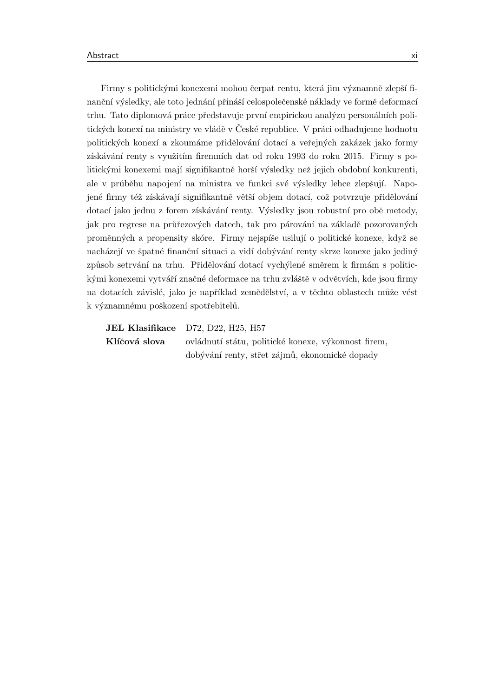Firmy s politickými konexemi mohou čerpat rentu, která jim významně zlepší finanční výsledky, ale toto jednání přináší celospolečenské náklady ve formě deformací trhu. Tato diplomová práce představuje první empirickou analýzu personálních politických konexí na ministry ve vládě v České republice. V práci odhadujeme hodnotu politických konexí a zkoumáme přidělování dotací a veřejných zakázek jako formy získávání renty s využitím firemních dat od roku 1993 do roku 2015. Firmy s politickými konexemi mají signifikantně horší výsledky než jejich obdobní konkurenti, ale v průběhu napojení na ministra ve funkci své výsledky lehce zlepšují. Napojené firmy též získávají signifikantně větší objem dotací, což potvrzuje přidělování dotací jako jednu z forem získávání renty. Výsledky jsou robustní pro obě metody, jak pro regrese na průřezových datech, tak pro párování na základě pozorovaných proměnných a propensity skóre. Firmy nejspíše usilují o politické konexe, když se nacházejí ve špatné finanční situaci a vidí dobývání renty skrze konexe jako jediný způsob setrvání na trhu. Přidělování dotací vychýlené směrem k firmám s politickými konexemi vytváří značné deformace na trhu zvláště v odvětvích, kde jsou firmy na dotacích závislé, jako je například zemědělství, a v těchto oblastech může vést k významnému poškození spotřebitelů.

|               | JEL Klasifikace $D72$ , $D22$ , $H25$ , $H57$       |
|---------------|-----------------------------------------------------|
| Klíčová slova | ovládnutí státu, politické konexe, výkonnost firem, |
|               | dobývání renty, střet zájmů, ekonomické dopady      |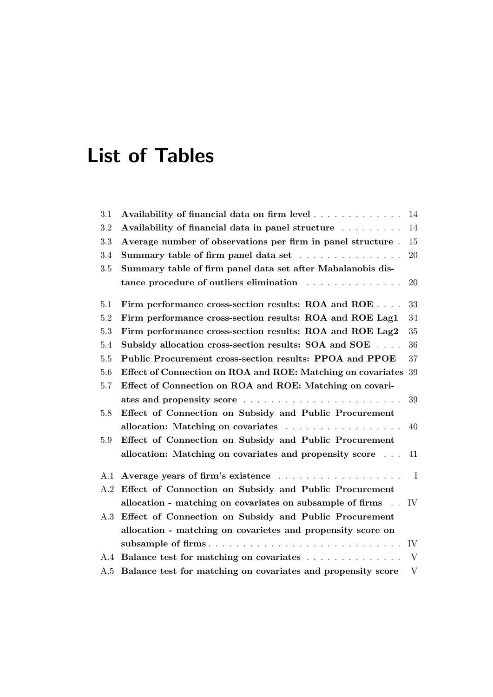# <span id="page-12-0"></span>List of Tables

| 3.1     | Availability of financial data on firm level                 | 14           |
|---------|--------------------------------------------------------------|--------------|
| 3.2     | Availability of financial data in panel structure            | 14           |
| 3.3     | Average number of observations per firm in panel structure.  | 15           |
| 3.4     | Summary table of firm panel data set                         | 20           |
| 3.5     | Summary table of firm panel data set after Mahalanobis dis-  |              |
|         | tance procedure of outliers elimination                      | 20           |
| 5.1     | Firm performance cross-section results: ROA and ROE          | 33           |
| 5.2     | Firm performance cross-section results: ROA and ROE Lag1     | 34           |
| 5.3     | Firm performance cross-section results: ROA and ROE Lag2     | 35           |
| 5.4     | Subsidy allocation cross-section results: SOA and SOE        | 36           |
| $5.5\,$ | Public Procurement cross-section results: PPOA and PPOE      | 37           |
| 5.6     | Effect of Connection on ROA and ROE: Matching on covariates  | 39           |
| 5.7     | Effect of Connection on ROA and ROE: Matching on covari-     |              |
|         |                                                              | 39           |
| 5.8     | Effect of Connection on Subsidy and Public Procurement       |              |
|         | allocation: Matching on covariates                           | 40           |
| 5.9     | Effect of Connection on Subsidy and Public Procurement       |              |
|         | allocation: Matching on covariates and propensity score      | 41           |
| A.1     | Average years of firm's existence                            | $\mathbf I$  |
| A.2     | Effect of Connection on Subsidy and Public Procurement       |              |
|         | allocation - matching on covariates on subsample of firms IV |              |
| A.3     | Effect of Connection on Subsidy and Public Procurement       |              |
|         | allocation - matching on covarietes and propensity score on  |              |
|         | subsample of firms                                           | IV           |
| A.4     | Balance test for matching on covariates                      | V            |
| A.5     | Balance test for matching on covariates and propensity score | $\mathbf{V}$ |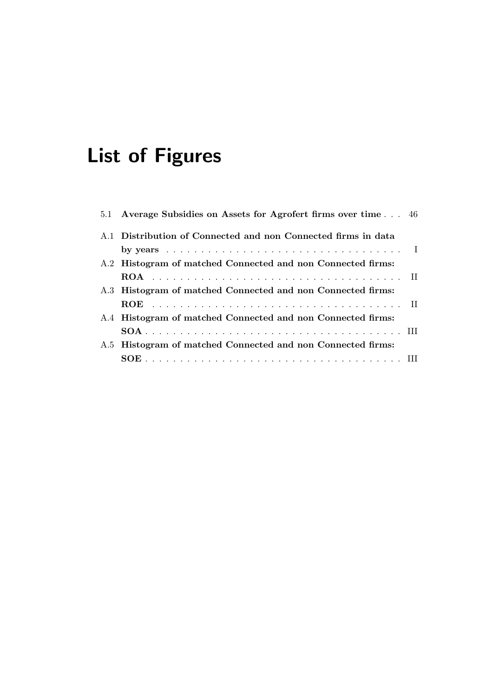# <span id="page-13-0"></span>List of Figures

| 5.1 Average Subsidies on Assets for Agrofert firms over time 46                                |
|------------------------------------------------------------------------------------------------|
| A.1 Distribution of Connected and non Connected firms in data                                  |
| by years $\ldots \ldots \ldots \ldots \ldots \ldots \ldots \ldots \ldots \ldots \ldots \ldots$ |
| A.2 Histogram of matched Connected and non Connected firms:                                    |
|                                                                                                |
| A.3 Histogram of matched Connected and non Connected firms:                                    |
|                                                                                                |
| A.4 Histogram of matched Connected and non Connected firms:                                    |
|                                                                                                |
| A.5 Histogram of matched Connected and non Connected firms:                                    |
|                                                                                                |
|                                                                                                |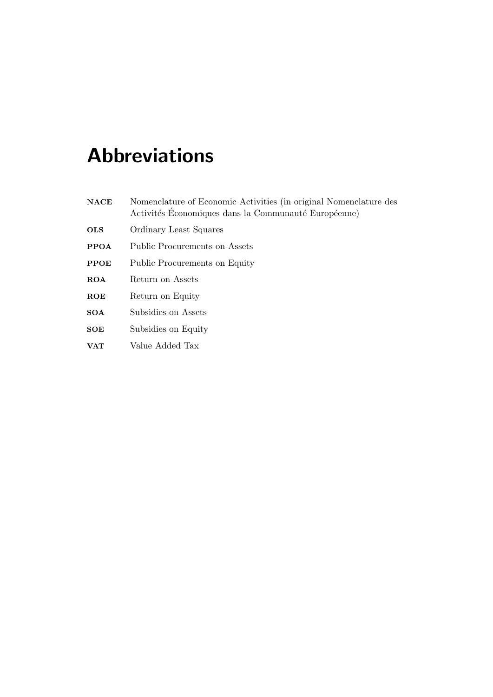# <span id="page-14-0"></span>Abbreviations

| Nomenclature of Economic Activities (in original Nomenclature des<br><b>NACE</b><br>Activités Economiques dans la Communauté Européenne) |                                      |  |  |
|------------------------------------------------------------------------------------------------------------------------------------------|--------------------------------------|--|--|
| <b>OLS</b>                                                                                                                               | Ordinary Least Squares               |  |  |
| <b>PPOA</b>                                                                                                                              | Public Procurements on Assets        |  |  |
| <b>PPOE</b>                                                                                                                              | <b>Public Procurements on Equity</b> |  |  |
| <b>ROA</b>                                                                                                                               | Return on Assets                     |  |  |
| ROE                                                                                                                                      | Return on Equity                     |  |  |
| <b>SOA</b>                                                                                                                               | Subsidies on Assets                  |  |  |
| <b>SOE</b>                                                                                                                               | Subsidies on Equity                  |  |  |
| <b>VAT</b>                                                                                                                               | Value Added Tax                      |  |  |
|                                                                                                                                          |                                      |  |  |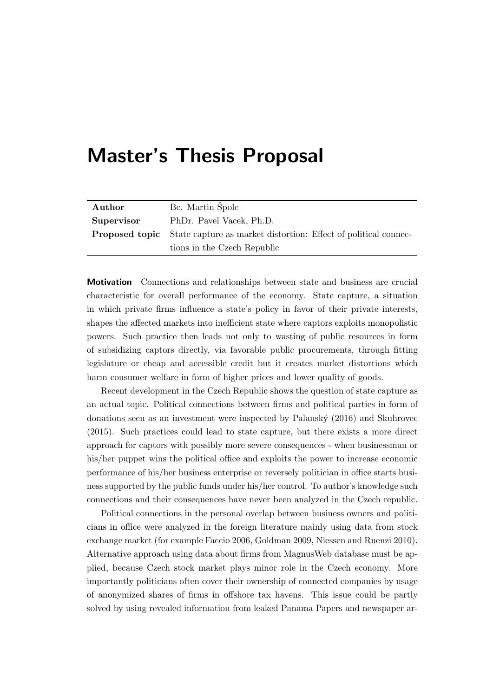# <span id="page-16-0"></span>Master's Thesis Proposal

| Author     | Bc. Martin Špolc                                                                      |
|------------|---------------------------------------------------------------------------------------|
| Supervisor | PhDr. Pavel Vacek, Ph.D.                                                              |
|            | <b>Proposed topic</b> State capture as market distortion: Effect of political connec- |
|            | tions in the Czech Republic                                                           |

Motivation Connections and relationships between state and business are crucial characteristic for overall performance of the economy. State capture, a situation in which private firms influence a state's policy in favor of their private interests, shapes the affected markets into inefficient state where captors exploits monopolistic powers. Such practice then leads not only to wasting of public resources in form of subsidizing captors directly, via favorable public procurements, through fitting legislature or cheap and accessible credit but it creates market distortions which harm consumer welfare in form of higher prices and lower quality of goods.

Recent development in the Czech Republic shows the question of state capture as an actual topic. Political connections between firms and political parties in form of donations seen as an investment were inspected by Palansk´y (2016) and Skuhrovec (2015). Such practices could lead to state capture, but there exists a more direct approach for captors with possibly more severe consequences - when businessman or his/her puppet wins the political office and exploits the power to increase economic performance of his/her business enterprise or reversely politician in office starts business supported by the public funds under his/her control. To author's knowledge such connections and their consequences have never been analyzed in the Czech republic.

Political connections in the personal overlap between business owners and politicians in office were analyzed in the foreign literature mainly using data from stock exchange market (for example Faccio 2006, Goldman 2009, Niessen and Ruenzi 2010). Alternative approach using data about firms from MagnusWeb database must be applied, because Czech stock market plays minor role in the Czech economy. More importantly politicians often cover their ownership of connected companies by usage of anonymized shares of firms in offshore tax havens. This issue could be partly solved by using revealed information from leaked Panama Papers and newspaper ar-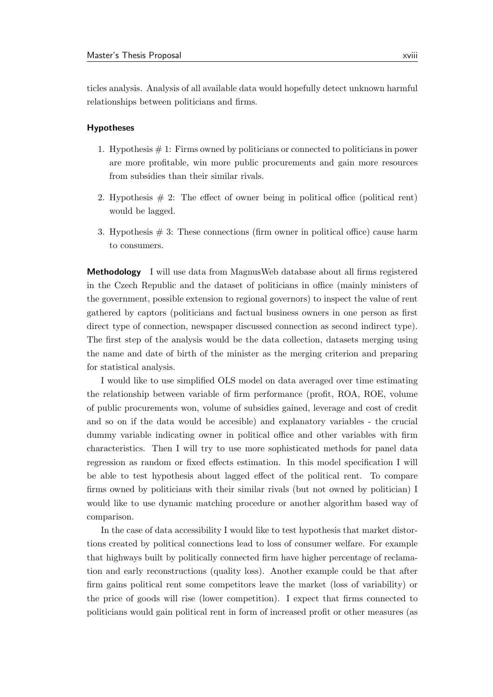ticles analysis. Analysis of all available data would hopefully detect unknown harmful relationships between politicians and firms.

#### Hypotheses

- 1. Hypothesis  $# 1$ : Firms owned by politicians or connected to politicians in power are more profitable, win more public procurements and gain more resources from subsidies than their similar rivals.
- 2. Hypothesis  $# 2$ : The effect of owner being in political office (political rent) would be lagged.
- 3. Hypothesis  $\#$  3: These connections (firm owner in political office) cause harm to consumers.

**Methodology** I will use data from MagnusWeb database about all firms registered in the Czech Republic and the dataset of politicians in office (mainly ministers of the government, possible extension to regional governors) to inspect the value of rent gathered by captors (politicians and factual business owners in one person as first direct type of connection, newspaper discussed connection as second indirect type). The first step of the analysis would be the data collection, datasets merging using the name and date of birth of the minister as the merging criterion and preparing for statistical analysis.

I would like to use simplified OLS model on data averaged over time estimating the relationship between variable of firm performance (profit, ROA, ROE, volume of public procurements won, volume of subsidies gained, leverage and cost of credit and so on if the data would be accesible) and explanatory variables - the crucial dummy variable indicating owner in political office and other variables with firm characteristics. Then I will try to use more sophisticated methods for panel data regression as random or fixed effects estimation. In this model specification I will be able to test hypothesis about lagged effect of the political rent. To compare firms owned by politicians with their similar rivals (but not owned by politician) I would like to use dynamic matching procedure or another algorithm based way of comparison.

In the case of data accessibility I would like to test hypothesis that market distortions created by political connections lead to loss of consumer welfare. For example that highways built by politically connected firm have higher percentage of reclamation and early reconstructions (quality loss). Another example could be that after firm gains political rent some competitors leave the market (loss of variability) or the price of goods will rise (lower competition). I expect that firms connected to politicians would gain political rent in form of increased profit or other measures (as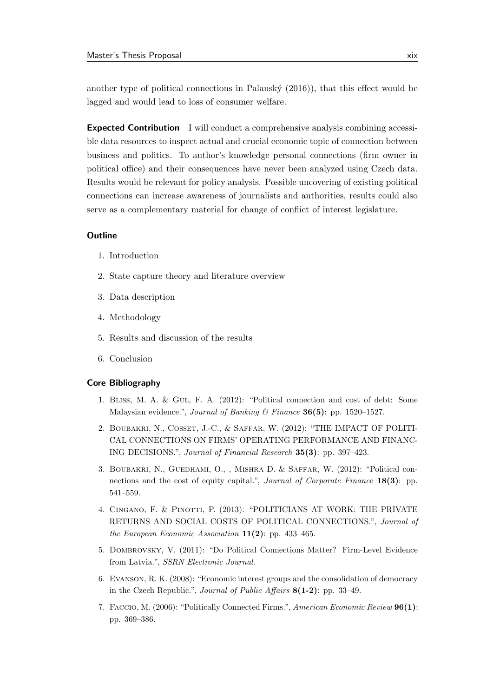another type of political connections in Palanský  $(2016)$ ), that this effect would be lagged and would lead to loss of consumer welfare.

Expected Contribution I will conduct a comprehensive analysis combining accessible data resources to inspect actual and crucial economic topic of connection between business and politics. To author's knowledge personal connections (firm owner in political office) and their consequences have never been analyzed using Czech data. Results would be relevant for policy analysis. Possible uncovering of existing political connections can increase awareness of journalists and authorities, results could also serve as a complementary material for change of conflict of interest legislature.

### **Outline**

- 1. Introduction
- 2. State capture theory and literature overview
- 3. Data description
- 4. Methodology
- 5. Results and discussion of the results
- 6. Conclusion

#### Core Bibliography

- 1. Bliss, M. A. & Gul, F. A. (2012): "Political connection and cost of debt: Some Malaysian evidence.", Journal of Banking & Finance  $36(5)$ : pp. 1520–1527.
- 2. Boubakri, N., Cosset, J.-C., & Saffar, W. (2012): "THE IMPACT OF POLITI-CAL CONNECTIONS ON FIRMS' OPERATING PERFORMANCE AND FINANC-ING DECISIONS.", Journal of Financial Research 35(3): pp. 397–423.
- 3. Boubakri, N., Guedhami, O., , Mishra D. & Saffar, W. (2012): "Political connections and the cost of equity capital.", Journal of Corporate Finance 18(3): pp. 541–559.
- 4. Cingano, F. & Pinotti, P. (2013): "POLITICIANS AT WORK: THE PRIVATE RETURNS AND SOCIAL COSTS OF POLITICAL CONNECTIONS.", Journal of the European Economic Association  $11(2)$ : pp. 433-465.
- 5. Dombrovsky, V. (2011): "Do Political Connections Matter? Firm-Level Evidence from Latvia.", SSRN Electronic Journal.
- 6. Evanson, R. K. (2008): "Economic interest groups and the consolidation of democracy in the Czech Republic.", Journal of Public Affairs 8(1-2): pp. 33–49.
- 7. Faccio, M. (2006): "Politically Connected Firms.", American Economic Review 96(1): pp. 369–386.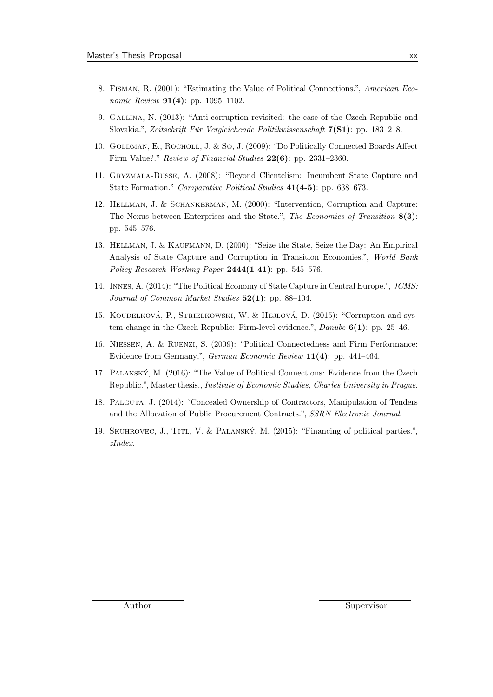- 8. Fisman, R. (2001): "Estimating the Value of Political Connections.", American Economic Review  $91(4)$ : pp. 1095-1102.
- 9. Gallina, N. (2013): "Anti-corruption revisited: the case of the Czech Republic and Slovakia.", Zeitschrift Für Vergleichende Politikwissenschaft  $7(S1)$ : pp. 183–218.
- 10. Goldman, E., Rocholl, J. & So, J. (2009): "Do Politically Connected Boards Affect Firm Value?." Review of Financial Studies 22(6): pp. 2331–2360.
- 11. Gryzmala-Busse, A. (2008): "Beyond Clientelism: Incumbent State Capture and State Formation." Comparative Political Studies 41(4-5): pp. 638–673.
- 12. Hellman, J. & Schankerman, M. (2000): "Intervention, Corruption and Capture: The Nexus between Enterprises and the State.", The Economics of Transition 8(3): pp. 545–576.
- 13. Hellman, J. & Kaufmann, D. (2000): "Seize the State, Seize the Day: An Empirical Analysis of State Capture and Corruption in Transition Economies.", World Bank Policy Research Working Paper 2444(1-41): pp. 545-576.
- 14. Innes, A. (2014): "The Political Economy of State Capture in Central Europe.", JCMS: Journal of Common Market Studies  $52(1)$ : pp. 88-104.
- 15. KOUDELKOVÁ, P., STRIELKOWSKI, W. & HEJLOVÁ, D. (2015): "Corruption and system change in the Czech Republic: Firm-level evidence.",  $Danube$  6(1): pp. 25–46.
- 16. Niessen, A. & Ruenzi, S. (2009): "Political Connectedness and Firm Performance: Evidence from Germany.", German Economic Review 11(4): pp. 441–464.
- 17. Palansky´, M. (2016): "The Value of Political Connections: Evidence from the Czech Republic.", Master thesis., Institute of Economic Studies, Charles University in Prague.
- 18. Palguta, J. (2014): "Concealed Ownership of Contractors, Manipulation of Tenders and the Allocation of Public Procurement Contracts.", SSRN Electronic Journal.
- 19. SKUHROVEC, J., TITL, V. & PALANSKÝ, M. (2015): "Financing of political parties.", zIndex.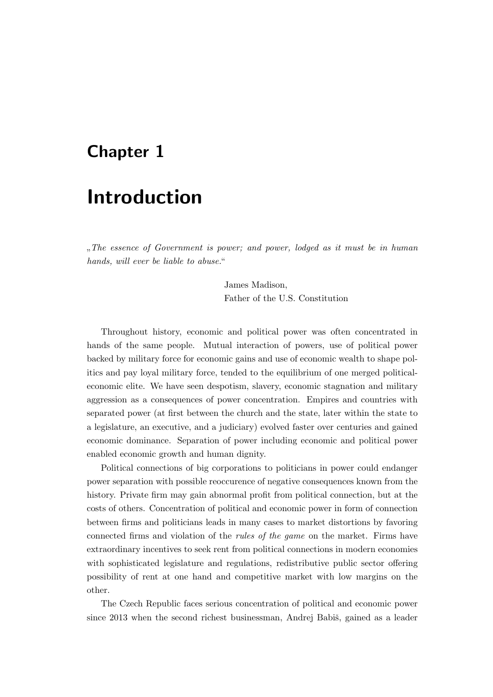## <span id="page-20-0"></span>Chapter 1

# Introduction

 $, The\; essence\; of\; Government\; is\; power;\; and\; power,\; loaded\; as\; it\; must\; be\; in\; human$ hands, will ever be liable to abuse."

> James Madison, Father of the U.S. Constitution

Throughout history, economic and political power was often concentrated in hands of the same people. Mutual interaction of powers, use of political power backed by military force for economic gains and use of economic wealth to shape politics and pay loyal military force, tended to the equilibrium of one merged politicaleconomic elite. We have seen despotism, slavery, economic stagnation and military aggression as a consequences of power concentration. Empires and countries with separated power (at first between the church and the state, later within the state to a legislature, an executive, and a judiciary) evolved faster over centuries and gained economic dominance. Separation of power including economic and political power enabled economic growth and human dignity.

Political connections of big corporations to politicians in power could endanger power separation with possible reoccurence of negative consequences known from the history. Private firm may gain abnormal profit from political connection, but at the costs of others. Concentration of political and economic power in form of connection between firms and politicians leads in many cases to market distortions by favoring connected firms and violation of the rules of the game on the market. Firms have extraordinary incentives to seek rent from political connections in modern economies with sophisticated legislature and regulations, redistributive public sector offering possibility of rent at one hand and competitive market with low margins on the other.

The Czech Republic faces serious concentration of political and economic power since 2013 when the second richest businessman, Andrej Babiš, gained as a leader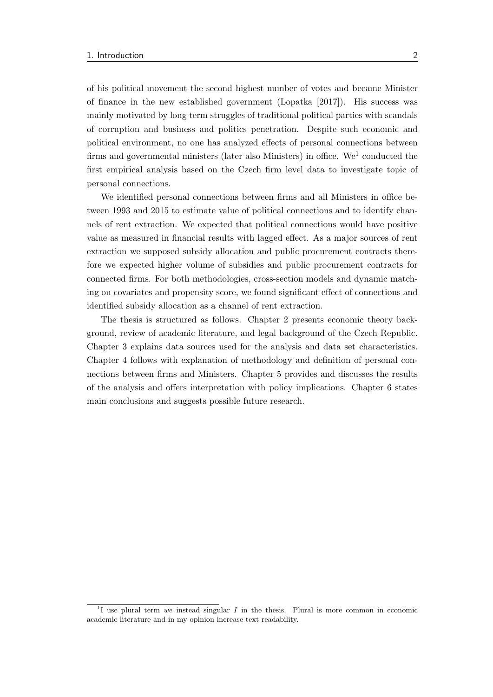of his political movement the second highest number of votes and became Minister of finance in the new established government [\(Lopatka](#page-76-0) [\[2017\]\)](#page-76-0). His success was mainly motivated by long term struggles of traditional political parties with scandals of corruption and business and politics penetration. Despite such economic and political environment, no one has analyzed effects of personal connections between firms and governmental ministers (later also Ministers) in office. We<sup>[1](#page-21-0)</sup> conducted the first empirical analysis based on the Czech firm level data to investigate topic of personal connections.

We identified personal connections between firms and all Ministers in office between 1993 and 2015 to estimate value of political connections and to identify channels of rent extraction. We expected that political connections would have positive value as measured in financial results with lagged effect. As a major sources of rent extraction we supposed subsidy allocation and public procurement contracts therefore we expected higher volume of subsidies and public procurement contracts for connected firms. For both methodologies, cross-section models and dynamic matching on covariates and propensity score, we found significant effect of connections and identified subsidy allocation as a channel of rent extraction.

The thesis is structured as follows. Chapter [2](#page-22-0) presents economic theory background, review of academic literature, and legal background of the Czech Republic. Chapter [3](#page-32-0) explains data sources used for the analysis and data set characteristics. Chapter [4](#page-42-0) follows with explanation of methodology and definition of personal connections between firms and Ministers. Chapter [5](#page-50-0) provides and discusses the results of the analysis and offers interpretation with policy implications. Chapter [6](#page-68-0) states main conclusions and suggests possible future research.

<span id="page-21-0"></span><sup>&</sup>lt;sup>1</sup>I use plural term we instead singular I in the thesis. Plural is more common in economic academic literature and in my opinion increase text readability.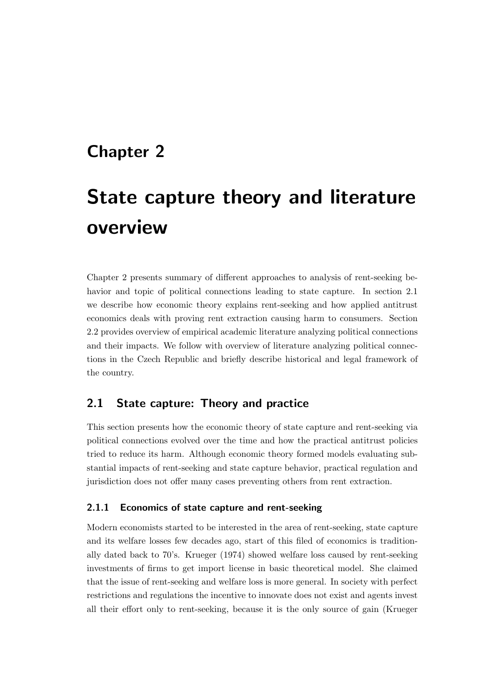# <span id="page-22-0"></span>Chapter 2

# State capture theory and literature overview

Chapter [2](#page-22-0) presents summary of different approaches to analysis of rent-seeking behavior and topic of political connections leading to state capture. In [section 2.1](#page-22-1) we describe how economic theory explains rent-seeking and how applied antitrust economics deals with proving rent extraction causing harm to consumers. Section [2.2](#page-25-0) provides overview of empirical academic literature analyzing political connections and their impacts. We follow with overview of literature analyzing political connections in the Czech Republic and briefly describe historical and legal framework of the country.

## <span id="page-22-1"></span>2.1 State capture: Theory and practice

This section presents how the economic theory of state capture and rent-seeking via political connections evolved over the time and how the practical antitrust policies tried to reduce its harm. Although economic theory formed models evaluating substantial impacts of rent-seeking and state capture behavior, practical regulation and jurisdiction does not offer many cases preventing others from rent extraction.

### <span id="page-22-2"></span>2.1.1 Economics of state capture and rent-seeking

Modern economists started to be interested in the area of rent-seeking, state capture and its welfare losses few decades ago, start of this filed of economics is traditionally dated back to 70's. [Krueger](#page-76-1) [\(1974\)](#page-76-1) showed welfare loss caused by rent-seeking investments of firms to get import license in basic theoretical model. She claimed that the issue of rent-seeking and welfare loss is more general. In society with perfect restrictions and regulations the incentive to innovate does not exist and agents invest all their effort only to rent-seeking, because it is the only source of gain [\(Krueger](#page-76-1)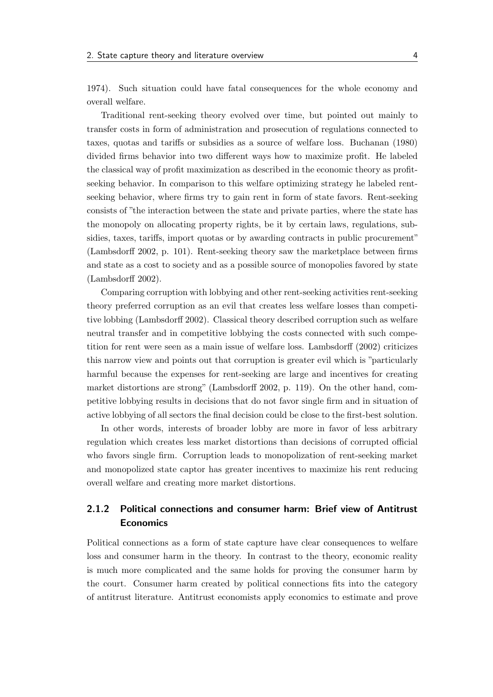[1974\)](#page-76-1). Such situation could have fatal consequences for the whole economy and overall welfare.

Traditional rent-seeking theory evolved over time, but pointed out mainly to transfer costs in form of administration and prosecution of regulations connected to taxes, quotas and tariffs or subsidies as a source of welfare loss. [Buchanan](#page-73-0) [\(1980\)](#page-73-0) divided firms behavior into two different ways how to maximize profit. He labeled the classical way of profit maximization as described in the economic theory as profitseeking behavior. In comparison to this welfare optimizing strategy he labeled rentseeking behavior, where firms try to gain rent in form of state favors. Rent-seeking consists of "the interaction between the state and private parties, where the state has the monopoly on allocating property rights, be it by certain laws, regulations, subsidies, taxes, tariffs, import quotas or by awarding contracts in public procurement" [\(Lambsdorff](#page-76-2) [2002,](#page-76-2) p. 101). Rent-seeking theory saw the marketplace between firms and state as a cost to society and as a possible source of monopolies favored by state [\(Lambsdorff](#page-76-2) [2002\)](#page-76-2).

Comparing corruption with lobbying and other rent-seeking activities rent-seeking theory preferred corruption as an evil that creates less welfare losses than competitive lobbing [\(Lambsdorff](#page-76-2) [2002\)](#page-76-2). Classical theory described corruption such as welfare neutral transfer and in competitive lobbying the costs connected with such competition for rent were seen as a main issue of welfare loss. [Lambsdorff](#page-76-2) [\(2002\)](#page-76-2) criticizes this narrow view and points out that corruption is greater evil which is "particularly harmful because the expenses for rent-seeking are large and incentives for creating market distortions are strong" [\(Lambsdorff](#page-76-2) [2002,](#page-76-2) p. 119). On the other hand, competitive lobbying results in decisions that do not favor single firm and in situation of active lobbying of all sectors the final decision could be close to the first-best solution.

In other words, interests of broader lobby are more in favor of less arbitrary regulation which creates less market distortions than decisions of corrupted official who favors single firm. Corruption leads to monopolization of rent-seeking market and monopolized state captor has greater incentives to maximize his rent reducing overall welfare and creating more market distortions.

### <span id="page-23-0"></span>2.1.2 Political connections and consumer harm: Brief view of Antitrust **Economics**

Political connections as a form of state capture have clear consequences to welfare loss and consumer harm in the theory. In contrast to the theory, economic reality is much more complicated and the same holds for proving the consumer harm by the court. Consumer harm created by political connections fits into the category of antitrust literature. Antitrust economists apply economics to estimate and prove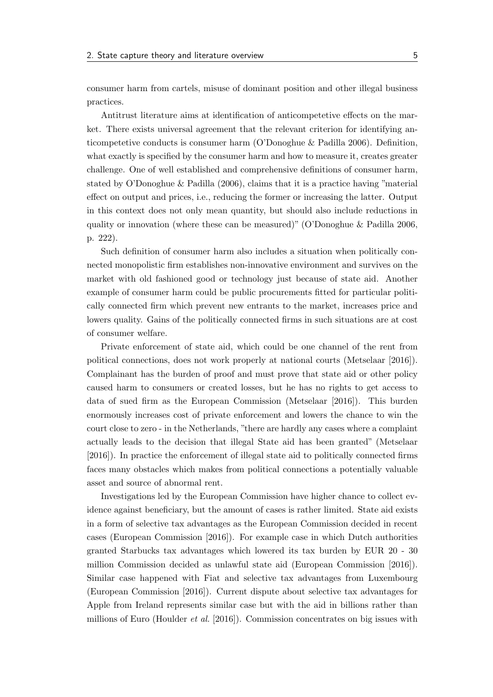consumer harm from cartels, misuse of dominant position and other illegal business practices.

Antitrust literature aims at identification of anticompetetive effects on the market. There exists universal agreement that the relevant criterion for identifying anticompetetive conducts is consumer harm [\(O'Donoghue & Padilla](#page-77-0) [2006\)](#page-77-0). Definition, what exactly is specified by the consumer harm and how to measure it, creates greater challenge. One of well established and comprehensive definitions of consumer harm, stated by [O'Donoghue & Padilla](#page-77-0) [\(2006\)](#page-77-0), claims that it is a practice having "material effect on output and prices, i.e., reducing the former or increasing the latter. Output in this context does not only mean quantity, but should also include reductions in quality or innovation (where these can be measured)" [\(O'Donoghue & Padilla](#page-77-0) [2006,](#page-77-0) p. 222).

Such definition of consumer harm also includes a situation when politically connected monopolistic firm establishes non-innovative environment and survives on the market with old fashioned good or technology just because of state aid. Another example of consumer harm could be public procurements fitted for particular politically connected firm which prevent new entrants to the market, increases price and lowers quality. Gains of the politically connected firms in such situations are at cost of consumer welfare.

Private enforcement of state aid, which could be one channel of the rent from political connections, does not work properly at national courts [\(Metselaar](#page-77-1) [\[2016\]\)](#page-77-1). Complainant has the burden of proof and must prove that state aid or other policy caused harm to consumers or created losses, but he has no rights to get access to data of sued firm as the European Commission [\(Metselaar](#page-77-1) [\[2016\]\)](#page-77-1). This burden enormously increases cost of private enforcement and lowers the chance to win the court close to zero - in the Netherlands, "there are hardly any cases where a complaint actually leads to the decision that illegal State aid has been granted" [\(Metselaar](#page-77-1) [\[2016\]\)](#page-77-1). In practice the enforcement of illegal state aid to politically connected firms faces many obstacles which makes from political connections a potentially valuable asset and source of abnormal rent.

Investigations led by the European Commission have higher chance to collect evidence against beneficiary, but the amount of cases is rather limited. State aid exists in a form of selective tax advantages as the European Commission decided in recent cases [\(European Commission](#page-74-0) [\[2016\]\)](#page-74-0). For example case in which Dutch authorities granted Starbucks tax advantages which lowered its tax burden by EUR 20 - 30 million Commission decided as unlawful state aid [\(European Commission](#page-74-0) [\[2016\]\)](#page-74-0). Similar case happened with Fiat and selective tax advantages from Luxembourg [\(European Commission](#page-74-0) [\[2016\]\)](#page-74-0). Current dispute about selective tax advantages for Apple from Ireland represents similar case but with the aid in billions rather than millions of Euro [\(Houlder](#page-75-0) et al. [\[2016\]\)](#page-75-0). Commission concentrates on big issues with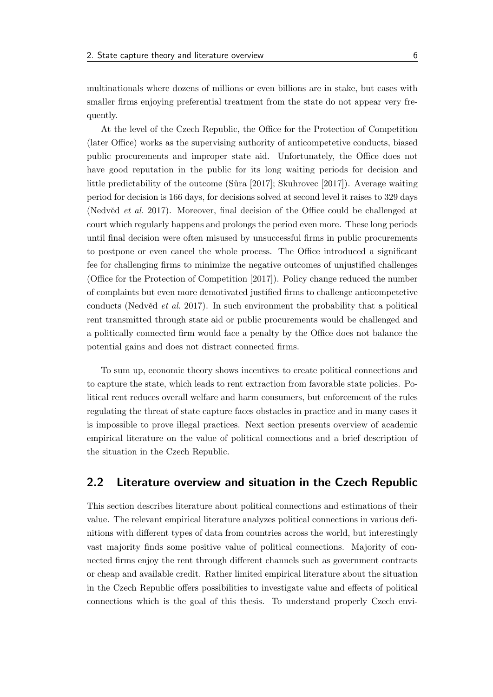multinationals where dozens of millions or even billions are in stake, but cases with smaller firms enjoying preferential treatment from the state do not appear very frequently.

At the level of the Czech Republic, the Office for the Protection of Competition (later Office) works as the supervising authority of anticompetetive conducts, biased public procurements and improper state aid. Unfortunately, the Office does not have good reputation in the public for its long waiting periods for decision and little predictability of the outcome (Sůra [\[2017\];](#page-78-0) [Skuhrovec](#page-78-1) [\[2017\]\)](#page-78-1). Average waiting period for decision is 166 days, for decisions solved at second level it raises to 329 days (Nedvěd *et al.* [2017\)](#page-77-2). Moreover, final decision of the Office could be challenged at court which regularly happens and prolongs the period even more. These long periods until final decision were often misused by unsuccessful firms in public procurements to postpone or even cancel the whole process. The Office introduced a significant fee for challenging firms to minimize the negative outcomes of unjustified challenges [\(Office for the Protection of Competition](#page-77-3) [\[2017\]\)](#page-77-3). Policy change reduced the number of complaints but even more demotivated justified firms to challenge anticompetetive conducts (Nedvěd *et al.* [2017\)](#page-77-2). In such environment the probability that a political rent transmitted through state aid or public procurements would be challenged and a politically connected firm would face a penalty by the Office does not balance the potential gains and does not distract connected firms.

To sum up, economic theory shows incentives to create political connections and to capture the state, which leads to rent extraction from favorable state policies. Political rent reduces overall welfare and harm consumers, but enforcement of the rules regulating the threat of state capture faces obstacles in practice and in many cases it is impossible to prove illegal practices. Next section presents overview of academic empirical literature on the value of political connections and a brief description of the situation in the Czech Republic.

## <span id="page-25-0"></span>2.2 Literature overview and situation in the Czech Republic

This section describes literature about political connections and estimations of their value. The relevant empirical literature analyzes political connections in various definitions with different types of data from countries across the world, but interestingly vast majority finds some positive value of political connections. Majority of connected firms enjoy the rent through different channels such as government contracts or cheap and available credit. Rather limited empirical literature about the situation in the Czech Republic offers possibilities to investigate value and effects of political connections which is the goal of this thesis. To understand properly Czech envi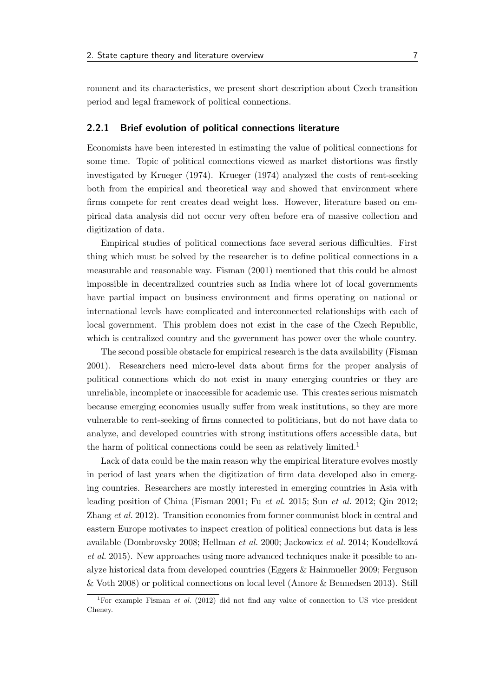ronment and its characteristics, we present short description about Czech transition period and legal framework of political connections.

### <span id="page-26-0"></span>2.2.1 Brief evolution of political connections literature

Economists have been interested in estimating the value of political connections for some time. Topic of political connections viewed as market distortions was firstly investigated by [Krueger](#page-76-1) [\(1974\)](#page-76-1). [Krueger](#page-76-1) [\(1974\)](#page-76-1) analyzed the costs of rent-seeking both from the empirical and theoretical way and showed that environment where firms compete for rent creates dead weight loss. However, literature based on empirical data analysis did not occur very often before era of massive collection and digitization of data.

Empirical studies of political connections face several serious difficulties. First thing which must be solved by the researcher is to define political connections in a measurable and reasonable way. [Fisman](#page-75-1) [\(2001\)](#page-75-1) mentioned that this could be almost impossible in decentralized countries such as India where lot of local governments have partial impact on business environment and firms operating on national or international levels have complicated and interconnected relationships with each of local government. This problem does not exist in the case of the Czech Republic, which is centralized country and the government has power over the whole country.

The second possible obstacle for empirical research is the data availability [\(Fisman](#page-75-1) [2001\)](#page-75-1). Researchers need micro-level data about firms for the proper analysis of political connections which do not exist in many emerging countries or they are unreliable, incomplete or inaccessible for academic use. This creates serious mismatch because emerging economies usually suffer from weak institutions, so they are more vulnerable to rent-seeking of firms connected to politicians, but do not have data to analyze, and developed countries with strong institutions offers accessible data, but the harm of political connections could be seen as relatively limited.<sup>[1](#page-26-1)</sup>

Lack of data could be the main reason why the empirical literature evolves mostly in period of last years when the digitization of firm data developed also in emerging countries. Researchers are mostly interested in emerging countries in Asia with leading position of China [\(Fisman](#page-75-1) [2001;](#page-75-1) Fu [et al.](#page-75-2) [2015;](#page-75-2) Sun [et al.](#page-78-2) [2012;](#page-78-2) [Qin](#page-78-3) [2012;](#page-78-3) [Zhang](#page-79-0) et al. [2012\)](#page-79-0). Transition economies from former communist block in central and eastern Europe motivates to inspect creation of political connections but data is less available [\(Dombrovsky](#page-74-1) [2008;](#page-74-1) [Hellman](#page-75-3) et al. [2000;](#page-75-3) [Jackowicz](#page-75-4) et al. [2014;](#page-75-4) Koudelková [et al.](#page-76-3) [2015\)](#page-76-3). New approaches using more advanced techniques make it possible to analyze historical data from developed countries [\(Eggers & Hainmueller](#page-74-2) [2009;](#page-74-2) [Ferguson](#page-74-3) [& Voth](#page-74-3) [2008\)](#page-74-3) or political connections on local level [\(Amore & Bennedsen](#page-72-1) [2013\)](#page-72-1). Still

<span id="page-26-1"></span><sup>&</sup>lt;sup>1</sup>For example [Fisman](#page-74-4) *et al.* [\(2012\)](#page-74-4) did not find any value of connection to US vice-president Cheney.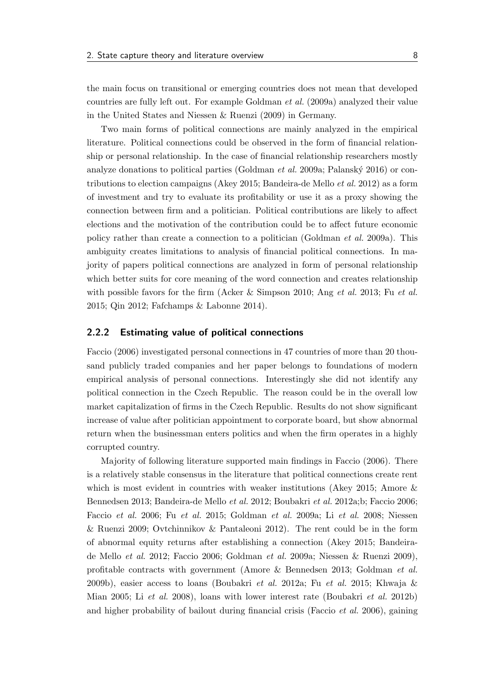the main focus on transitional or emerging countries does not mean that developed countries are fully left out. For example [Goldman](#page-75-5) et al. [\(2009a\)](#page-75-5) analyzed their value in the United States and [Niessen & Ruenzi](#page-77-4) [\(2009\)](#page-77-4) in Germany.

Two main forms of political connections are mainly analyzed in the empirical literature. Political connections could be observed in the form of financial relationship or personal relationship. In the case of financial relationship researchers mostly analyze donations to political parties [\(Goldman](#page-75-5) *et al.* [2009a;](#page-75-5) Palanský [2016\)](#page-77-5) or contributions to election campaigns [\(Akey](#page-72-2) [2015;](#page-72-2) [Bandeira-de Mello](#page-77-6) et al. [2012\)](#page-77-6) as a form of investment and try to evaluate its profitability or use it as a proxy showing the connection between firm and a politician. Political contributions are likely to affect elections and the motivation of the contribution could be to affect future economic policy rather than create a connection to a politician [\(Goldman](#page-75-5) et al. [2009a\)](#page-75-5). This ambiguity creates limitations to analysis of financial political connections. In majority of papers political connections are analyzed in form of personal relationship which better suits for core meaning of the word connection and creates relationship with possible favors for the firm [\(Acker & Simpson](#page-72-3) [2010;](#page-72-3) Ang [et al.](#page-75-2) [2013;](#page-72-4) Fu et al. [2015;](#page-75-2) [Qin](#page-78-3) [2012;](#page-78-3) [Fafchamps & Labonne](#page-74-5) [2014\)](#page-74-5).

#### <span id="page-27-0"></span>2.2.2 Estimating value of political connections

[Faccio](#page-74-6) [\(2006\)](#page-74-6) investigated personal connections in 47 countries of more than 20 thousand publicly traded companies and her paper belongs to foundations of modern empirical analysis of personal connections. Interestingly she did not identify any political connection in the Czech Republic. The reason could be in the overall low market capitalization of firms in the Czech Republic. Results do not show significant increase of value after politician appointment to corporate board, but show abnormal return when the businessman enters politics and when the firm operates in a highly corrupted country.

Majority of following literature supported main findings in [Faccio](#page-74-6) [\(2006\)](#page-74-6). There is a relatively stable consensus in the literature that political connections create rent which is most evident in countries with weaker institutions [\(Akey](#page-72-2) [2015;](#page-72-2) [Amore &](#page-72-1) [Bennedsen](#page-72-1) [2013;](#page-72-1) [Bandeira-de Mello](#page-77-6) et al. [2012;](#page-77-6) [Boubakri](#page-72-5) et al. [2012a;](#page-72-5)[b;](#page-73-1) [Faccio](#page-74-6) [2006;](#page-74-6) [Faccio](#page-74-7) et al. [2006;](#page-74-7) Fu [et al.](#page-75-2) [2015;](#page-75-2) [Goldman](#page-75-5) et al. [2009a;](#page-75-5) Li [et al.](#page-76-4) [2008;](#page-76-4) [Niessen](#page-77-4) [& Ruenzi](#page-77-4) [2009;](#page-77-4) [Ovtchinnikov & Pantaleoni](#page-77-7) [2012\)](#page-77-7). The rent could be in the form of abnormal equity returns after establishing a connection [\(Akey](#page-72-2) [2015;](#page-72-2) [Bandeira](#page-77-6)[de Mello](#page-77-6) et al. [2012;](#page-77-6) [Faccio](#page-74-6) [2006;](#page-74-6) [Goldman](#page-75-5) et al. [2009a;](#page-75-5) [Niessen & Ruenzi](#page-77-4) [2009\)](#page-77-4), profitable contracts with government [\(Amore & Bennedsen](#page-72-1) [2013;](#page-72-1) [Goldman](#page-75-6) et al. [2009b\)](#page-75-6), easier access to loans [\(Boubakri](#page-72-5) et al. [2012a;](#page-72-5) Fu [et al.](#page-75-2) [2015;](#page-75-2) [Khwaja &](#page-76-5) [Mian](#page-76-5) [2005;](#page-76-5) Li [et al.](#page-76-4) [2008\)](#page-76-4), loans with lower interest rate [\(Boubakri](#page-73-1) et al. [2012b\)](#page-73-1) and higher probability of bailout during financial crisis [\(Faccio](#page-74-7) et al. [2006\)](#page-74-7), gaining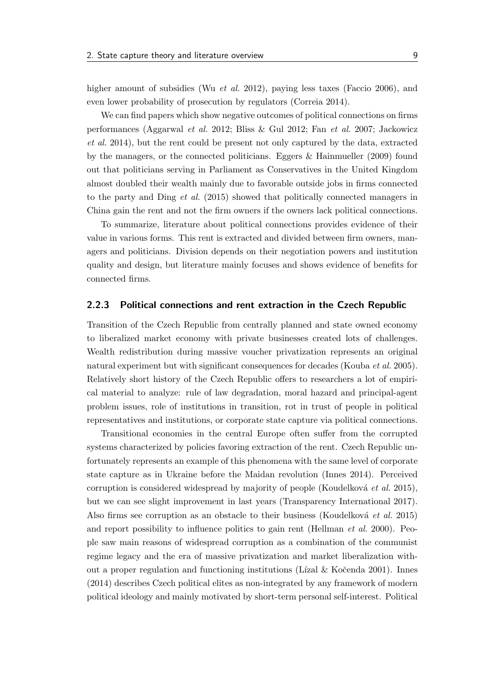higher amount of subsidies (Wu *[et al.](#page-79-1)* [2012\)](#page-79-1), paying less taxes [\(Faccio](#page-74-6) [2006\)](#page-74-6), and even lower probability of prosecution by regulators [\(Correia](#page-73-2) [2014\)](#page-73-2).

We can find papers which show negative outcomes of political connections on firms performances [\(Aggarwal](#page-72-6) et al. [2012;](#page-72-6) [Bliss & Gul](#page-72-7) [2012;](#page-72-7) Fan [et al.](#page-74-8) [2007;](#page-74-8) [Jackowicz](#page-75-4) [et al.](#page-75-4) [2014\)](#page-75-4), but the rent could be present not only captured by the data, extracted by the managers, or the connected politicians. [Eggers & Hainmueller](#page-74-2) [\(2009\)](#page-74-2) found out that politicians serving in Parliament as Conservatives in the United Kingdom almost doubled their wealth mainly due to favorable outside jobs in firms connected to the party and Ding [et al.](#page-74-9) [\(2015\)](#page-74-9) showed that politically connected managers in China gain the rent and not the firm owners if the owners lack political connections.

To summarize, literature about political connections provides evidence of their value in various forms. This rent is extracted and divided between firm owners, managers and politicians. Division depends on their negotiation powers and institution quality and design, but literature mainly focuses and shows evidence of benefits for connected firms.

### <span id="page-28-0"></span>2.2.3 Political connections and rent extraction in the Czech Republic

Transition of the Czech Republic from centrally planned and state owned economy to liberalized market economy with private businesses created lots of challenges. Wealth redistribution during massive voucher privatization represents an original natural experiment but with significant consequences for decades [\(Kouba](#page-76-6) et al. [2005\)](#page-76-6). Relatively short history of the Czech Republic offers to researchers a lot of empirical material to analyze: rule of law degradation, moral hazard and principal-agent problem issues, role of institutions in transition, rot in trust of people in political representatives and institutions, or corporate state capture via political connections.

Transitional economies in the central Europe often suffer from the corrupted systems characterized by policies favoring extraction of the rent. Czech Republic unfortunately represents an example of this phenomena with the same level of corporate state capture as in Ukraine before the Maidan revolution [\(Innes](#page-75-7) [2014\)](#page-75-7). Perceived corruption is considered widespread by majority of people (Koudelková et al. [2015\)](#page-76-3), but we can see slight improvement in last years [\(Transparency International](#page-79-2) [2017\)](#page-79-2). Also firms see corruption as an obstacle to their business (Koudelková et al. [2015\)](#page-76-3) and report possibility to influence politics to gain rent [\(Hellman](#page-75-3) et al. [2000\)](#page-75-3). People saw main reasons of widespread corruption as a combination of the communist regime legacy and the era of massive privatization and market liberalization without a proper regulation and functioning institutions (Lízal  $&$  Kočenda [2001\)](#page-76-7). [Innes](#page-75-7) [\(2014\)](#page-75-7) describes Czech political elites as non-integrated by any framework of modern political ideology and mainly motivated by short-term personal self-interest. Political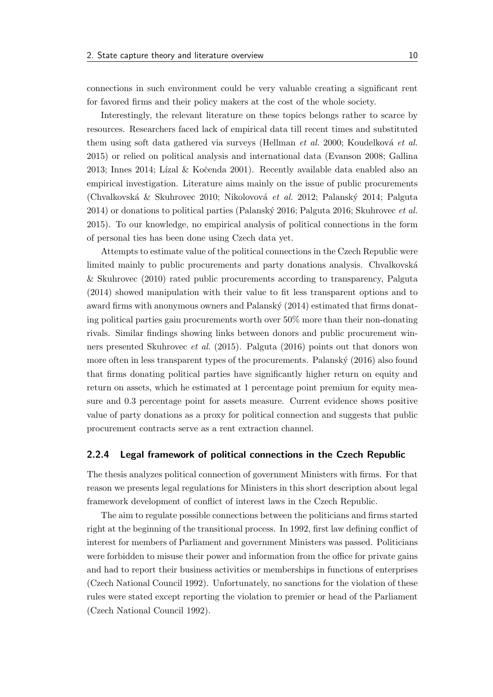connections in such environment could be very valuable creating a significant rent for favored firms and their policy makers at the cost of the whole society.

Interestingly, the relevant literature on these topics belongs rather to scarce by resources. Researchers faced lack of empirical data till recent times and substituted them using soft data gathered via surveys [\(Hellman](#page-75-3) et al. [2000;](#page-75-3) Koudelková et al. [2015\)](#page-76-3) or relied on political analysis and international data [\(Evanson](#page-74-10) [2008;](#page-74-10) [Gallina](#page-75-8) [2013;](#page-75-8) [Innes](#page-75-7) [2014;](#page-75-7) Lízal & Kočenda [2001\)](#page-76-7). Recently available data enabled also an empirical investigation. Literature aims mainly on the issue of public procurements (Chvalkovská & Skuhrovec [2010;](#page-73-3) Nikolovová et al. [2012;](#page-77-8) Palanský [2014;](#page-78-4) [Palguta](#page-78-5) [2014\)](#page-78-5) or donations to political parties (Palanský [2016;](#page-78-6) [Palguta](#page-78-6) 2016; [Skuhrovec](#page-78-7) *et al.* [2015\)](#page-78-7). To our knowledge, no empirical analysis of political connections in the form of personal ties has been done using Czech data yet.

Attempts to estimate value of the political connections in the Czech Republic were limited mainly to public procurements and party donations analysis. Chvalkovská [& Skuhrovec](#page-73-3) [\(2010\)](#page-73-3) rated public procurements according to transparency, [Palguta](#page-78-5) [\(2014\)](#page-78-5) showed manipulation with their value to fit less transparent options and to award firms with anonymous owners and Palanský  $(2014)$  estimated that firms donating political parties gain procurements worth over 50% more than their non-donating rivals. Similar findings showing links between donors and public procurement winners presented [Skuhrovec](#page-78-7) et al. [\(2015\)](#page-78-7). [Palguta](#page-78-6) [\(2016\)](#page-78-6) points out that donors won more often in less transparent types of the procurements. Palanský  $(2016)$  also found that firms donating political parties have significantly higher return on equity and return on assets, which he estimated at 1 percentage point premium for equity measure and 0.3 percentage point for assets measure. Current evidence shows positive value of party donations as a proxy for political connection and suggests that public procurement contracts serve as a rent extraction channel.

### <span id="page-29-0"></span>2.2.4 Legal framework of political connections in the Czech Republic

The thesis analyzes political connection of government Ministers with firms. For that reason we presents legal regulations for Ministers in this short description about legal framework development of conflict of interest laws in the Czech Republic.

The aim to regulate possible connections between the politicians and firms started right at the beginning of the transitional process. In 1992, first law defining conflict of interest for members of Parliament and government Ministers was passed. Politicians were forbidden to misuse their power and information from the office for private gains and had to report their business activities or memberships in functions of enterprises [\(Czech National Council](#page-73-4) [1992\)](#page-73-4). Unfortunately, no sanctions for the violation of these rules were stated except reporting the violation to premier or head of the Parliament [\(Czech National Council](#page-73-4) [1992\)](#page-73-4).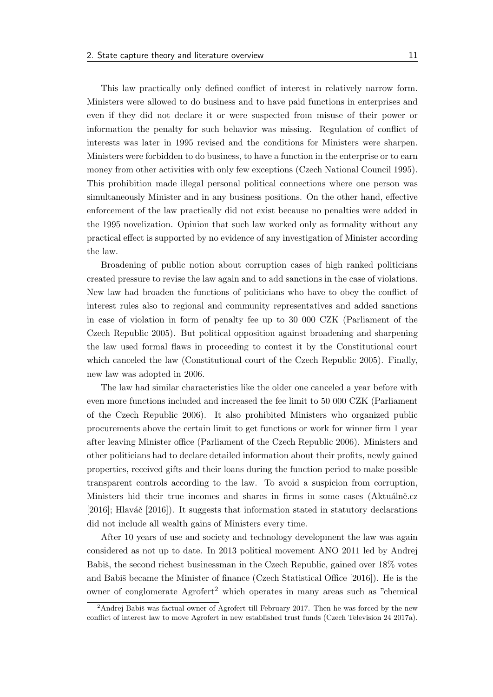This law practically only defined conflict of interest in relatively narrow form. Ministers were allowed to do business and to have paid functions in enterprises and even if they did not declare it or were suspected from misuse of their power or information the penalty for such behavior was missing. Regulation of conflict of interests was later in 1995 revised and the conditions for Ministers were sharpen. Ministers were forbidden to do business, to have a function in the enterprise or to earn money from other activities with only few exceptions [\(Czech National Council](#page-73-5) [1995\)](#page-73-5). This prohibition made illegal personal political connections where one person was simultaneously Minister and in any business positions. On the other hand, effective enforcement of the law practically did not exist because no penalties were added in the 1995 novelization. Opinion that such law worked only as formality without any practical effect is supported by no evidence of any investigation of Minister according the law.

Broadening of public notion about corruption cases of high ranked politicians created pressure to revise the law again and to add sanctions in the case of violations. New law had broaden the functions of politicians who have to obey the conflict of interest rules also to regional and community representatives and added sanctions in case of violation in form of penalty fee up to 30 000 CZK [\(Parliament of the](#page-78-8) [Czech Republic](#page-78-8) [2005\)](#page-78-8). But political opposition against broadening and sharpening the law used formal flaws in proceeding to contest it by the Constitutional court which canceled the law [\(Constitutional court of the Czech Republic](#page-73-6) [2005\)](#page-73-6). Finally, new law was adopted in 2006.

The law had similar characteristics like the older one canceled a year before with even more functions included and increased the fee limit to 50 000 CZK [\(Parliament](#page-78-9) [of the Czech Republic](#page-78-9) [2006\)](#page-78-9). It also prohibited Ministers who organized public procurements above the certain limit to get functions or work for winner firm 1 year after leaving Minister office [\(Parliament of the Czech Republic](#page-78-9) [2006\)](#page-78-9). Ministers and other politicians had to declare detailed information about their profits, newly gained properties, received gifts and their loans during the function period to make possible transparent controls according to the law. To avoid a suspicion from corruption, Ministers hid their true incomes and shares in firms in some cases (Aktuálně.cz [\[2016\];](#page-72-8) Hlaváč [\[2016\]\)](#page-75-9). It suggests that information stated in statutory declarations did not include all wealth gains of Ministers every time.

After 10 years of use and society and technology development the law was again considered as not up to date. In 2013 political movement ANO 2011 led by Andrej Babiš, the second richest businessman in the Czech Republic, gained over 18% votes and Babiš became the Minister of finance [\(Czech Statistical Office](#page-73-7) [\[2016\]\)](#page-73-7). He is the owner of conglomerate  $A$ grofert<sup>[2](#page-30-0)</sup> which operates in many areas such as "chemical

<span id="page-30-0"></span><sup>&</sup>lt;sup>2</sup>Andrej Babiš was factual owner of Agrofert till February 2017. Then he was forced by the new conflict of interest law to move Agrofert in new established trust funds [\(Czech Television 24](#page-74-11) [2017a\)](#page-74-11).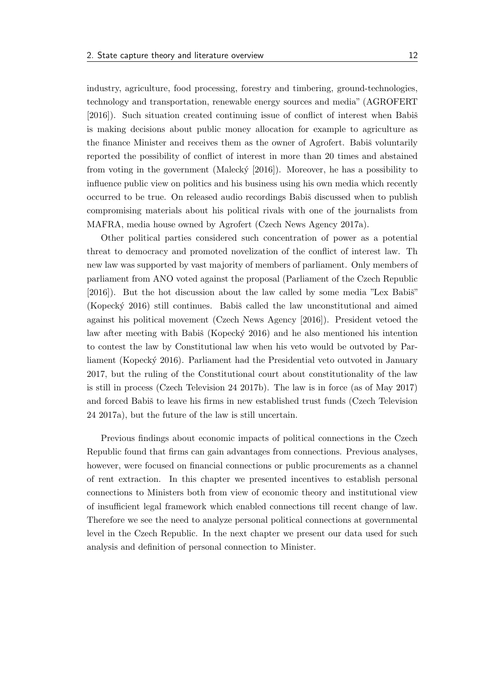industry, agriculture, food processing, forestry and timbering, ground-technologies, technology and transportation, renewable energy sources and media" [\(AGROFERT](#page-72-9)  $[2016]$ . Such situation created continuing issue of conflict of interest when Babis is making decisions about public money allocation for example to agriculture as the finance Minister and receives them as the owner of Agrofert. Babis voluntarily reported the possibility of conflict of interest in more than 20 times and abstained from voting in the government (Malecký [\[2016\]\)](#page-77-9). Moreover, he has a possibility to influence public view on politics and his business using his own media which recently occurred to be true. On released audio recordings Babiš discussed when to publish compromising materials about his political rivals with one of the journalists from MAFRA, media house owned by Agrofert [\(Czech News Agency](#page-73-8) [2017a\)](#page-73-8).

Other political parties considered such concentration of power as a potential threat to democracy and promoted novelization of the conflict of interest law. Th new law was supported by vast majority of members of parliament. Only members of parliament from ANO voted against the proposal [\(Parliament of the Czech Republic](#page-78-10)  $[2016]$ . But the hot discussion about the law called by some media "Lex Babis"  $(Kopecký 2016)$  $(Kopecký 2016)$  still continues. Babiš called the law unconstitutional and aimed against his political movement [\(Czech News Agency](#page-73-9) [\[2016\]\)](#page-73-9). President vetoed the law after meeting with Babiš (Kopecký [2016\)](#page-76-8) and he also mentioned his intention to contest the law by Constitutional law when his veto would be outvoted by Parliament [\(Kopeck´y](#page-76-8) [2016\)](#page-76-8). Parliament had the Presidential veto outvoted in January 2017, but the ruling of the Constitutional court about constitutionality of the law is still in process [\(Czech Television 24](#page-74-12) [2017b\)](#page-74-12). The law is in force (as of May 2017) and forced Babiš to leave his firms in new established trust funds [\(Czech Television](#page-74-11) [24](#page-74-11) [2017a\)](#page-74-11), but the future of the law is still uncertain.

Previous findings about economic impacts of political connections in the Czech Republic found that firms can gain advantages from connections. Previous analyses, however, were focused on financial connections or public procurements as a channel of rent extraction. In this chapter we presented incentives to establish personal connections to Ministers both from view of economic theory and institutional view of insufficient legal framework which enabled connections till recent change of law. Therefore we see the need to analyze personal political connections at governmental level in the Czech Republic. In the next chapter we present our data used for such analysis and definition of personal connection to Minister.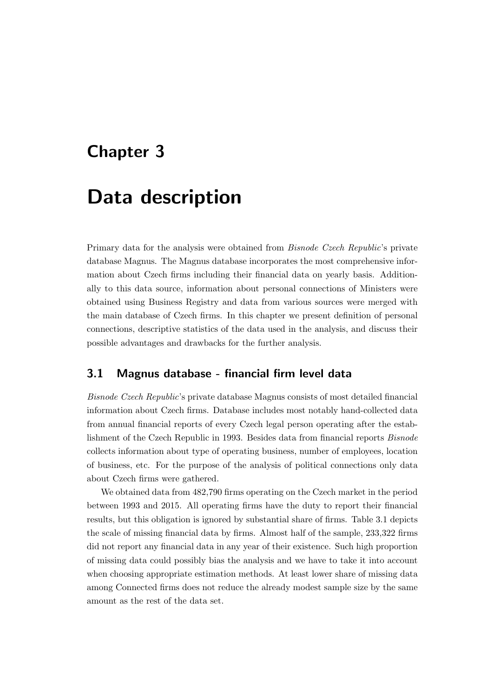# <span id="page-32-0"></span>Chapter 3

# Data description

Primary data for the analysis were obtained from Bisnode Czech Republic's private database Magnus. The Magnus database incorporates the most comprehensive information about Czech firms including their financial data on yearly basis. Additionally to this data source, information about personal connections of Ministers were obtained using Business Registry and data from various sources were merged with the main database of Czech firms. In this chapter we present definition of personal connections, descriptive statistics of the data used in the analysis, and discuss their possible advantages and drawbacks for the further analysis.

## <span id="page-32-1"></span>3.1 Magnus database - financial firm level data

Bisnode Czech Republic's private database Magnus consists of most detailed financial information about Czech firms. Database includes most notably hand-collected data from annual financial reports of every Czech legal person operating after the establishment of the Czech Republic in 1993. Besides data from financial reports Bisnode collects information about type of operating business, number of employees, location of business, etc. For the purpose of the analysis of political connections only data about Czech firms were gathered.

We obtained data from  $482,790$  firms operating on the Czech market in the period between 1993 and 2015. All operating firms have the duty to report their financial results, but this obligation is ignored by substantial share of firms. [Table 3.1](#page-33-1) depicts the scale of missing financial data by firms. Almost half of the sample, 233,322 firms did not report any financial data in any year of their existence. Such high proportion of missing data could possibly bias the analysis and we have to take it into account when choosing appropriate estimation methods. At least lower share of missing data among Connected firms does not reduce the already modest sample size by the same amount as the rest of the data set.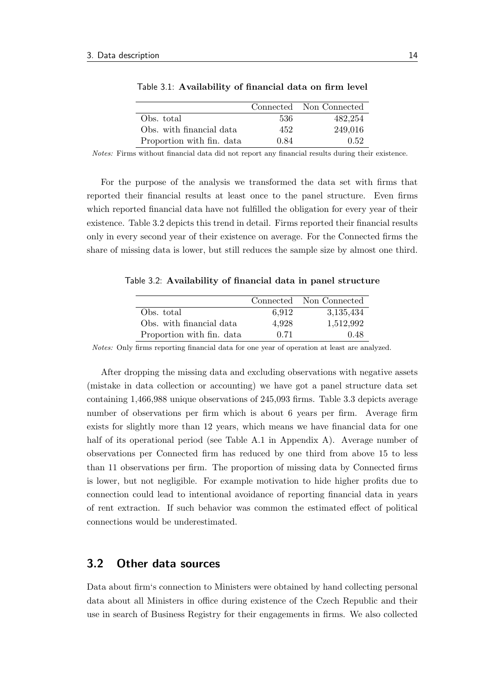|                           |      | Connected Non Connected |
|---------------------------|------|-------------------------|
| Obs. total                | 536  | 482,254                 |
| Obs. with financial data  | 452  | 249,016                 |
| Proportion with fin. data | 0.84 | 0.52                    |
|                           |      |                         |

<span id="page-33-1"></span>Table 3.1: Availability of financial data on firm level

Notes: Firms without financial data did not report any financial results during their existence.

For the purpose of the analysis we transformed the data set with firms that reported their financial results at least once to the panel structure. Even firms which reported financial data have not fulfilled the obligation for every year of their existence. [Table 3.2](#page-33-2) depicts this trend in detail. Firms reported their financial results only in every second year of their existence on average. For the Connected firms the share of missing data is lower, but still reduces the sample size by almost one third.

<span id="page-33-2"></span>Table 3.2: Availability of financial data in panel structure

|                           |       | Connected Non Connected |
|---------------------------|-------|-------------------------|
| Obs. total                | 6,912 | 3,135,434               |
| Obs. with financial data  | 4,928 | 1,512,992               |
| Proportion with fin. data | 0.71  | 0.48                    |

Notes: Only firms reporting financial data for one year of operation at least are analyzed.

After dropping the missing data and excluding observations with negative assets (mistake in data collection or accounting) we have got a panel structure data set containing 1,466,988 unique observations of 245,093 firms. [Table 3.3](#page-34-1) depicts average number of observations per firm which is about 6 years per firm. Average firm exists for slightly more than 12 years, which means we have financial data for one half of its operational period (see [Table A.1](#page-82-1) in [Appendix A\)](#page-82-0). Average number of observations per Connected firm has reduced by one third from above 15 to less than 11 observations per firm. The proportion of missing data by Connected firms is lower, but not negligible. For example motivation to hide higher profits due to connection could lead to intentional avoidance of reporting financial data in years of rent extraction. If such behavior was common the estimated effect of political connections would be underestimated.

## <span id="page-33-0"></span>3.2 Other data sources

Data about firm's connection to Ministers were obtained by hand collecting personal data about all Ministers in office during existence of the Czech Republic and their use in search of Business Registry for their engagements in firms. We also collected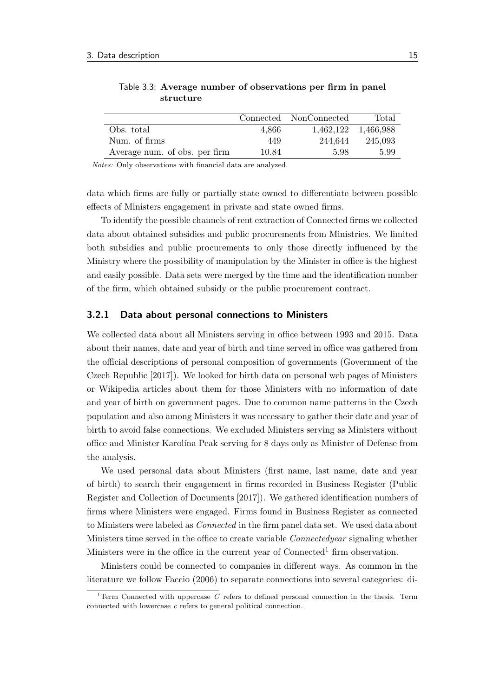|                               |       | Connected NonConnected | Total               |
|-------------------------------|-------|------------------------|---------------------|
| Obs. total                    | 4.866 |                        | 1,462,122 1,466,988 |
| Num. of firms                 | 449   | 244.644                | 245,093             |
| Average num. of obs. per firm | 10.84 | 5.98                   | 5.99                |

<span id="page-34-1"></span>Table 3.3: Average number of observations per firm in panel structure

Notes: Only observations with financial data are analyzed.

data which firms are fully or partially state owned to differentiate between possible effects of Ministers engagement in private and state owned firms.

To identify the possible channels of rent extraction of Connected firms we collected data about obtained subsidies and public procurements from Ministries. We limited both subsidies and public procurements to only those directly influenced by the Ministry where the possibility of manipulation by the Minister in office is the highest and easily possible. Data sets were merged by the time and the identification number of the firm, which obtained subsidy or the public procurement contract.

#### <span id="page-34-0"></span>3.2.1 Data about personal connections to Ministers

We collected data about all Ministers serving in office between 1993 and 2015. Data about their names, date and year of birth and time served in office was gathered from the official descriptions of personal composition of governments [\(Government of the](#page-75-10) [Czech Republic](#page-75-10) [\[2017\]\)](#page-75-10). We looked for birth data on personal web pages of Ministers or Wikipedia articles about them for those Ministers with no information of date and year of birth on government pages. Due to common name patterns in the Czech population and also among Ministers it was necessary to gather their date and year of birth to avoid false connections. We excluded Ministers serving as Ministers without office and Minister Karol´ına Peak serving for 8 days only as Minister of Defense from the analysis.

We used personal data about Ministers (first name, last name, date and year of birth) to search their engagement in firms recorded in Business Register [\(Public](#page-78-11) [Register and Collection of Documents](#page-78-11) [\[2017\]\)](#page-78-11). We gathered identification numbers of firms where Ministers were engaged. Firms found in Business Register as connected to Ministers were labeled as Connected in the firm panel data set. We used data about Ministers time served in the office to create variable Connectedyear signaling whether Ministers were in the office in the current year of  $Connected<sup>1</sup>$  $Connected<sup>1</sup>$  $Connected<sup>1</sup>$  firm observation.

Ministers could be connected to companies in different ways. As common in the literature we follow [Faccio](#page-74-6) [\(2006\)](#page-74-6) to separate connections into several categories: di-

<span id="page-34-2"></span><sup>&</sup>lt;sup>1</sup>Term Connected with uppercase C refers to defined personal connection in the thesis. Term connected with lowercase c refers to general political connection.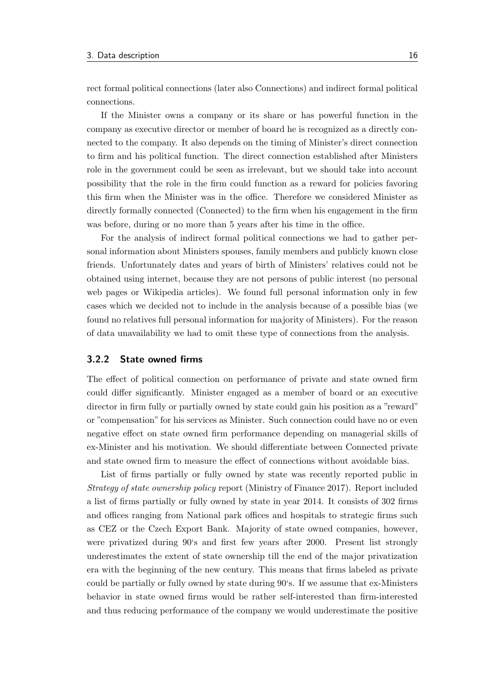rect formal political connections (later also Connections) and indirect formal political connections.

If the Minister owns a company or its share or has powerful function in the company as executive director or member of board he is recognized as a directly connected to the company. It also depends on the timing of Minister's direct connection to firm and his political function. The direct connection established after Ministers role in the government could be seen as irrelevant, but we should take into account possibility that the role in the firm could function as a reward for policies favoring this firm when the Minister was in the office. Therefore we considered Minister as directly formally connected (Connected) to the firm when his engagement in the firm was before, during or no more than 5 years after his time in the office.

For the analysis of indirect formal political connections we had to gather personal information about Ministers spouses, family members and publicly known close friends. Unfortunately dates and years of birth of Ministers' relatives could not be obtained using internet, because they are not persons of public interest (no personal web pages or Wikipedia articles). We found full personal information only in few cases which we decided not to include in the analysis because of a possible bias (we found no relatives full personal information for majority of Ministers). For the reason of data unavailability we had to omit these type of connections from the analysis.

### <span id="page-35-0"></span>3.2.2 State owned firms

The effect of political connection on performance of private and state owned firm could differ significantly. Minister engaged as a member of board or an executive director in firm fully or partially owned by state could gain his position as a "reward" or "compensation" for his services as Minister. Such connection could have no or even negative effect on state owned firm performance depending on managerial skills of ex-Minister and his motivation. We should differentiate between Connected private and state owned firm to measure the effect of connections without avoidable bias.

List of firms partially or fully owned by state was recently reported public in Strategy of state ownership policy report [\(Ministry of Finance](#page-77-10) [2017\)](#page-77-10). Report included a list of firms partially or fully owned by state in year 2014. It consists of 302 firms and offices ranging from National park offices and hospitals to strategic firms such as CEZ or the Czech Export Bank. Majority of state owned companies, however, were privatized during 90's and first few years after 2000. Present list strongly underestimates the extent of state ownership till the end of the major privatization era with the beginning of the new century. This means that firms labeled as private could be partially or fully owned by state during 90's. If we assume that ex-Ministers behavior in state owned firms would be rather self-interested than firm-interested and thus reducing performance of the company we would underestimate the positive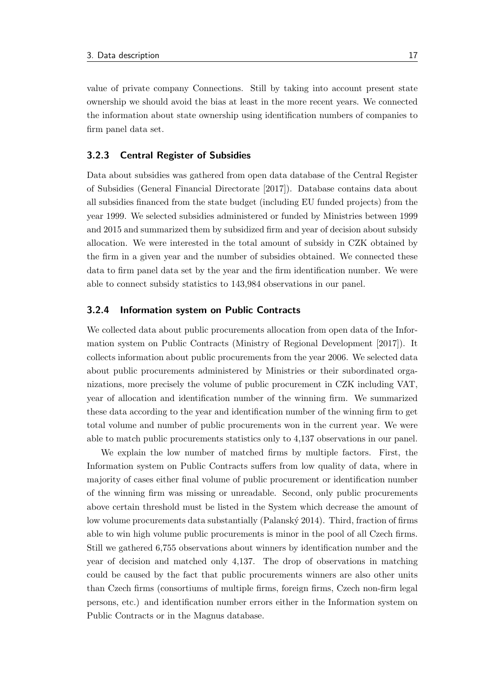value of private company Connections. Still by taking into account present state ownership we should avoid the bias at least in the more recent years. We connected the information about state ownership using identification numbers of companies to firm panel data set.

### 3.2.3 Central Register of Subsidies

Data about subsidies was gathered from open data database of the Central Register of Subsidies [\(General Financial Directorate](#page-75-0) [\[2017\]\)](#page-75-0). Database contains data about all subsidies financed from the state budget (including EU funded projects) from the year 1999. We selected subsidies administered or funded by Ministries between 1999 and 2015 and summarized them by subsidized firm and year of decision about subsidy allocation. We were interested in the total amount of subsidy in CZK obtained by the firm in a given year and the number of subsidies obtained. We connected these data to firm panel data set by the year and the firm identification number. We were able to connect subsidy statistics to 143,984 observations in our panel.

### 3.2.4 Information system on Public Contracts

We collected data about public procurements allocation from open data of the Information system on Public Contracts [\(Ministry of Regional Development](#page-77-0) [\[2017\]\)](#page-77-0). It collects information about public procurements from the year 2006. We selected data about public procurements administered by Ministries or their subordinated organizations, more precisely the volume of public procurement in CZK including VAT, year of allocation and identification number of the winning firm. We summarized these data according to the year and identification number of the winning firm to get total volume and number of public procurements won in the current year. We were able to match public procurements statistics only to 4,137 observations in our panel.

We explain the low number of matched firms by multiple factors. First, the Information system on Public Contracts suffers from low quality of data, where in majority of cases either final volume of public procurement or identification number of the winning firm was missing or unreadable. Second, only public procurements above certain threshold must be listed in the System which decrease the amount of low volume procurements data substantially (Palanský [2014\)](#page-78-0). Third, fraction of firms able to win high volume public procurements is minor in the pool of all Czech firms. Still we gathered 6,755 observations about winners by identification number and the year of decision and matched only 4,137. The drop of observations in matching could be caused by the fact that public procurements winners are also other units than Czech firms (consortiums of multiple firms, foreign firms, Czech non-firm legal persons, etc.) and identification number errors either in the Information system on Public Contracts or in the Magnus database.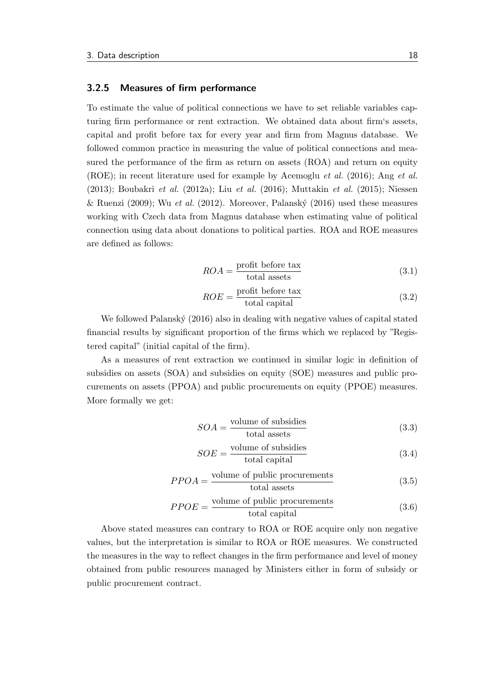### 3.2.5 Measures of firm performance

To estimate the value of political connections we have to set reliable variables capturing firm performance or rent extraction. We obtained data about firm's assets, capital and profit before tax for every year and firm from Magnus database. We followed common practice in measuring the value of political connections and measured the performance of the firm as return on assets (ROA) and return on equity (ROE); in recent literature used for example by [Acemoglu](#page-72-0) et al. [\(2016\)](#page-72-0); Ang [et al.](#page-72-1) [\(2013\)](#page-72-1); [Boubakri](#page-72-2) et al. [\(2012a\)](#page-72-2); Liu [et al.](#page-76-0) [\(2016\)](#page-76-0); [Muttakin](#page-77-1) et al. [\(2015\)](#page-77-1); [Niessen](#page-77-2) [& Ruenzi](#page-77-2) [\(2009\)](#page-77-2); Wu [et al.](#page-79-0) [\(2012\)](#page-79-0). Moreover, Palanský [\(2016\)](#page-77-3) used these measures working with Czech data from Magnus database when estimating value of political connection using data about donations to political parties. ROA and ROE measures are defined as follows:

$$
ROA = \frac{\text{profit before tax}}{\text{total assets}} \tag{3.1}
$$

$$
ROE = \frac{\text{profit before tax}}{\text{total capital}} \tag{3.2}
$$

We followed Palanský  $(2016)$  also in dealing with negative values of capital stated financial results by significant proportion of the firms which we replaced by "Registered capital" (initial capital of the firm).

As a measures of rent extraction we continued in similar logic in definition of subsidies on assets (SOA) and subsidies on equity (SOE) measures and public procurements on assets (PPOA) and public procurements on equity (PPOE) measures. More formally we get:

$$
SOA = \frac{\text{volume of subsidies}}{\text{total assets}}\tag{3.3}
$$

$$
SOE = \frac{\text{volume of subsidies}}{\text{total capital}} \tag{3.4}
$$

$$
PPOA = \frac{\text{volume of public procedures}}{\text{total assets}} \tag{3.5}
$$

$$
PPOE = \frac{\text{volume of public procedures}}{\text{total capital}} \tag{3.6}
$$

Above stated measures can contrary to ROA or ROE acquire only non negative values, but the interpretation is similar to ROA or ROE measures. We constructed the measures in the way to reflect changes in the firm performance and level of money obtained from public resources managed by Ministers either in form of subsidy or public procurement contract.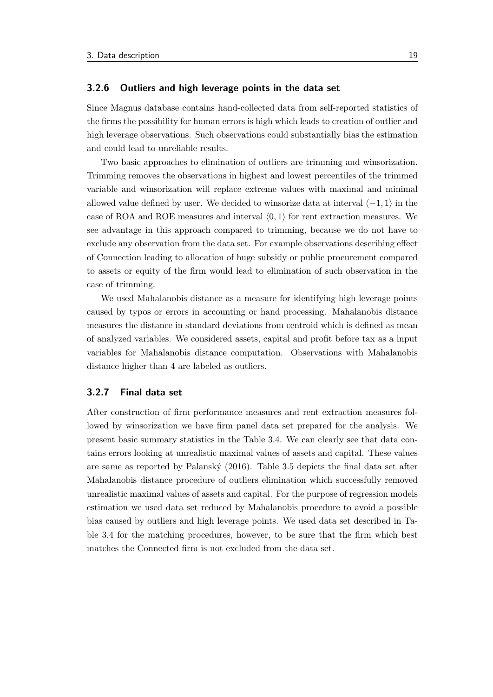### 3.2.6 Outliers and high leverage points in the data set

Since Magnus database contains hand-collected data from self-reported statistics of the firms the possibility for human errors is high which leads to creation of outlier and high leverage observations. Such observations could substantially bias the estimation and could lead to unreliable results.

Two basic approaches to elimination of outliers are trimming and winsorization. Trimming removes the observations in highest and lowest percentiles of the trimmed variable and winsorization will replace extreme values with maximal and minimal allowed value defined by user. We decided to winsorize data at interval  $\langle -1, 1 \rangle$  in the case of ROA and ROE measures and interval  $\langle 0,1 \rangle$  for rent extraction measures. We see advantage in this approach compared to trimming, because we do not have to exclude any observation from the data set. For example observations describing effect of Connection leading to allocation of huge subsidy or public procurement compared to assets or equity of the firm would lead to elimination of such observation in the case of trimming.

We used Mahalanobis distance as a measure for identifying high leverage points caused by typos or errors in accounting or hand processing. Mahalanobis distance measures the distance in standard deviations from centroid which is defined as mean of analyzed variables. We considered assets, capital and profit before tax as a input variables for Mahalanobis distance computation. Observations with Mahalanobis distance higher than 4 are labeled as outliers.

#### 3.2.7 Final data set

After construction of firm performance measures and rent extraction measures followed by winsorization we have firm panel data set prepared for the analysis. We present basic summary statistics in the [Table 3.4.](#page-39-0) We can clearly see that data contains errors looking at unrealistic maximal values of assets and capital. These values are same as reported by Palanský  $(2016)$ . [Table 3.5](#page-39-1) depicts the final data set after Mahalanobis distance procedure of outliers elimination which successfully removed unrealistic maximal values of assets and capital. For the purpose of regression models estimation we used data set reduced by Mahalanobis procedure to avoid a possible bias caused by outliers and high leverage points. We used data set described in [Ta](#page-39-0)[ble 3.4](#page-39-0) for the matching procedures, however, to be sure that the firm which best matches the Connected firm is not excluded from the data set.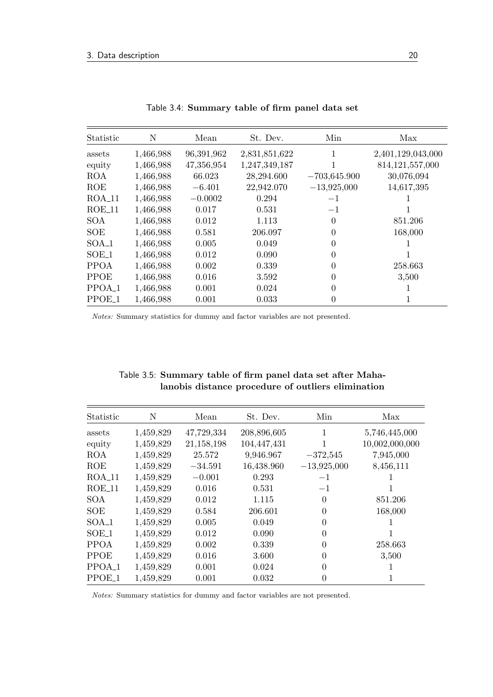<span id="page-39-0"></span>

| Statistic          | N         | Mean       | St. Dev.      | Min            | Max                |
|--------------------|-----------|------------|---------------|----------------|--------------------|
| assets             | 1,466,988 | 96,391,962 | 2,831,851,622 | 1              | 2,401,129,043,000  |
| equity             | 1,466,988 | 47,356,954 | 1,247,349,187 | 1              | 814, 121, 557, 000 |
| <b>ROA</b>         | 1,466,988 | 66.023     | 28,294.600    | $-703,645.900$ | 30,076,094         |
| ROE                | 1,466,988 | $-6.401$   | 22,942.070    | $-13,925,000$  | 14,617,395         |
| $ROA_11$           | 1,466,988 | $-0.0002$  | 0.294         | $-1$           |                    |
| $ROE_11$           | 1,466,988 | 0.017      | 0.531         | $-1$           |                    |
| <b>SOA</b>         | 1,466,988 | 0.012      | 1.113         | $\theta$       | 851.206            |
| SOE                | 1,466,988 | 0.581      | 206.097       | $\theta$       | 168,000            |
| SOA <sub>-1</sub>  | 1,466,988 | 0.005      | 0.049         |                |                    |
| SOE <sub>1</sub>   | 1,466,988 | 0.012      | 0.090         | 0              |                    |
| <b>PPOA</b>        | 1,466,988 | 0.002      | 0.339         | 0              | 258.663            |
| PPOE               | 1,466,988 | 0.016      | 3.592         | 0              | 3,500              |
| PPOA <sub>-1</sub> | 1,466,988 | 0.001      | 0.024         | 0              |                    |
| PPOE <sub>-1</sub> | 1,466,988 | 0.001      | 0.033         | 0              |                    |

|  | Table 3.4: Summary table of firm panel data set |  |  |  |  |  |
|--|-------------------------------------------------|--|--|--|--|--|
|--|-------------------------------------------------|--|--|--|--|--|

Notes: Summary statistics for dummy and factor variables are not presented.

| Statistic          | N         | Mean       | St. Dev.    | Min            | Max            |
|--------------------|-----------|------------|-------------|----------------|----------------|
| assets             | 1,459,829 | 47,729,334 | 208,896,605 | 1              | 5,746,445,000  |
| equity             | 1,459,829 | 21,158,198 | 104,447,431 |                | 10,002,000,000 |
| <b>ROA</b>         | 1,459,829 | 25.572     | 9,946.967   | $-372,545$     | 7,945,000      |
| ROE                | 1,459,829 | $-34.591$  | 16,438.960  | $-13,925,000$  | 8,456,111      |
| $ROA_11$           | 1,459,829 | $-0.001$   | 0.293       | $-1$           |                |
| $ROE_11$           | 1,459,829 | 0.016      | 0.531       | $-1$           | 1              |
| <b>SOA</b>         | 1,459,829 | 0.012      | 1.115       | $\Omega$       | 851.206        |
| SOE                | 1,459,829 | 0.584      | 206.601     | $\Omega$       | 168,000        |
| SOA <sub>-1</sub>  | 1,459,829 | 0.005      | 0.049       | $\theta$       | $\mathbf{I}$   |
| SOE_1              | 1,459,829 | 0.012      | 0.090       | $\overline{0}$ | 1              |
| <b>PPOA</b>        | 1,459,829 | 0.002      | 0.339       | $\Omega$       | 258.663        |
| PPOE               | 1,459,829 | 0.016      | 3.600       | $\theta$       | 3,500          |
| PPOA <sub>-1</sub> | 1,459,829 | 0.001      | 0.024       | $\Omega$       | 1              |
| PPOE <sub>1</sub>  | 1,459,829 | 0.001      | 0.032       | $\theta$       | 1              |

<span id="page-39-1"></span>Table 3.5: Summary table of firm panel data set after Mahalanobis distance procedure of outliers elimination

Notes: Summary statistics for dummy and factor variables are not presented.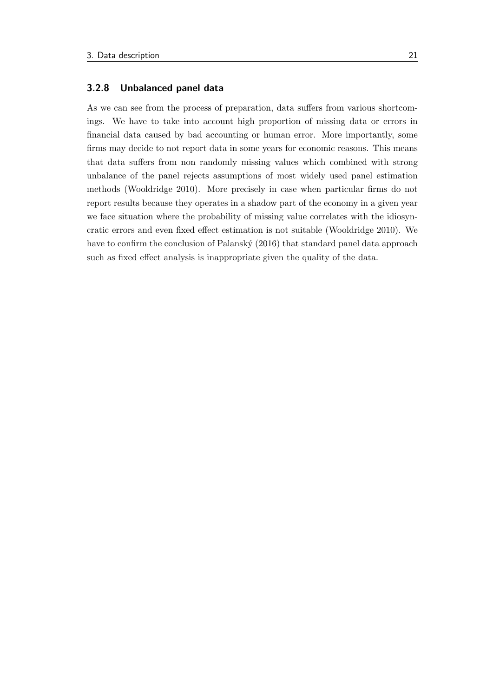### 3.2.8 Unbalanced panel data

As we can see from the process of preparation, data suffers from various shortcomings. We have to take into account high proportion of missing data or errors in financial data caused by bad accounting or human error. More importantly, some firms may decide to not report data in some years for economic reasons. This means that data suffers from non randomly missing values which combined with strong unbalance of the panel rejects assumptions of most widely used panel estimation methods [\(Wooldridge](#page-79-1) [2010\)](#page-79-1). More precisely in case when particular firms do not report results because they operates in a shadow part of the economy in a given year we face situation where the probability of missing value correlates with the idiosyncratic errors and even fixed effect estimation is not suitable [\(Wooldridge](#page-79-1) [2010\)](#page-79-1). We have to confirm the conclusion of Palanský [\(2016\)](#page-77-3) that standard panel data approach such as fixed effect analysis is inappropriate given the quality of the data.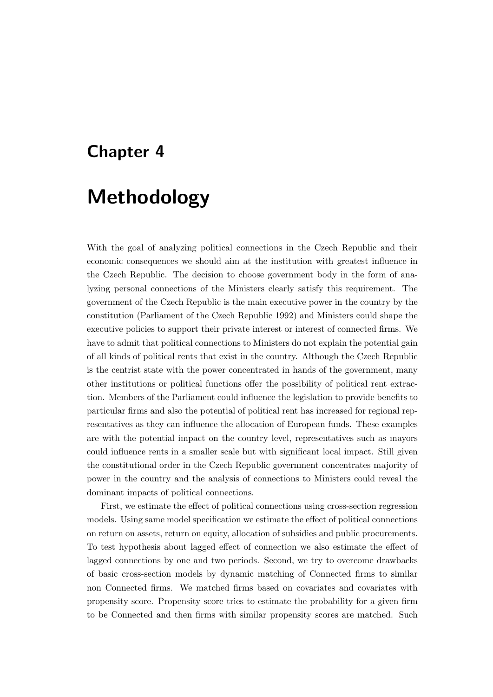## Chapter 4

# Methodology

With the goal of analyzing political connections in the Czech Republic and their economic consequences we should aim at the institution with greatest influence in the Czech Republic. The decision to choose government body in the form of analyzing personal connections of the Ministers clearly satisfy this requirement. The government of the Czech Republic is the main executive power in the country by the constitution [\(Parliament of the Czech Republic](#page-78-1) [1992\)](#page-78-1) and Ministers could shape the executive policies to support their private interest or interest of connected firms. We have to admit that political connections to Ministers do not explain the potential gain of all kinds of political rents that exist in the country. Although the Czech Republic is the centrist state with the power concentrated in hands of the government, many other institutions or political functions offer the possibility of political rent extraction. Members of the Parliament could influence the legislation to provide benefits to particular firms and also the potential of political rent has increased for regional representatives as they can influence the allocation of European funds. These examples are with the potential impact on the country level, representatives such as mayors could influence rents in a smaller scale but with significant local impact. Still given the constitutional order in the Czech Republic government concentrates majority of power in the country and the analysis of connections to Ministers could reveal the dominant impacts of political connections.

First, we estimate the effect of political connections using cross-section regression models. Using same model specification we estimate the effect of political connections on return on assets, return on equity, allocation of subsidies and public procurements. To test hypothesis about lagged effect of connection we also estimate the effect of lagged connections by one and two periods. Second, we try to overcome drawbacks of basic cross-section models by dynamic matching of Connected firms to similar non Connected firms. We matched firms based on covariates and covariates with propensity score. Propensity score tries to estimate the probability for a given firm to be Connected and then firms with similar propensity scores are matched. Such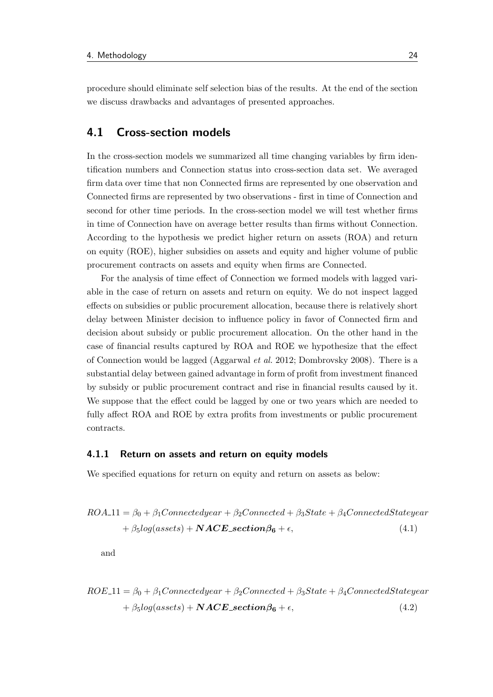procedure should eliminate self selection bias of the results. At the end of the section we discuss drawbacks and advantages of presented approaches.

### 4.1 Cross-section models

In the cross-section models we summarized all time changing variables by firm identification numbers and Connection status into cross-section data set. We averaged firm data over time that non Connected firms are represented by one observation and Connected firms are represented by two observations - first in time of Connection and second for other time periods. In the cross-section model we will test whether firms in time of Connection have on average better results than firms without Connection. According to the hypothesis we predict higher return on assets (ROA) and return on equity (ROE), higher subsidies on assets and equity and higher volume of public procurement contracts on assets and equity when firms are Connected.

For the analysis of time effect of Connection we formed models with lagged variable in the case of return on assets and return on equity. We do not inspect lagged effects on subsidies or public procurement allocation, because there is relatively short delay between Minister decision to influence policy in favor of Connected firm and decision about subsidy or public procurement allocation. On the other hand in the case of financial results captured by ROA and ROE we hypothesize that the effect of Connection would be lagged [\(Aggarwal](#page-72-3) et al. [2012;](#page-72-3) [Dombrovsky](#page-74-0) [2008\)](#page-74-0). There is a substantial delay between gained advantage in form of profit from investment financed by subsidy or public procurement contract and rise in financial results caused by it. We suppose that the effect could be lagged by one or two years which are needed to fully affect ROA and ROE by extra profits from investments or public procurement contracts.

#### 4.1.1 Return on assets and return on equity models

We specified equations for return on equity and return on assets as below:

$$
ROA\_11 = \beta_0 + \beta_1 Connectedyear + \beta_2Connected + \beta_3State + \beta_4ConnectedStateyear + \beta_5log(asserts) + NACE\_section\beta_6 + \epsilon,
$$
\n(4.1)

<span id="page-43-1"></span><span id="page-43-0"></span>and

$$
ROE_11 = \beta_0 + \beta_1 Connectedyear + \beta_2Connected + \beta_3State + \beta_4ConnectedStateyear + \beta_5log(asserts) + NACE-section\beta_6 + \epsilon,
$$
 (4.2)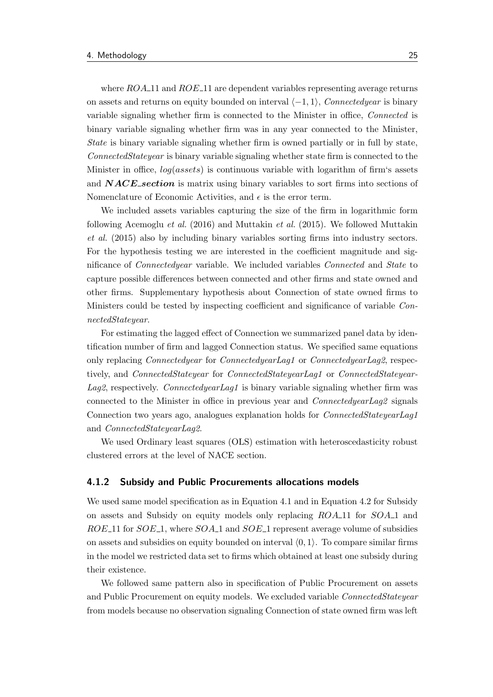where *ROA* 11 and *ROE* 11 are dependent variables representing average returns on assets and returns on equity bounded on interval  $\langle -1, 1 \rangle$ , Connectedyear is binary variable signaling whether firm is connected to the Minister in office, Connected is binary variable signaling whether firm was in any year connected to the Minister, State is binary variable signaling whether firm is owned partially or in full by state, ConnectedStateyear is binary variable signaling whether state firm is connected to the Minister in office, *log*(*assets*) is continuous variable with logarithm of firm's assets and *NACE* section is matrix using binary variables to sort firms into sections of Nomenclature of Economic Activities, and  $\epsilon$  is the error term.

We included assets variables capturing the size of the firm in logarithmic form following [Acemoglu](#page-72-0) et al. [\(2016\)](#page-72-0) and [Muttakin](#page-77-1) et al. [\(2015\)](#page-77-1). We followed [Muttakin](#page-77-1) [et al.](#page-77-1) [\(2015\)](#page-77-1) also by including binary variables sorting firms into industry sectors. For the hypothesis testing we are interested in the coefficient magnitude and significance of Connectedyear variable. We included variables Connected and State to capture possible differences between connected and other firms and state owned and other firms. Supplementary hypothesis about Connection of state owned firms to Ministers could be tested by inspecting coefficient and significance of variable ConnectedStateyear.

For estimating the lagged effect of Connection we summarized panel data by identification number of firm and lagged Connection status. We specified same equations only replacing Connectedyear for ConnectedyearLag1 or ConnectedyearLag2, respectively, and ConnectedStateyear for ConnectedStateyearLag1 or ConnectedStateyear- $Lag2$ , respectively. *ConnectedyearLag1* is binary variable signaling whether firm was connected to the Minister in office in previous year and ConnectedyearLag2 signals Connection two years ago, analogues explanation holds for ConnectedStateyearLag1 and ConnectedStateyearLag2.

We used Ordinary least squares (OLS) estimation with heteroscedasticity robust clustered errors at the level of NACE section.

### 4.1.2 Subsidy and Public Procurements allocations models

We used same model specification as in [Equation 4.1](#page-43-0) and in [Equation 4.2](#page-43-1) for Subsidy on assets and Subsidy on equity models only replacing *ROA* 11 for *SOA* 1 and *ROE* 11 for *SOE* 1, where *SOA* 1 and *SOE* 1 represent average volume of subsidies on assets and subsidies on equity bounded on interval  $(0, 1)$ . To compare similar firms in the model we restricted data set to firms which obtained at least one subsidy during their existence.

We followed same pattern also in specification of Public Procurement on assets and Public Procurement on equity models. We excluded variable *ConnectedStateyear* from models because no observation signaling Connection of state owned firm was left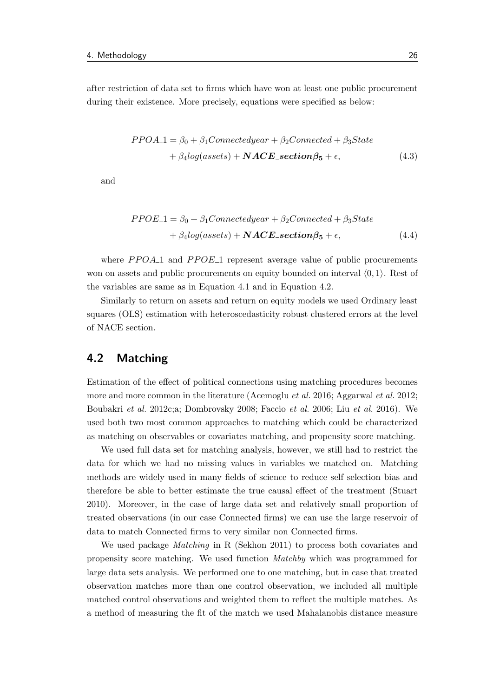after restriction of data set to firms which have won at least one public procurement during their existence. More precisely, equations were specified as below:

$$
PPOA\_1 = \beta_0 + \beta_1 Connectedyear + \beta_2Connected + \beta_3State
$$
  
+  $\beta_4 log(asserts) + NACE\_section\beta_5 + \epsilon,$  (4.3)

and

$$
PPOE_1 = \beta_0 + \beta_1 Connectedyear + \beta_2Connected + \beta_3State
$$

$$
+ \beta_4 log(assets) + NACE\_section\beta_5 + \epsilon,
$$
(4.4)

where *PPOA*<sub>1</sub> and *PPOE*<sub>1</sub> represent average value of public procurements won on assets and public procurements on equity bounded on interval  $(0, 1)$ . Rest of the variables are same as in [Equation 4.1](#page-43-0) and in [Equation 4.2.](#page-43-1)

Similarly to return on assets and return on equity models we used Ordinary least squares (OLS) estimation with heteroscedasticity robust clustered errors at the level of NACE section.

### 4.2 Matching

Estimation of the effect of political connections using matching procedures becomes more and more common in the literature [\(Acemoglu](#page-72-0) et al. [2016;](#page-72-0) [Aggarwal](#page-72-3) et al. [2012;](#page-72-3) [Boubakri](#page-73-0) et al. [2012c;](#page-73-0)[a;](#page-72-2) [Dombrovsky](#page-74-0) [2008;](#page-74-0) [Faccio](#page-74-1) et al. [2006;](#page-74-1) Liu [et al.](#page-76-0) [2016\)](#page-76-0). We used both two most common approaches to matching which could be characterized as matching on observables or covariates matching, and propensity score matching.

We used full data set for matching analysis, however, we still had to restrict the data for which we had no missing values in variables we matched on. Matching methods are widely used in many fields of science to reduce self selection bias and therefore be able to better estimate the true causal effect of the treatment [\(Stuart](#page-78-2) [2010\)](#page-78-2). Moreover, in the case of large data set and relatively small proportion of treated observations (in our case Connected firms) we can use the large reservoir of data to match Connected firms to very similar non Connected firms.

We used package *Matching* in R [\(Sekhon](#page-78-3) [2011\)](#page-78-3) to process both covariates and propensity score matching. We used function Matchby which was programmed for large data sets analysis. We performed one to one matching, but in case that treated observation matches more than one control observation, we included all multiple matched control observations and weighted them to reflect the multiple matches. As a method of measuring the fit of the match we used Mahalanobis distance measure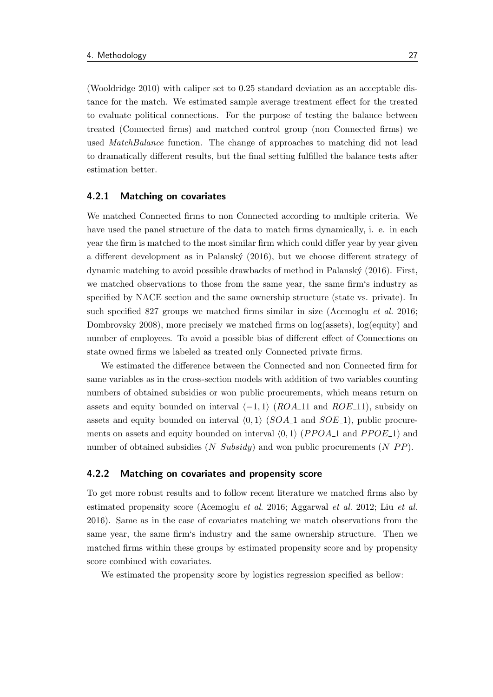[\(Wooldridge](#page-79-1) [2010\)](#page-79-1) with caliper set to 0*.*25 standard deviation as an acceptable distance for the match. We estimated sample average treatment effect for the treated to evaluate political connections. For the purpose of testing the balance between treated (Connected firms) and matched control group (non Connected firms) we used *MatchBalance* function. The change of approaches to matching did not lead to dramatically different results, but the final setting fulfilled the balance tests after estimation better.

### 4.2.1 Matching on covariates

We matched Connected firms to non Connected according to multiple criteria. We have used the panel structure of the data to match firms dynamically, i. e. in each year the firm is matched to the most similar firm which could differ year by year given a different development as in Palanský [\(2016\)](#page-77-3), but we choose different strategy of dynamic matching to avoid possible drawbacks of method in Palanský [\(2016\)](#page-77-3). First, we matched observations to those from the same year, the same firm's industry as specified by NACE section and the same ownership structure (state vs. private). In such specified 827 groups we matched firms similar in size [\(Acemoglu](#page-72-0) *et al.* [2016;](#page-72-0) [Dombrovsky](#page-74-0) [2008\)](#page-74-0), more precisely we matched firms on log(assets), log(equity) and number of employees. To avoid a possible bias of different effect of Connections on state owned firms we labeled as treated only Connected private firms.

We estimated the difference between the Connected and non Connected firm for same variables as in the cross-section models with addition of two variables counting numbers of obtained subsidies or won public procurements, which means return on assets and equity bounded on interval  $\langle -1, 1 \rangle$  (*ROA* 11 and *ROE* 11), subsidy on assets and equity bounded on interval  $\langle 0,1 \rangle$  (*SOA*<sub>-1</sub> and *SOE*<sub>-1</sub>), public procurements on assets and equity bounded on interval  $\langle 0,1 \rangle$  (*PPOA*<sub>-1</sub> and *PPOE*<sub>-1</sub>) and number of obtained subsidies (*N\_Subsidy*) and won public procurements (*N\_PP*).

### 4.2.2 Matching on covariates and propensity score

To get more robust results and to follow recent literature we matched firms also by estimated propensity score [\(Acemoglu](#page-72-0) et al. [2016;](#page-72-0) [Aggarwal](#page-72-3) et al. [2012;](#page-72-3) Liu [et al.](#page-76-0) [2016\)](#page-76-0). Same as in the case of covariates matching we match observations from the same year, the same firm's industry and the same ownership structure. Then we matched firms within these groups by estimated propensity score and by propensity score combined with covariates.

We estimated the propensity score by logistics regression specified as bellow: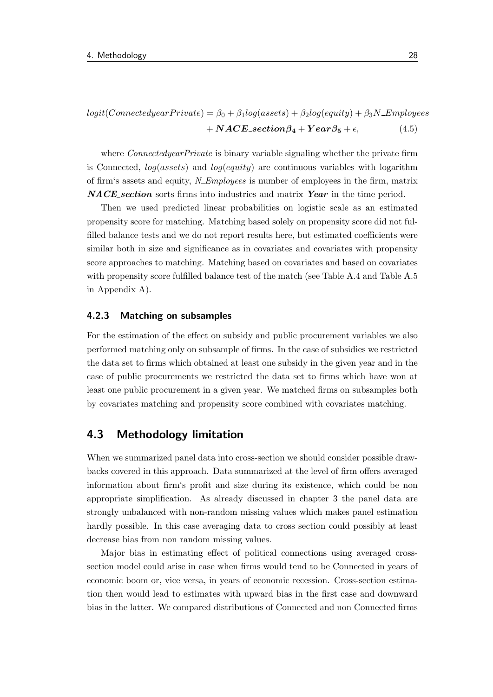$logit(Connectedyear Private) = \beta_0 + \beta_1 log(assets) + \beta_2 log(equity) + \beta_3 N\_Employees$  $+ NACE\_section\beta_4 + Year\beta_5 + \epsilon,$  (4.5)

where *ConnectedyearPrivate* is binary variable signaling whether the private firm is Connected, *log*(*assets*) and *log*(*equity*) are continuous variables with logarithm of firm's assets and equity, N\_*Employees* is number of employees in the firm, matrix NACE section sorts firms into industries and matrix Year in the time period.

Then we used predicted linear probabilities on logistic scale as an estimated propensity score for matching. Matching based solely on propensity score did not fulfilled balance tests and we do not report results here, but estimated coefficients were similar both in size and significance as in covariates and covariates with propensity score approaches to matching. Matching based on covariates and based on covariates with propensity score fulfilled balance test of the match (see [Table A.4](#page-86-0) and [Table A.5](#page-86-1) in [Appendix A\)](#page-82-0).

### 4.2.3 Matching on subsamples

For the estimation of the effect on subsidy and public procurement variables we also performed matching only on subsample of firms. In the case of subsidies we restricted the data set to firms which obtained at least one subsidy in the given year and in the case of public procurements we restricted the data set to firms which have won at least one public procurement in a given year. We matched firms on subsamples both by covariates matching and propensity score combined with covariates matching.

## 4.3 Methodology limitation

When we summarized panel data into cross-section we should consider possible drawbacks covered in this approach. Data summarized at the level of firm offers averaged information about firm's profit and size during its existence, which could be non appropriate simplification. As already discussed in [chapter 3](#page-32-0) the panel data are strongly unbalanced with non-random missing values which makes panel estimation hardly possible. In this case averaging data to cross section could possibly at least decrease bias from non random missing values.

Major bias in estimating effect of political connections using averaged crosssection model could arise in case when firms would tend to be Connected in years of economic boom or, vice versa, in years of economic recession. Cross-section estimation then would lead to estimates with upward bias in the first case and downward bias in the latter. We compared distributions of Connected and non Connected firms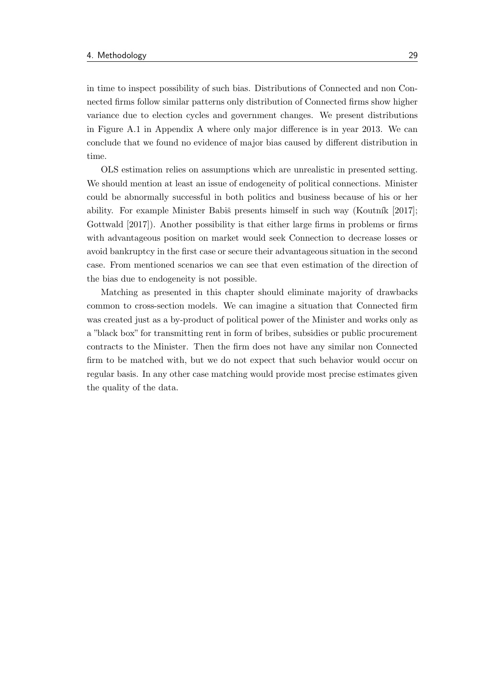in time to inspect possibility of such bias. Distributions of Connected and non Connected firms follow similar patterns only distribution of Connected firms show higher variance due to election cycles and government changes. We present distributions in [Figure A.1](#page-82-1) in [Appendix A](#page-82-0) where only major difference is in year 2013. We can conclude that we found no evidence of major bias caused by different distribution in time.

OLS estimation relies on assumptions which are unrealistic in presented setting. We should mention at least an issue of endogeneity of political connections. Minister could be abnormally successful in both politics and business because of his or her ability. For example Minister Babiš presents himself in such way (Koutník  $[2017]$ ; [Gottwald](#page-75-1) [\[2017\]\)](#page-75-1). Another possibility is that either large firms in problems or firms with advantageous position on market would seek Connection to decrease losses or avoid bankruptcy in the first case or secure their advantageous situation in the second case. From mentioned scenarios we can see that even estimation of the direction of the bias due to endogeneity is not possible.

Matching as presented in this chapter should eliminate majority of drawbacks common to cross-section models. We can imagine a situation that Connected firm was created just as a by-product of political power of the Minister and works only as a "black box" for transmitting rent in form of bribes, subsidies or public procurement contracts to the Minister. Then the firm does not have any similar non Connected firm to be matched with, but we do not expect that such behavior would occur on regular basis. In any other case matching would provide most precise estimates given the quality of the data.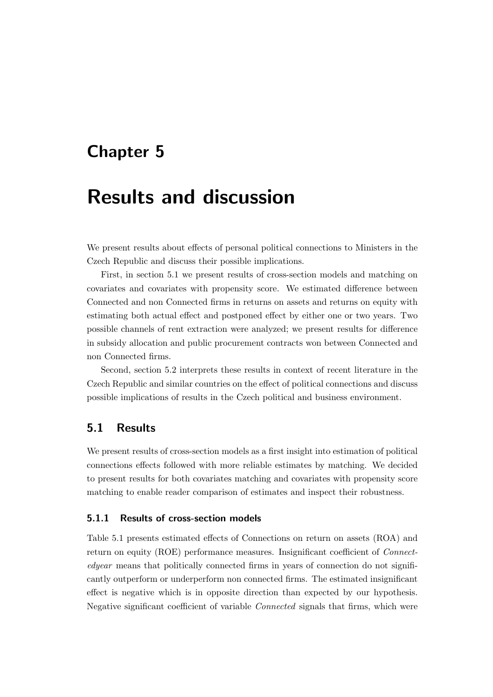## Chapter 5

# Results and discussion

We present results about effects of personal political connections to Ministers in the Czech Republic and discuss their possible implications.

First, in [section 5.1](#page-50-0) we present results of cross-section models and matching on covariates and covariates with propensity score. We estimated difference between Connected and non Connected firms in returns on assets and returns on equity with estimating both actual effect and postponed effect by either one or two years. Two possible channels of rent extraction were analyzed; we present results for difference in subsidy allocation and public procurement contracts won between Connected and non Connected firms.

Second, [section 5.2](#page-61-0) interprets these results in context of recent literature in the Czech Republic and similar countries on the effect of political connections and discuss possible implications of results in the Czech political and business environment.

### <span id="page-50-0"></span>5.1 Results

We present results of cross-section models as a first insight into estimation of political connections effects followed with more reliable estimates by matching. We decided to present results for both covariates matching and covariates with propensity score matching to enable reader comparison of estimates and inspect their robustness.

### 5.1.1 Results of cross-section models

[Table 5.1](#page-52-0) presents estimated effects of Connections on return on assets (ROA) and return on equity (ROE) performance measures. Insignificant coefficient of Connectedyear means that politically connected firms in years of connection do not significantly outperform or underperform non connected firms. The estimated insignificant effect is negative which is in opposite direction than expected by our hypothesis. Negative significant coefficient of variable Connected signals that firms, which were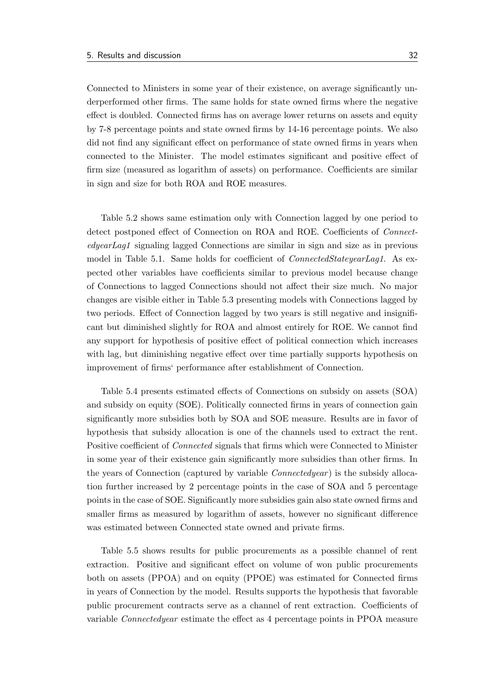Connected to Ministers in some year of their existence, on average significantly underperformed other firms. The same holds for state owned firms where the negative effect is doubled. Connected firms has on average lower returns on assets and equity by 7-8 percentage points and state owned firms by 14-16 percentage points. We also did not find any significant effect on performance of state owned firms in years when connected to the Minister. The model estimates significant and positive effect of firm size (measured as logarithm of assets) on performance. Coefficients are similar in sign and size for both ROA and ROE measures.

[Table 5.2](#page-53-0) shows same estimation only with Connection lagged by one period to detect postponed effect of Connection on ROA and ROE. Coefficients of ConnectedyearLag1 signaling lagged Connections are similar in sign and size as in previous model in [Table 5.1.](#page-52-0) Same holds for coefficient of ConnectedStateyearLag1. As expected other variables have coefficients similar to previous model because change of Connections to lagged Connections should not affect their size much. No major changes are visible either in [Table 5.3](#page-54-0) presenting models with Connections lagged by two periods. Effect of Connection lagged by two years is still negative and insignificant but diminished slightly for ROA and almost entirely for ROE. We cannot find any support for hypothesis of positive effect of political connection which increases with lag, but diminishing negative effect over time partially supports hypothesis on improvement of firms' performance after establishment of Connection.

[Table 5.4](#page-55-0) presents estimated effects of Connections on subsidy on assets (SOA) and subsidy on equity (SOE). Politically connected firms in years of connection gain significantly more subsidies both by SOA and SOE measure. Results are in favor of hypothesis that subsidy allocation is one of the channels used to extract the rent. Positive coefficient of Connected signals that firms which were Connected to Minister in some year of their existence gain significantly more subsidies than other firms. In the years of Connection (captured by variable  $Connectedyear$ ) is the subsidy allocation further increased by 2 percentage points in the case of SOA and 5 percentage points in the case of SOE. Significantly more subsidies gain also state owned firms and smaller firms as measured by logarithm of assets, however no significant difference was estimated between Connected state owned and private firms.

[Table 5.5](#page-56-0) shows results for public procurements as a possible channel of rent extraction. Positive and significant effect on volume of won public procurements both on assets (PPOA) and on equity (PPOE) was estimated for Connected firms in years of Connection by the model. Results supports the hypothesis that favorable public procurement contracts serve as a channel of rent extraction. Coefficients of variable Connectedyear estimate the effect as 4 percentage points in PPOA measure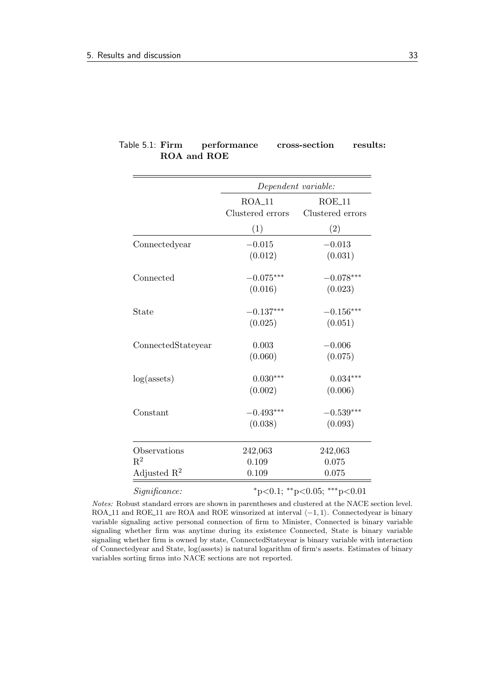|                         |                  | Dependent variable:                     |
|-------------------------|------------------|-----------------------------------------|
|                         | $ROA_11$         | $ROE_11$                                |
|                         | Clustered errors | Clustered errors                        |
|                         | (1)              | (2)                                     |
| Connectedyear           | $-0.015$         | $-0.013$                                |
|                         | (0.012)          | (0.031)                                 |
| Connected               | $-0.075***$      | $-0.078***$                             |
|                         | (0.016)          | (0.023)                                 |
| State                   | $-0.137***$      | $-0.156***$                             |
|                         | (0.025)          | (0.051)                                 |
| ConnectedStateyear      | 0.003            | $-0.006$                                |
|                         | (0.060)          | (0.075)                                 |
| $log($ assets $)$       | $0.030***$       | $0.034***$                              |
|                         | (0.002)          | (0.006)                                 |
| Constant                | $-0.493***$      | $-0.539***$                             |
|                         | (0.038)          | (0.093)                                 |
| Observations            | 242,063          | 242,063                                 |
| $\mathbf{R}^2$          | 0.109            | 0.075                                   |
| Adjusted $\mathbb{R}^2$ | 0.109            | 0.075                                   |
| Significance:           |                  | $*_{p<0.1;}$ $*_{p<0.05;}$ $*_{p<0.01}$ |

<span id="page-52-0"></span>Table 5.1: Firm performance cross-section results: ROA and ROE

Notes: Robust standard errors are shown in parentheses and clustered at the NACE section level. ROA 11 and ROE 11 are ROA and ROE winsorized at interval  $\langle -1, 1 \rangle$ . Connectedyear is binary variable signaling active personal connection of firm to Minister, Connected is binary variable signaling whether firm was anytime during its existence Connected, State is binary variable signaling whether firm is owned by state, ConnectedStateyear is binary variable with interaction of Connectedyear and State, log(assets) is natural logarithm of firm's assets. Estimates of binary variables sorting firms into NACE sections are not reported.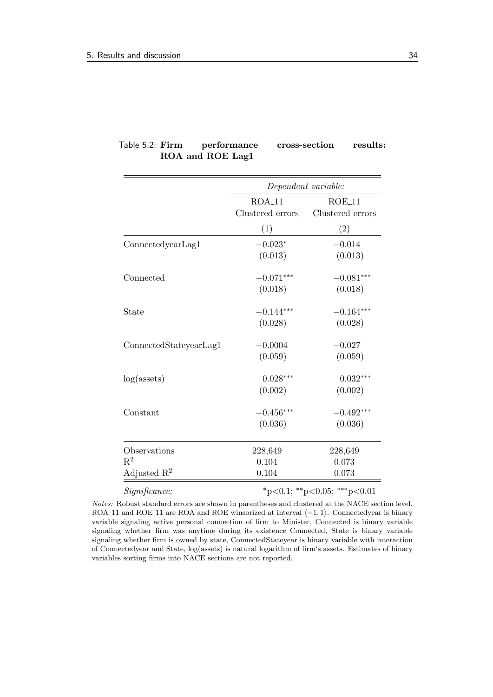|                         |                              | Dependent variable:                     |
|-------------------------|------------------------------|-----------------------------------------|
|                         | $ROA_11$<br>Clustered errors | $ROE_11$<br>Clustered errors            |
|                         | (1)                          | (2)                                     |
| ConnectedyearLag1       | $-0.023*$                    | $-0.014$                                |
|                         | (0.013)                      | (0.013)                                 |
| Connected               | $-0.071***$                  | $-0.081***$                             |
|                         | (0.018)                      | (0.018)                                 |
| <b>State</b>            | $-0.144***$                  | $-0.164***$                             |
|                         | (0.028)                      | (0.028)                                 |
| ConnectedStateyearLag1  | $-0.0004$                    | $-0.027$                                |
|                         | (0.059)                      | (0.059)                                 |
| $log($ assets $)$       | $0.028***$                   | $0.032***$                              |
|                         | (0.002)                      | (0.002)                                 |
| Constant                | $-0.456***$                  | $-0.492***$                             |
|                         | (0.036)                      | (0.036)                                 |
| Observations            | 228,649                      | 228,649                                 |
| $\mathrm{R}^2$          | 0.104                        | 0.073                                   |
| Adjusted $\mathbb{R}^2$ | 0.104                        | 0.073                                   |
| Significance:           |                              | $*_{p<0.1;}$ $*_{p<0.05;}$ $*_{p<0.01}$ |

<span id="page-53-0"></span>Table 5.2: Firm performance cross-section results: ROA and ROE Lag1

Notes: Robust standard errors are shown in parentheses and clustered at the NACE section level. ROA 11 and ROE 11 are ROA and ROE winsorized at interval  $\langle -1, 1 \rangle$ . Connectedyear is binary variable signaling active personal connection of firm to Minister, Connected is binary variable signaling whether firm was anytime during its existence Connected, State is binary variable signaling whether firm is owned by state, ConnectedStateyear is binary variable with interaction of Connectedyear and State, log(assets) is natural logarithm of firm's assets. Estimates of binary variables sorting firms into NACE sections are not reported.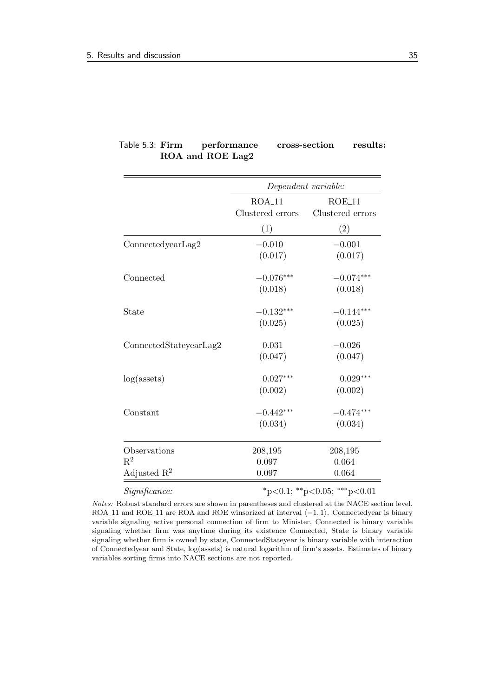|                         |                              | Dependent variable:                     |
|-------------------------|------------------------------|-----------------------------------------|
|                         | $ROA_11$<br>Clustered errors | $ROE_11$<br>Clustered errors            |
|                         | (1)                          | (2)                                     |
| Connected year Lag2     | $-0.010$                     | $-0.001$                                |
|                         | (0.017)                      | (0.017)                                 |
| Connected               | $-0.076***$                  | $-0.074***$                             |
|                         | (0.018)                      | (0.018)                                 |
| State                   | $-0.132***$                  | $-0.144***$                             |
|                         | (0.025)                      | (0.025)                                 |
| ConnectedStateyearLag2  | 0.031                        | $-0.026$                                |
|                         | (0.047)                      | (0.047)                                 |
| log(asserts)            | $0.027***$                   | $0.029***$                              |
|                         | (0.002)                      | (0.002)                                 |
| Constant                | $-0.442***$                  | $-0.474***$                             |
|                         | (0.034)                      | (0.034)                                 |
| Observations            | 208,195                      | 208,195                                 |
| $R^2$                   | 0.097                        | 0.064                                   |
| Adjusted $\mathbb{R}^2$ | 0.097                        | 0.064                                   |
| Significance:           |                              | $*_{p<0.1;}$ $*_{p<0.05;}$ $*_{p<0.01}$ |

<span id="page-54-0"></span>Table 5.3: Firm performance cross-section results: ROA and ROE Lag2

Notes: Robust standard errors are shown in parentheses and clustered at the NACE section level. ROA 11 and ROE 11 are ROA and ROE winsorized at interval  $\langle -1, 1 \rangle$ . Connectedyear is binary variable signaling active personal connection of firm to Minister, Connected is binary variable signaling whether firm was anytime during its existence Connected, State is binary variable signaling whether firm is owned by state, ConnectedStateyear is binary variable with interaction of Connectedyear and State, log(assets) is natural logarithm of firm's assets. Estimates of binary variables sorting firms into NACE sections are not reported.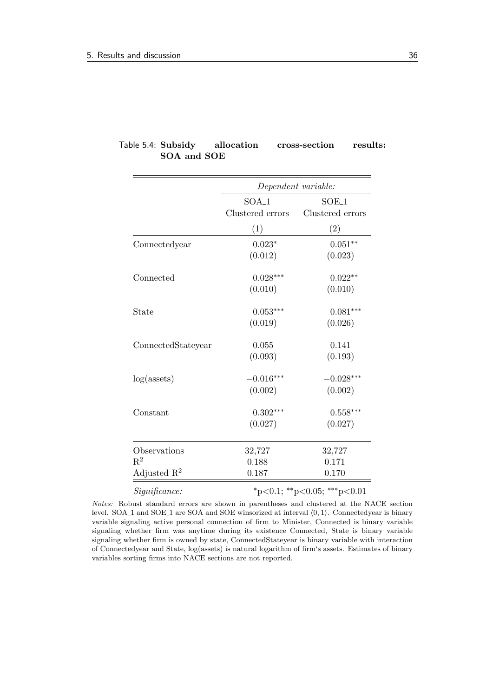|                         |                  | Dependent variable:                     |
|-------------------------|------------------|-----------------------------------------|
|                         | $SOA_1$          | SOE_1                                   |
|                         | Clustered errors | Clustered errors                        |
|                         | (1)              | (2)                                     |
| Connectedyear           | $0.023*$         | $0.051**$                               |
|                         | (0.012)          | (0.023)                                 |
| Connected               | $0.028***$       | $0.022**$                               |
|                         | (0.010)          | (0.010)                                 |
| State                   | $0.053***$       | $0.081***$                              |
|                         | (0.019)          | (0.026)                                 |
| ConnectedStateyear      | 0.055            | 0.141                                   |
|                         | (0.093)          | (0.193)                                 |
| $log($ assets $)$       | $-0.016***$      | $-0.028***$                             |
|                         | (0.002)          | (0.002)                                 |
| Constant                | $0.302***$       | $0.558***$                              |
|                         | (0.027)          | (0.027)                                 |
| Observations            | 32,727           | 32,727                                  |
| $\mathbf{R}^2$          | 0.188            | 0.171                                   |
| Adjusted $\mathbb{R}^2$ | 0.187            | 0.170                                   |
| Significance:           |                  | $*_{p<0.1;}$ $*_{p<0.05;}$ $*_{p<0.01}$ |

### <span id="page-55-0"></span>Table 5.4: Subsidy allocation cross-section results: SOA and SOE

Notes: Robust standard errors are shown in parentheses and clustered at the NACE section level. SOA<sub>-1</sub> and SOE<sub>-1</sub> are SOA and SOE winsorized at interval  $(0, 1)$ . Connectedyear is binary variable signaling active personal connection of firm to Minister, Connected is binary variable signaling whether firm was anytime during its existence Connected, State is binary variable signaling whether firm is owned by state, ConnectedStateyear is binary variable with interaction of Connectedyear and State, log(assets) is natural logarithm of firm's assets. Estimates of binary variables sorting firms into NACE sections are not reported.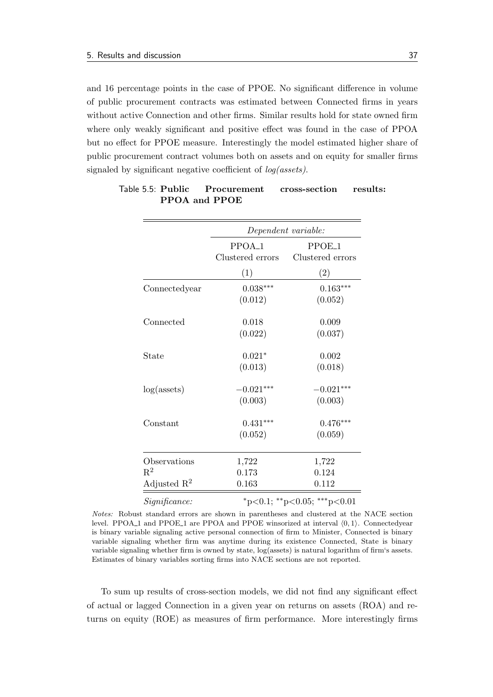and 16 percentage points in the case of PPOE. No significant difference in volume of public procurement contracts was estimated between Connected firms in years without active Connection and other firms. Similar results hold for state owned firm where only weakly significant and positive effect was found in the case of PPOA but no effect for PPOE measure. Interestingly the model estimated higher share of public procurement contract volumes both on assets and on equity for smaller firms signaled by significant negative coefficient of  $log(asserts)$ .

|                         |                                        | Dependent variable:                    |
|-------------------------|----------------------------------------|----------------------------------------|
|                         | PPOA <sub>-1</sub><br>Clustered errors | PPOE <sub>-1</sub><br>Clustered errors |
|                         | (1)                                    | (2)                                    |
| Connectedyear           | $0.038***$                             | $0.163***$                             |
|                         | (0.012)                                | (0.052)                                |
| Connected               | 0.018                                  | 0.009                                  |
|                         | (0.022)                                | (0.037)                                |
| State                   | $0.021*$                               | 0.002                                  |
|                         | (0.013)                                | (0.018)                                |
| $log($ assets $)$       | $-0.021***$                            | $-0.021***$                            |
|                         | (0.003)                                | (0.003)                                |
| Constant                | $0.431***$                             | $0.476***$                             |
|                         | (0.052)                                | (0.059)                                |
| Observations            | 1,722                                  | 1,722                                  |
| $\mathrm{R}^2$          | 0.173                                  | 0.124                                  |
| Adjusted $\mathbb{R}^2$ | 0.163                                  | 0.112                                  |
| Significance:           |                                        | *p<0.1; **p<0.05; ***p<0.01            |

### <span id="page-56-0"></span>Table 5.5: Public Procurement cross-section results: PPOA and PPOE

Notes: Robust standard errors are shown in parentheses and clustered at the NACE section level. PPOA<sub>-1</sub> and PPOE<sub>-1</sub> are PPOA and PPOE winsorized at interval  $(0, 1)$ . Connectedyear is binary variable signaling active personal connection of firm to Minister, Connected is binary variable signaling whether firm was anytime during its existence Connected, State is binary variable signaling whether firm is owned by state, log(assets) is natural logarithm of firm's assets. Estimates of binary variables sorting firms into NACE sections are not reported.

To sum up results of cross-section models, we did not find any significant effect of actual or lagged Connection in a given year on returns on assets (ROA) and returns on equity (ROE) as measures of firm performance. More interestingly firms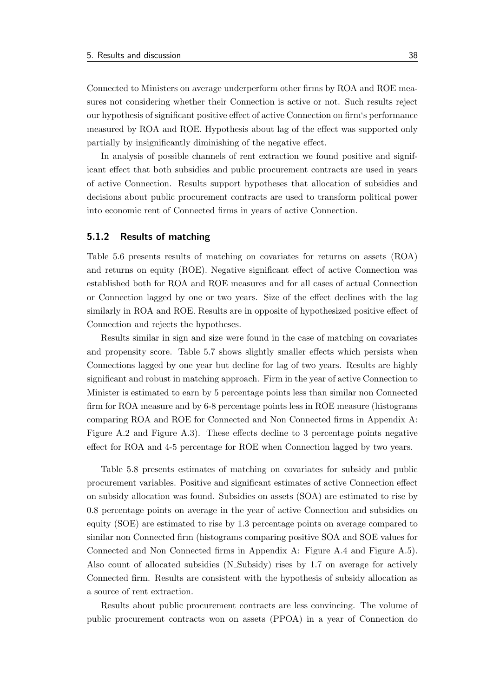Connected to Ministers on average underperform other firms by ROA and ROE measures not considering whether their Connection is active or not. Such results reject our hypothesis of significant positive effect of active Connection on firm's performance measured by ROA and ROE. Hypothesis about lag of the effect was supported only partially by insignificantly diminishing of the negative effect.

In analysis of possible channels of rent extraction we found positive and significant effect that both subsidies and public procurement contracts are used in years of active Connection. Results support hypotheses that allocation of subsidies and decisions about public procurement contracts are used to transform political power into economic rent of Connected firms in years of active Connection.

### 5.1.2 Results of matching

[Table 5.6](#page-58-0) presents results of matching on covariates for returns on assets (ROA) and returns on equity (ROE). Negative significant effect of active Connection was established both for ROA and ROE measures and for all cases of actual Connection or Connection lagged by one or two years. Size of the effect declines with the lag similarly in ROA and ROE. Results are in opposite of hypothesized positive effect of Connection and rejects the hypotheses.

Results similar in sign and size were found in the case of matching on covariates and propensity score. [Table 5.7](#page-58-1) shows slightly smaller effects which persists when Connections lagged by one year but decline for lag of two years. Results are highly significant and robust in matching approach. Firm in the year of active Connection to Minister is estimated to earn by 5 percentage points less than similar non Connected firm for ROA measure and by 6-8 percentage points less in ROE measure (histograms comparing ROA and ROE for Connected and Non Connected firms in [Appendix A:](#page-82-0) [Figure A.2](#page-83-0) and [Figure A.3\)](#page-83-1). These effects decline to 3 percentage points negative effect for ROA and 4-5 percentage for ROE when Connection lagged by two years.

[Table 5.8](#page-59-0) presents estimates of matching on covariates for subsidy and public procurement variables. Positive and significant estimates of active Connection effect on subsidy allocation was found. Subsidies on assets (SOA) are estimated to rise by 0.8 percentage points on average in the year of active Connection and subsidies on equity (SOE) are estimated to rise by 1.3 percentage points on average compared to similar non Connected firm (histograms comparing positive SOA and SOE values for Connected and Non Connected firms in [Appendix A:](#page-82-0) [Figure A.4](#page-84-0) and [Figure A.5\)](#page-84-1). Also count of allocated subsidies (N\_Subsidy) rises by 1.7 on average for actively Connected firm. Results are consistent with the hypothesis of subsidy allocation as a source of rent extraction.

Results about public procurement contracts are less convincing. The volume of public procurement contracts won on assets (PPOA) in a year of Connection do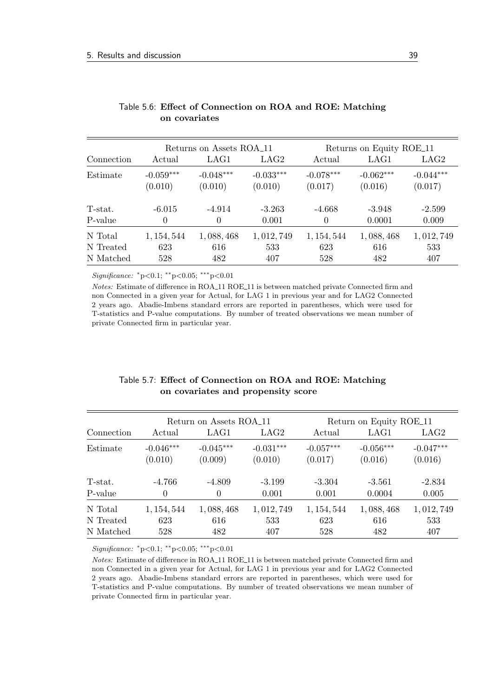|            |             | Returns on Assets ROA <sub>-11</sub> |             |             | Returns on Equity ROE_11 |             |
|------------|-------------|--------------------------------------|-------------|-------------|--------------------------|-------------|
| Connection | Actual      | LAG1                                 | LAG2        | Actual      | LAG1                     | LAG2        |
| Estimate   | $-0.059***$ | $-0.048***$                          | $-0.033***$ | $-0.078***$ | $-0.062***$              | $-0.044***$ |
|            | (0.010)     | (0.010)                              | (0.010)     | (0.017)     | (0.016)                  | (0.017)     |
| T-stat.    | $-6.015$    | $-4.914$                             | $-3.263$    | $-4.668$    | $-3.948$                 | $-2.599$    |
| P-value    | $\theta$    | $\Omega$                             | 0.001       | $\theta$    | 0.0001                   | 0.009       |
| N Total    | 1, 154, 544 | 1,088,468                            | 1, 012, 749 | 1, 154, 544 | 1,088,468                | 1,012,749   |
| N Treated  | 623         | 616                                  | 533         | 623         | 616                      | 533         |
| N Matched  | 528         | 482                                  | 407         | 528         | 482                      | 407         |

<span id="page-58-0"></span>

| Table 5.6: Effect of Connection on ROA and ROE: Matching |  |  |
|----------------------------------------------------------|--|--|
| on covariates                                            |  |  |

Significance: <sup>∗</sup>p*<*0.1; ∗∗p*<*0.05; ∗∗∗p*<*0.01

Notes: Estimate of difference in ROA 11 ROE 11 is between matched private Connected firm and non Connected in a given year for Actual, for LAG 1 in previous year and for LAG2 Connected 2 years ago. Abadie-Imbens standard errors are reported in parentheses, which were used for T-statistics and P-value computations. By number of treated observations we mean number of private Connected firm in particular year.

<span id="page-58-1"></span>

| Table 5.7: Effect of Connection on ROA and ROE: Matching |
|----------------------------------------------------------|
| on covariates and propensity score                       |

|                    |                        | Return on Assets ROA <sub>-11</sub> |                        |                        | Return on Equity ROE_11 |                        |
|--------------------|------------------------|-------------------------------------|------------------------|------------------------|-------------------------|------------------------|
| Connection         | Actual                 | LAG1                                | LAG2                   | Actual                 | LAG1                    | LAG <sub>2</sub>       |
| Estimate           | $-0.046***$<br>(0.010) | $-0.045***$<br>(0.009)              | $-0.031***$<br>(0.010) | $-0.057***$<br>(0.017) | $-0.056***$<br>(0.016)  | $-0.047***$<br>(0.016) |
| T-stat.<br>P-value | -4.766<br>$\theta$     | $-4.809$<br>$\theta$                | $-3.199$<br>0.001      | $-3.304$<br>0.001      | $-3.561$<br>0.0004      | $-2.834$<br>0.005      |
| N Total            | 1, 154, 544            | 1,088,468                           | 1,012,749              | 1, 154, 544            | 1,088,468               | 1,012,749              |
| N Treated          | 623                    | 616                                 | 533                    | 623                    | 616                     | 533                    |
| N Matched          | 528                    | 482                                 | 407                    | 528                    | 482                     | 407                    |

Significance: <sup>∗</sup>p*<*0.1; ∗∗p*<*0.05; ∗∗∗p*<*0.01

Notes: Estimate of difference in ROA<sub>11</sub> ROE<sub>11</sub> is between matched private Connected firm and non Connected in a given year for Actual, for LAG 1 in previous year and for LAG2 Connected 2 years ago. Abadie-Imbens standard errors are reported in parentheses, which were used for T-statistics and P-value computations. By number of treated observations we mean number of private Connected firm in particular year.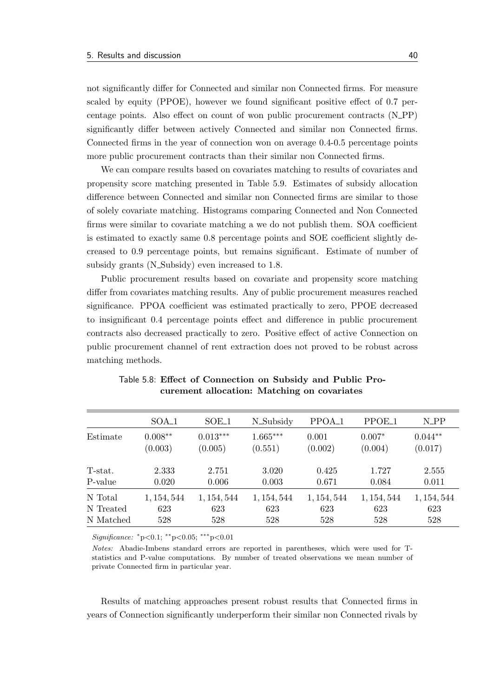not significantly differ for Connected and similar non Connected firms. For measure scaled by equity (PPOE), however we found significant positive effect of 0.7 percentage points. Also effect on count of won public procurement contracts (N PP) significantly differ between actively Connected and similar non Connected firms. Connected firms in the year of connection won on average 0.4-0.5 percentage points more public procurement contracts than their similar non Connected firms.

We can compare results based on covariates matching to results of covariates and propensity score matching presented in [Table 5.9.](#page-60-0) Estimates of subsidy allocation difference between Connected and similar non Connected firms are similar to those of solely covariate matching. Histograms comparing Connected and Non Connected firms were similar to covariate matching a we do not publish them. SOA coefficient is estimated to exactly same 0.8 percentage points and SOE coefficient slightly decreased to 0.9 percentage points, but remains significant. Estimate of number of subsidy grants  $(N_{\text{subsidy}})$  even increased to 1.8.

Public procurement results based on covariate and propensity score matching differ from covariates matching results. Any of public procurement measures reached significance. PPOA coefficient was estimated practically to zero, PPOE decreased to insignificant 0.4 percentage points effect and difference in public procurement contracts also decreased practically to zero. Positive effect of active Connection on public procurement channel of rent extraction does not proved to be robust across matching methods.

|           | SOA <sub>-1</sub>    | SOE_1                 | N_Subsidy             | PPOA <sub>-1</sub> | PPOE <sub>1</sub>   | N_PP                 |
|-----------|----------------------|-----------------------|-----------------------|--------------------|---------------------|----------------------|
| Estimate  | $0.008**$<br>(0.003) | $0.013***$<br>(0.005) | $1.665***$<br>(0.551) | 0.001<br>(0.002)   | $0.007*$<br>(0.004) | $0.044**$<br>(0.017) |
| T-stat.   | 2.333                | 2.751                 | 3.020                 | 0.425              | 1.727               | 2.555                |
| P-value   | 0.020                | 0.006                 | 0.003                 | 0.671              | 0.084               | 0.011                |
| N Total   | 1, 154, 544          | 1, 154, 544           | 1, 154, 544           | 1, 154, 544        | 1, 154, 544         | 1, 154, 544          |
| N Treated | 623                  | 623                   | 623                   | 623                | 623                 | 623                  |
| N Matched | 528                  | 528                   | 528                   | 528                | 528                 | 528                  |

<span id="page-59-0"></span>Table 5.8: Effect of Connection on Subsidy and Public Procurement allocation: Matching on covariates

Significance: <sup>∗</sup>p*<*0.1; ∗∗p*<*0.05; ∗∗∗p*<*0.01

Notes: Abadie-Imbens standard errors are reported in parentheses, which were used for Tstatistics and P-value computations. By number of treated observations we mean number of private Connected firm in particular year.

Results of matching approaches present robust results that Connected firms in years of Connection significantly underperform their similar non Connected rivals by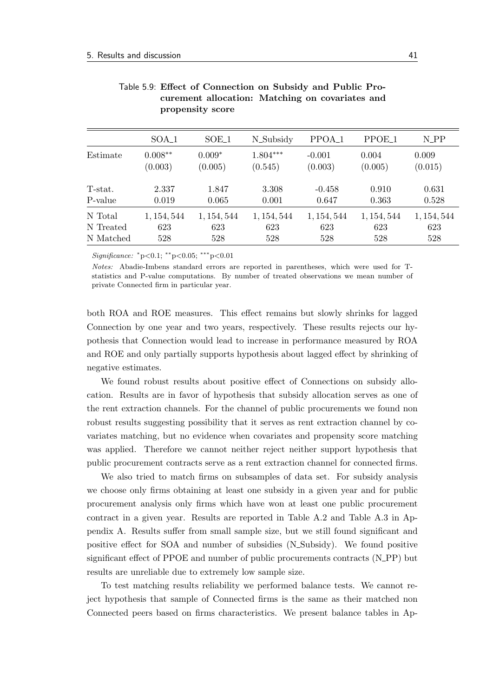|           | SOA <sub>-1</sub>    | $SOE_1$             | N_Subsidy             | PPOA <sub>-1</sub>  | PPOE <sub>-1</sub> | N_PP             |
|-----------|----------------------|---------------------|-----------------------|---------------------|--------------------|------------------|
| Estimate  | $0.008**$<br>(0.003) | $0.009*$<br>(0.005) | $1.804***$<br>(0.545) | $-0.001$<br>(0.003) | 0.004<br>(0.005)   | 0.009<br>(0.015) |
| T-stat.   | 2.337                | 1.847               | 3.308                 | $-0.458$            | 0.910              | 0.631            |
| P-value   | 0.019                | 0.065               | 0.001                 | 0.647               | 0.363              | 0.528            |
| N Total   | 1, 154, 544          | 1, 154, 544         | 1, 154, 544           | 1, 154, 544         | 1, 154, 544        | 1, 154, 544      |
| N Treated | 623                  | 623                 | 623                   | 623                 | 623                | 623              |
| N Matched | 528                  | 528                 | 528                   | 528                 | 528                | 528              |

<span id="page-60-0"></span>

|                  | Table 5.9: Effect of Connection on Subsidy and Public Pro- |
|------------------|------------------------------------------------------------|
|                  | curement allocation: Matching on covariates and            |
| propensity score |                                                            |

Significance: <sup>∗</sup>p*<*0.1; ∗∗p*<*0.05; ∗∗∗p*<*0.01

Notes: Abadie-Imbens standard errors are reported in parentheses, which were used for Tstatistics and P-value computations. By number of treated observations we mean number of private Connected firm in particular year.

both ROA and ROE measures. This effect remains but slowly shrinks for lagged Connection by one year and two years, respectively. These results rejects our hypothesis that Connection would lead to increase in performance measured by ROA and ROE and only partially supports hypothesis about lagged effect by shrinking of negative estimates.

We found robust results about positive effect of Connections on subsidy allocation. Results are in favor of hypothesis that subsidy allocation serves as one of the rent extraction channels. For the channel of public procurements we found non robust results suggesting possibility that it serves as rent extraction channel by covariates matching, but no evidence when covariates and propensity score matching was applied. Therefore we cannot neither reject neither support hypothesis that public procurement contracts serve as a rent extraction channel for connected firms.

We also tried to match firms on subsamples of data set. For subsidy analysis we choose only firms obtaining at least one subsidy in a given year and for public procurement analysis only firms which have won at least one public procurement contract in a given year. Results are reported in [Table A.2](#page-85-0) and [Table A.3](#page-85-1) in [Ap](#page-82-0)[pendix A.](#page-82-0) Results suffer from small sample size, but we still found significant and positive effect for SOA and number of subsidies (N Subsidy). We found positive significant effect of PPOE and number of public procurements contracts (N\_PP) but results are unreliable due to extremely low sample size.

To test matching results reliability we performed balance tests. We cannot reject hypothesis that sample of Connected firms is the same as their matched non Connected peers based on firms characteristics. We present balance tables in [Ap-](#page-82-0)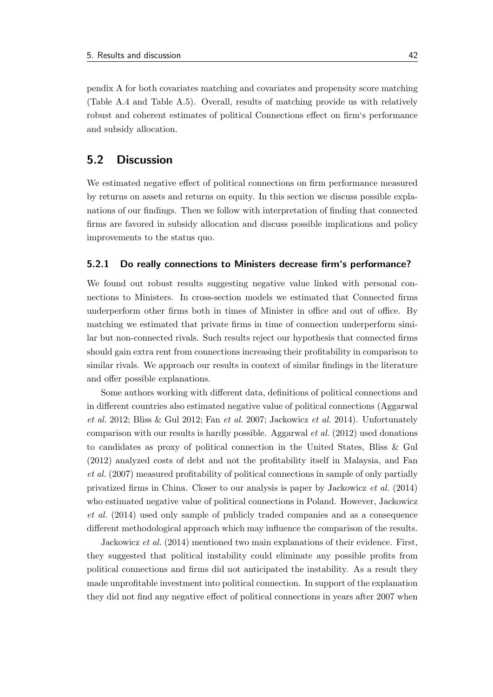[pendix A](#page-82-0) for both covariates matching and covariates and propensity score matching [\(Table A.4](#page-86-0) and [Table A.5\)](#page-86-1). Overall, results of matching provide us with relatively robust and coherent estimates of political Connections effect on firm's performance and subsidy allocation.

## <span id="page-61-0"></span>5.2 Discussion

We estimated negative effect of political connections on firm performance measured by returns on assets and returns on equity. In this section we discuss possible explanations of our findings. Then we follow with interpretation of finding that connected firms are favored in subsidy allocation and discuss possible implications and policy improvements to the status quo.

### 5.2.1 Do really connections to Ministers decrease firm's performance?

We found out robust results suggesting negative value linked with personal connections to Ministers. In cross-section models we estimated that Connected firms underperform other firms both in times of Minister in office and out of office. By matching we estimated that private firms in time of connection underperform similar but non-connected rivals. Such results reject our hypothesis that connected firms should gain extra rent from connections increasing their profitability in comparison to similar rivals. We approach our results in context of similar findings in the literature and offer possible explanations.

Some authors working with different data, definitions of political connections and in different countries also estimated negative value of political connections [\(Aggarwal](#page-72-3) [et al.](#page-72-3) [2012;](#page-72-3) [Bliss & Gul](#page-72-4) [2012;](#page-72-4) Fan [et al.](#page-74-2) [2007;](#page-74-2) [Jackowicz](#page-75-2) et al. [2014\)](#page-75-2). Unfortunately comparison with our results is hardly possible. [Aggarwal](#page-72-3) et al. [\(2012\)](#page-72-3) used donations to candidates as proxy of political connection in the United States, [Bliss & Gul](#page-72-4) [\(2012\)](#page-72-4) analyzed costs of debt and not the profitability itself in Malaysia, and [Fan](#page-74-2) [et al.](#page-74-2) [\(2007\)](#page-74-2) measured profitability of political connections in sample of only partially privatized firms in China. Closer to our analysis is paper by [Jackowicz](#page-75-2) et al. [\(2014\)](#page-75-2) who estimated negative value of political connections in Poland. However, [Jackowicz](#page-75-2) [et al.](#page-75-2) [\(2014\)](#page-75-2) used only sample of publicly traded companies and as a consequence different methodological approach which may influence the comparison of the results.

[Jackowicz](#page-75-2) et al. [\(2014\)](#page-75-2) mentioned two main explanations of their evidence. First, they suggested that political instability could eliminate any possible profits from political connections and firms did not anticipated the instability. As a result they made unprofitable investment into political connection. In support of the explanation they did not find any negative effect of political connections in years after 2007 when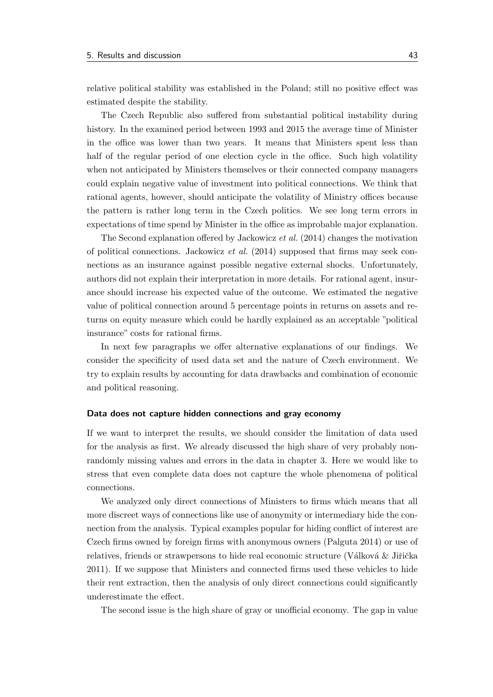relative political stability was established in the Poland; still no positive effect was estimated despite the stability.

The Czech Republic also suffered from substantial political instability during history. In the examined period between 1993 and 2015 the average time of Minister in the office was lower than two years. It means that Ministers spent less than half of the regular period of one election cycle in the office. Such high volatility when not anticipated by Ministers themselves or their connected company managers could explain negative value of investment into political connections. We think that rational agents, however, should anticipate the volatility of Ministry offices because the pattern is rather long term in the Czech politics. We see long term errors in expectations of time spend by Minister in the office as improbable major explanation.

The Second explanation offered by [Jackowicz](#page-75-2) et al. [\(2014\)](#page-75-2) changes the motivation of political connections. [Jackowicz](#page-75-2) et al.  $(2014)$  supposed that firms may seek connections as an insurance against possible negative external shocks. Unfortunately, authors did not explain their interpretation in more details. For rational agent, insurance should increase his expected value of the outcome. We estimated the negative value of political connection around 5 percentage points in returns on assets and returns on equity measure which could be hardly explained as an acceptable "political insurance" costs for rational firms.

In next few paragraphs we offer alternative explanations of our findings. We consider the specificity of used data set and the nature of Czech environment. We try to explain results by accounting for data drawbacks and combination of economic and political reasoning.

#### Data does not capture hidden connections and gray economy

If we want to interpret the results, we should consider the limitation of data used for the analysis as first. We already discussed the high share of very probably nonrandomly missing values and errors in the data in [chapter 3.](#page-32-0) Here we would like to stress that even complete data does not capture the whole phenomena of political connections.

We analyzed only direct connections of Ministers to firms which means that all more discreet ways of connections like use of anonymity or intermediary hide the connection from the analysis. Typical examples popular for hiding conflict of interest are Czech firms owned by foreign firms with anonymous owners [\(Palguta](#page-78-4) [2014\)](#page-78-4) or use of relatives, friends or strawpersons to hide real economic structure (Válková & Jiřička [2011\)](#page-79-2). If we suppose that Ministers and connected firms used these vehicles to hide their rent extraction, then the analysis of only direct connections could significantly underestimate the effect.

The second issue is the high share of gray or unofficial economy. The gap in value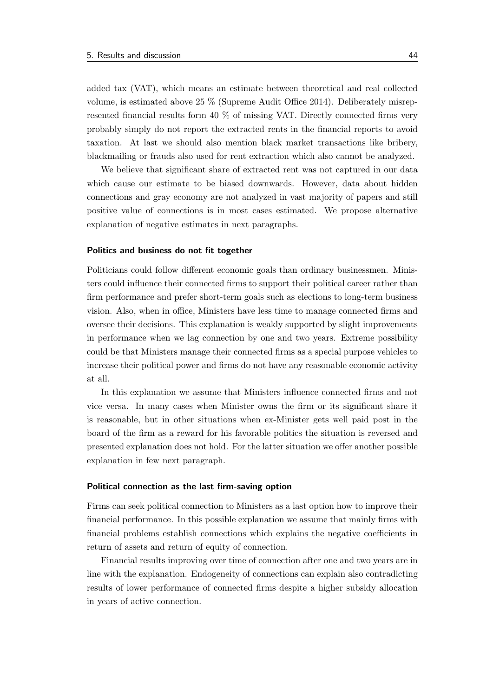added tax (VAT), which means an estimate between theoretical and real collected volume, is estimated above 25 % [\(Supreme Audit Office](#page-79-3) [2014\)](#page-79-3). Deliberately misrepresented financial results form 40 % of missing VAT. Directly connected firms very probably simply do not report the extracted rents in the financial reports to avoid taxation. At last we should also mention black market transactions like bribery, blackmailing or frauds also used for rent extraction which also cannot be analyzed.

We believe that significant share of extracted rent was not captured in our data which cause our estimate to be biased downwards. However, data about hidden connections and gray economy are not analyzed in vast majority of papers and still positive value of connections is in most cases estimated. We propose alternative explanation of negative estimates in next paragraphs.

#### Politics and business do not fit together

Politicians could follow different economic goals than ordinary businessmen. Ministers could influence their connected firms to support their political career rather than firm performance and prefer short-term goals such as elections to long-term business vision. Also, when in office, Ministers have less time to manage connected firms and oversee their decisions. This explanation is weakly supported by slight improvements in performance when we lag connection by one and two years. Extreme possibility could be that Ministers manage their connected firms as a special purpose vehicles to increase their political power and firms do not have any reasonable economic activity at all.

In this explanation we assume that Ministers influence connected firms and not vice versa. In many cases when Minister owns the firm or its significant share it is reasonable, but in other situations when ex-Minister gets well paid post in the board of the firm as a reward for his favorable politics the situation is reversed and presented explanation does not hold. For the latter situation we offer another possible explanation in few next paragraph.

#### Political connection as the last firm-saving option

Firms can seek political connection to Ministers as a last option how to improve their financial performance. In this possible explanation we assume that mainly firms with financial problems establish connections which explains the negative coefficients in return of assets and return of equity of connection.

Financial results improving over time of connection after one and two years are in line with the explanation. Endogeneity of connections can explain also contradicting results of lower performance of connected firms despite a higher subsidy allocation in years of active connection.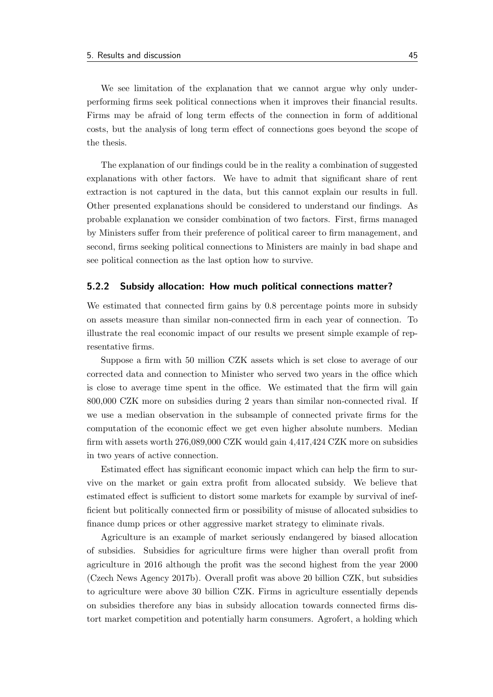We see limitation of the explanation that we cannot argue why only underperforming firms seek political connections when it improves their financial results. Firms may be afraid of long term effects of the connection in form of additional costs, but the analysis of long term effect of connections goes beyond the scope of the thesis.

The explanation of our findings could be in the reality a combination of suggested explanations with other factors. We have to admit that significant share of rent extraction is not captured in the data, but this cannot explain our results in full. Other presented explanations should be considered to understand our findings. As probable explanation we consider combination of two factors. First, firms managed by Ministers suffer from their preference of political career to firm management, and second, firms seeking political connections to Ministers are mainly in bad shape and see political connection as the last option how to survive.

### 5.2.2 Subsidy allocation: How much political connections matter?

We estimated that connected firm gains by 0.8 percentage points more in subsidy on assets measure than similar non-connected firm in each year of connection. To illustrate the real economic impact of our results we present simple example of representative firms.

Suppose a firm with 50 million CZK assets which is set close to average of our corrected data and connection to Minister who served two years in the office which is close to average time spent in the office. We estimated that the firm will gain 800,000 CZK more on subsidies during 2 years than similar non-connected rival. If we use a median observation in the subsample of connected private firms for the computation of the economic effect we get even higher absolute numbers. Median firm with assets worth 276,089,000 CZK would gain 4,417,424 CZK more on subsidies in two years of active connection.

Estimated effect has significant economic impact which can help the firm to survive on the market or gain extra profit from allocated subsidy. We believe that estimated effect is sufficient to distort some markets for example by survival of inefficient but politically connected firm or possibility of misuse of allocated subsidies to finance dump prices or other aggressive market strategy to eliminate rivals.

Agriculture is an example of market seriously endangered by biased allocation of subsidies. Subsidies for agriculture firms were higher than overall profit from agriculture in 2016 although the profit was the second highest from the year 2000 [\(Czech News Agency](#page-73-1) [2017b\)](#page-73-1). Overall profit was above 20 billion CZK, but subsidies to agriculture were above 30 billion CZK. Firms in agriculture essentially depends on subsidies therefore any bias in subsidy allocation towards connected firms distort market competition and potentially harm consumers. Agrofert, a holding which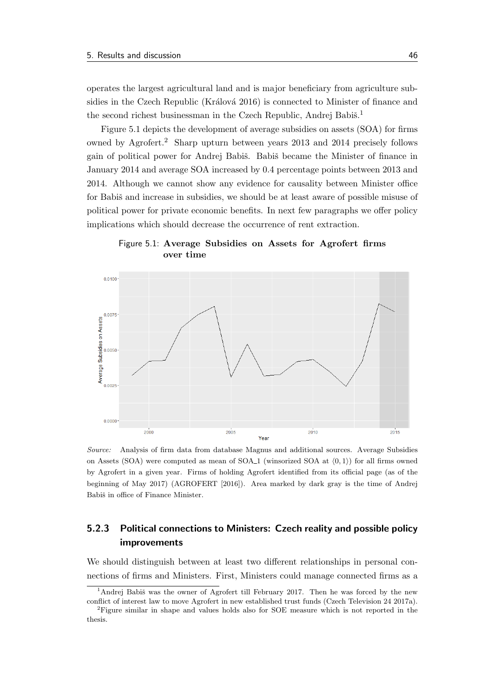operates the largest agricultural land and is major beneficiary from agriculture sub-sidies in the Czech Republic (Králová [2016\)](#page-76-2) is connected to Minister of finance and the second richest businessman in the Czech Republic, Andrej Babiš.<sup>[1](#page-65-0)</sup>

Figure [5.1](#page-65-1) depicts the development of average subsidies on assets (SOA) for firms owned by Agrofert.[2](#page-65-2) Sharp upturn between years 2013 and 2014 precisely follows gain of political power for Andrej Babiš. Babiš became the Minister of finance in January 2014 and average SOA increased by 0.4 percentage points between 2013 and 2014. Although we cannot show any evidence for causality between Minister office for Babiš and increase in subsidies, we should be at least aware of possible misuse of political power for private economic benefits. In next few paragraphs we offer policy implications which should decrease the occurrence of rent extraction.

<span id="page-65-1"></span>



Source: Analysis of firm data from database Magnus and additional sources. Average Subsidies on Assets (SOA) were computed as mean of SOA<sub>1</sub> (winsorized SOA at  $(0,1)$ ) for all firms owned by Agrofert in a given year. Firms of holding Agrofert identified from its official page (as of the beginning of May 2017) [\(AGROFERT](#page-72-5) [\[2016\]\)](#page-72-5). Area marked by dark gray is the time of Andrej Babiš in office of Finance Minister.

### 5.2.3 Political connections to Ministers: Czech reality and possible policy improvements

We should distinguish between at least two different relationships in personal connections of firms and Ministers. First, Ministers could manage connected firms as a

<span id="page-65-0"></span> $<sup>1</sup>$ Andrej Babiš was the owner of Agrofert till February 2017. Then he was forced by the new</sup> conflict of interest law to move Agrofert in new established trust funds [\(Czech Television 24](#page-74-3) [2017a\)](#page-74-3).

<span id="page-65-2"></span><sup>2</sup>Figure similar in shape and values holds also for SOE measure which is not reported in the thesis.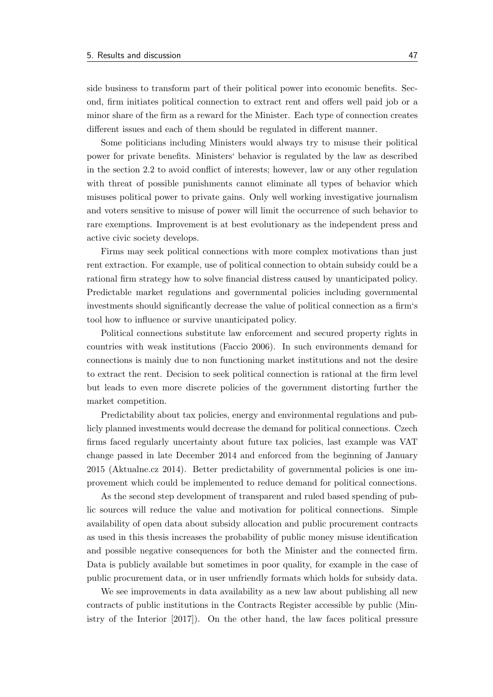side business to transform part of their political power into economic benefits. Second, firm initiates political connection to extract rent and offers well paid job or a minor share of the firm as a reward for the Minister. Each type of connection creates different issues and each of them should be regulated in different manner.

Some politicians including Ministers would always try to misuse their political power for private benefits. Ministers' behavior is regulated by the law as described in the [section 2.2](#page-25-0) to avoid conflict of interests; however, law or any other regulation with threat of possible punishments cannot eliminate all types of behavior which misuses political power to private gains. Only well working investigative journalism and voters sensitive to misuse of power will limit the occurrence of such behavior to rare exemptions. Improvement is at best evolutionary as the independent press and active civic society develops.

Firms may seek political connections with more complex motivations than just rent extraction. For example, use of political connection to obtain subsidy could be a rational firm strategy how to solve financial distress caused by unanticipated policy. Predictable market regulations and governmental policies including governmental investments should significantly decrease the value of political connection as a firm's tool how to influence or survive unanticipated policy.

Political connections substitute law enforcement and secured property rights in countries with weak institutions [\(Faccio](#page-74-4) [2006\)](#page-74-4). In such environments demand for connections is mainly due to non functioning market institutions and not the desire to extract the rent. Decision to seek political connection is rational at the firm level but leads to even more discrete policies of the government distorting further the market competition.

Predictability about tax policies, energy and environmental regulations and publicly planned investments would decrease the demand for political connections. Czech firms faced regularly uncertainty about future tax policies, last example was VAT change passed in late December 2014 and enforced from the beginning of January 2015 [\(Aktualne.cz](#page-72-6) [2014\)](#page-72-6). Better predictability of governmental policies is one improvement which could be implemented to reduce demand for political connections.

As the second step development of transparent and ruled based spending of public sources will reduce the value and motivation for political connections. Simple availability of open data about subsidy allocation and public procurement contracts as used in this thesis increases the probability of public money misuse identification and possible negative consequences for both the Minister and the connected firm. Data is publicly available but sometimes in poor quality, for example in the case of public procurement data, or in user unfriendly formats which holds for subsidy data.

We see improvements in data availability as a new law about publishing all new contracts of public institutions in the Contracts Register accessible by public [\(Min](#page-77-4)[istry of the Interior](#page-77-4) [\[2017\]\)](#page-77-4). On the other hand, the law faces political pressure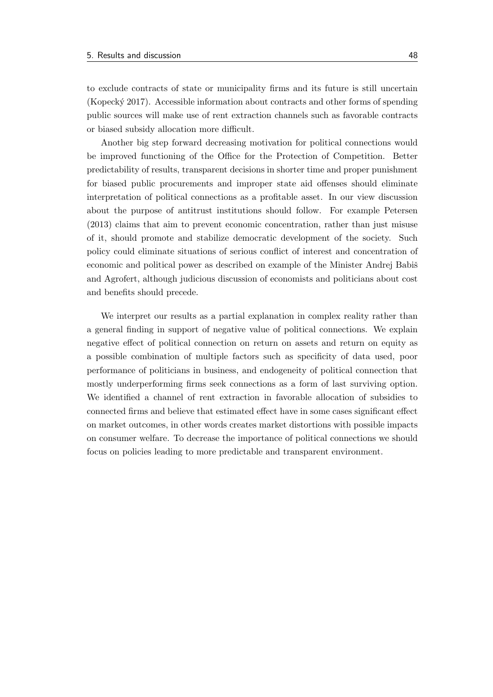to exclude contracts of state or municipality firms and its future is still uncertain [\(Kopeck´y](#page-76-3) [2017\)](#page-76-3). Accessible information about contracts and other forms of spending public sources will make use of rent extraction channels such as favorable contracts or biased subsidy allocation more difficult.

Another big step forward decreasing motivation for political connections would be improved functioning of the Office for the Protection of Competition. Better predictability of results, transparent decisions in shorter time and proper punishment for biased public procurements and improper state aid offenses should eliminate interpretation of political connections as a profitable asset. In our view discussion about the purpose of antitrust institutions should follow. For example [Petersen](#page-78-5) [\(2013\)](#page-78-5) claims that aim to prevent economic concentration, rather than just misuse of it, should promote and stabilize democratic development of the society. Such policy could eliminate situations of serious conflict of interest and concentration of economic and political power as described on example of the Minister Andrej Babis and Agrofert, although judicious discussion of economists and politicians about cost and benefits should precede.

We interpret our results as a partial explanation in complex reality rather than a general finding in support of negative value of political connections. We explain negative effect of political connection on return on assets and return on equity as a possible combination of multiple factors such as specificity of data used, poor performance of politicians in business, and endogeneity of political connection that mostly underperforming firms seek connections as a form of last surviving option. We identified a channel of rent extraction in favorable allocation of subsidies to connected firms and believe that estimated effect have in some cases significant effect on market outcomes, in other words creates market distortions with possible impacts on consumer welfare. To decrease the importance of political connections we should focus on policies leading to more predictable and transparent environment.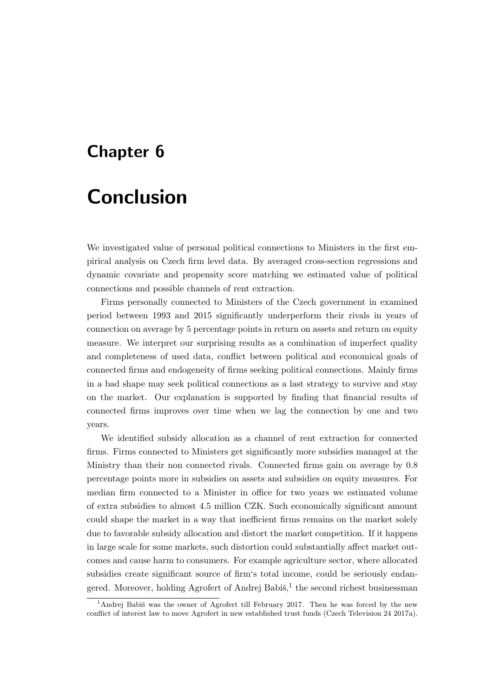# Chapter 6

# Conclusion

We investigated value of personal political connections to Ministers in the first empirical analysis on Czech firm level data. By averaged cross-section regressions and dynamic covariate and propensity score matching we estimated value of political connections and possible channels of rent extraction.

Firms personally connected to Ministers of the Czech government in examined period between 1993 and 2015 significantly underperform their rivals in years of connection on average by 5 percentage points in return on assets and return on equity measure. We interpret our surprising results as a combination of imperfect quality and completeness of used data, conflict between political and economical goals of connected firms and endogeneity of firms seeking political connections. Mainly firms in a bad shape may seek political connections as a last strategy to survive and stay on the market. Our explanation is supported by finding that financial results of connected firms improves over time when we lag the connection by one and two years.

We identified subsidy allocation as a channel of rent extraction for connected firms. Firms connected to Ministers get significantly more subsidies managed at the Ministry than their non connected rivals. Connected firms gain on average by 0.8 percentage points more in subsidies on assets and subsidies on equity measures. For median firm connected to a Minister in office for two years we estimated volume of extra subsidies to almost 4.5 million CZK. Such economically significant amount could shape the market in a way that inefficient firms remains on the market solely due to favorable subsidy allocation and distort the market competition. If it happens in large scale for some markets, such distortion could substantially affect market outcomes and cause harm to consumers. For example agriculture sector, where allocated subsidies create significant source of firm's total income, could be seriously endan-gered. Moreover, holding Agrofert of Andrej Babiš,<sup>[1](#page-68-0)</sup> the second richest businessman

<span id="page-68-0"></span> $<sup>1</sup>$ Andrej Babiš was the owner of Agrofert till February 2017. Then he was forced by the new</sup> conflict of interest law to move Agrofert in new established trust funds [\(Czech Television 24](#page-74-3) [2017a\)](#page-74-3).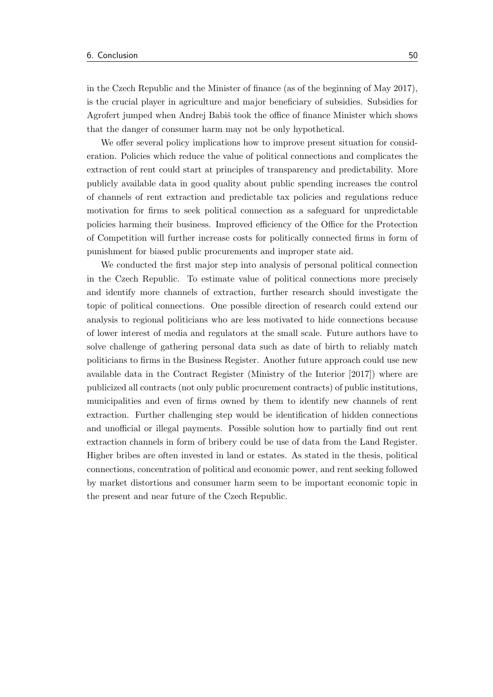in the Czech Republic and the Minister of finance (as of the beginning of May 2017), is the crucial player in agriculture and major beneficiary of subsidies. Subsidies for Agrofert jumped when Andrej Babiš took the office of finance Minister which shows that the danger of consumer harm may not be only hypothetical.

We offer several policy implications how to improve present situation for consideration. Policies which reduce the value of political connections and complicates the extraction of rent could start at principles of transparency and predictability. More publicly available data in good quality about public spending increases the control of channels of rent extraction and predictable tax policies and regulations reduce motivation for firms to seek political connection as a safeguard for unpredictable policies harming their business. Improved efficiency of the Office for the Protection of Competition will further increase costs for politically connected firms in form of punishment for biased public procurements and improper state aid.

We conducted the first major step into analysis of personal political connection in the Czech Republic. To estimate value of political connections more precisely and identify more channels of extraction, further research should investigate the topic of political connections. One possible direction of research could extend our analysis to regional politicians who are less motivated to hide connections because of lower interest of media and regulators at the small scale. Future authors have to solve challenge of gathering personal data such as date of birth to reliably match politicians to firms in the Business Register. Another future approach could use new available data in the Contract Register [\(Ministry of the Interior](#page-77-4) [\[2017\]\)](#page-77-4) where are publicized all contracts (not only public procurement contracts) of public institutions, municipalities and even of firms owned by them to identify new channels of rent extraction. Further challenging step would be identification of hidden connections and unofficial or illegal payments. Possible solution how to partially find out rent extraction channels in form of bribery could be use of data from the Land Register. Higher bribes are often invested in land or estates. As stated in the thesis, political connections, concentration of political and economic power, and rent seeking followed by market distortions and consumer harm seem to be important economic topic in the present and near future of the Czech Republic.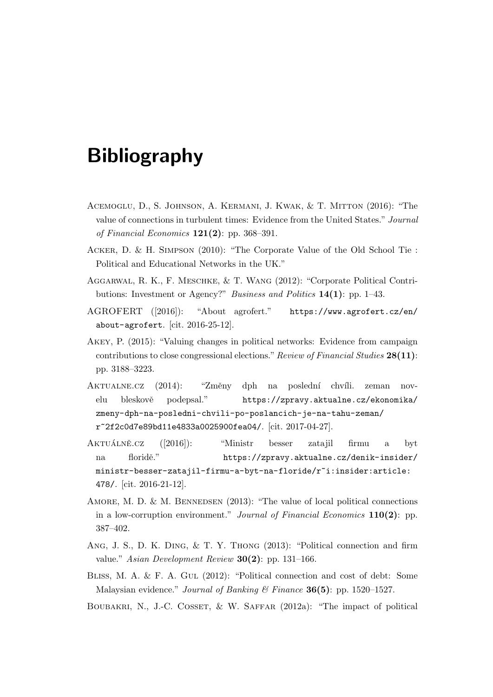## Bibliography

- Acemoglu, D., S. Johnson, A. Kermani, J. Kwak, & T. Mitton (2016): "The value of connections in turbulent times: Evidence from the United States." Journal of Financial Economics  $121(2)$ : pp. 368-391.
- Acker, D. & H. Simpson (2010): "The Corporate Value of the Old School Tie : Political and Educational Networks in the UK."
- Aggarwal, R. K., F. Meschke, & T. Wang (2012): "Corporate Political Contributions: Investment or Agency?" Business and Politics 14(1): pp. 1–43.
- AGROFERT ([2016]): "About agrofert." [https://www.agrofert.cz/en/](https://www.agrofert.cz/en/about-agrofert) [about-agrofert](https://www.agrofert.cz/en/about-agrofert). [cit. 2016-25-12].
- Akey, P. (2015): "Valuing changes in political networks: Evidence from campaign contributions to close congressional elections." Review of Financial Studies  $28(11)$ : pp. 3188–3223.
- AKTUALNE.CZ (2014): "Změny dph na poslední chvíli. zeman novelu bleskově podepsal." [https://zpravy.aktualne.cz/ekonomika/](https://zpravy.aktualne.cz/ekonomika/zmeny-dph-na-posledni-chvili-po-poslancich-je-na-tahu-zeman/r~2f2c0d7e89bd11e4833a0025900fea04/) [zmeny-dph-na-posledni-chvili-po-poslancich-je-na-tahu-zeman/](https://zpravy.aktualne.cz/ekonomika/zmeny-dph-na-posledni-chvili-po-poslancich-je-na-tahu-zeman/r~2f2c0d7e89bd11e4833a0025900fea04/) [r~2f2c0d7e89bd11e4833a0025900fea04/](https://zpravy.aktualne.cz/ekonomika/zmeny-dph-na-posledni-chvili-po-poslancich-je-na-tahu-zeman/r~2f2c0d7e89bd11e4833a0025900fea04/). [cit. 2017-04-27].
- AKTUÁLNĚ.CZ ([2016]): "Ministr besser zatajil firmu a byt na floridě." [https://zpravy.aktualne.cz/denik-insider/](https://zpravy.aktualne.cz/denik-insider/ministr-besser-zatajil-firmu-a-byt-na-floride/r~i:insider:article:478/) [ministr-besser-zatajil-firmu-a-byt-na-floride/r~i:insider:article:](https://zpravy.aktualne.cz/denik-insider/ministr-besser-zatajil-firmu-a-byt-na-floride/r~i:insider:article:478/) [478/](https://zpravy.aktualne.cz/denik-insider/ministr-besser-zatajil-firmu-a-byt-na-floride/r~i:insider:article:478/). [cit. 2016-21-12].
- AMORE, M. D. & M. BENNEDSEN  $(2013)$ : "The value of local political connections in a low-corruption environment." Journal of Financial Economics  $110(2)$ : pp. 387–402.
- Ang, J. S., D. K. Ding, & T. Y. Thong (2013): "Political connection and firm value." Asian Development Review 30(2): pp. 131–166.
- Bliss, M. A. & F. A. Gul (2012): "Political connection and cost of debt: Some Malaysian evidence." Journal of Banking & Finance  $36(5)$ : pp. 1520–1527.
- Boubakri, N., J.-C. Cosset, & W. Saffar (2012a): "The impact of political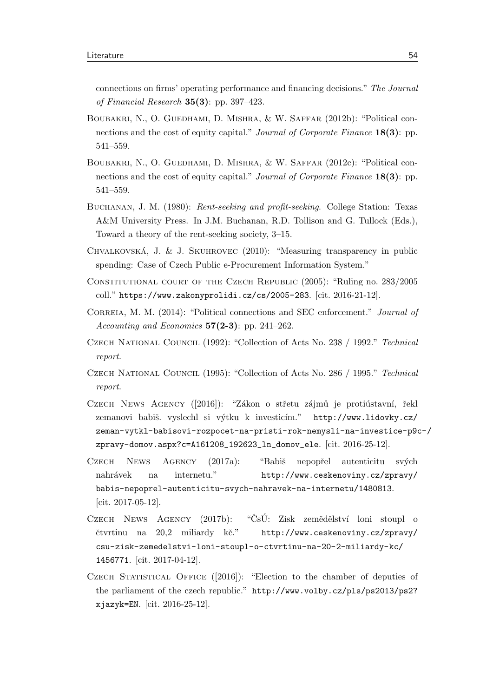connections on firms' operating performance and financing decisions." The Journal of Financial Research  $35(3)$ : pp. 397-423.

- BOUBAKRI, N., O. GUEDHAMI, D. MISHRA, & W. SAFFAR (2012b): "Political connections and the cost of equity capital." *Journal of Corporate Finance* 18(3): pp. 541–559.
- BOUBAKRI, N., O. GUEDHAMI, D. MISHRA, & W. SAFFAR (2012c): "Political connections and the cost of equity capital." *Journal of Corporate Finance* 18(3): pp. 541–559.
- Buchanan, J. M. (1980): Rent-seeking and profit-seeking. College Station: Texas A&M University Press. In J.M. Buchanan, R.D. Tollison and G. Tullock (Eds.), Toward a theory of the rent-seeking society, 3–15.
- Chvalkovska´, J. & J. Skuhrovec (2010): "Measuring transparency in public spending: Case of Czech Public e-Procurement Information System."
- Constitutional court of the Czech Republic (2005): "Ruling no. 283/2005 coll." <https://www.zakonyprolidi.cz/cs/2005-283>. [cit. 2016-21-12].
- CORREIA, M. M. (2014): "Political connections and SEC enforcement." Journal of Accounting and Economics  $57(2-3)$ : pp. 241-262.
- Czech National Council (1992): "Collection of Acts No. 238 / 1992." Technical report.
- Czech National Council (1995): "Collection of Acts No. 286 / 1995." Technical report.
- CZECH NEWS AGENCY ([2016]): "Zákon o střetu zájmů je protiústavní, řekl zemanovi babiš. vyslechl si výtku k investicím." [http://www.lidovky.cz/](http://www.lidovky.cz/zeman-vytkl-babisovi-rozpocet-na-pristi-rok-nemysli-na-investice-p9c-/zpravy-domov.aspx?c=A161208_192623_ln_domov_ele) [zeman-vytkl-babisovi-rozpocet-na-pristi-rok-nemysli-na-investice-p9c](http://www.lidovky.cz/zeman-vytkl-babisovi-rozpocet-na-pristi-rok-nemysli-na-investice-p9c-/zpravy-domov.aspx?c=A161208_192623_ln_domov_ele)-/ [zpravy-domov.aspx?c=A161208\\_192623\\_ln\\_domov\\_ele](http://www.lidovky.cz/zeman-vytkl-babisovi-rozpocet-na-pristi-rok-nemysli-na-investice-p9c-/zpravy-domov.aspx?c=A161208_192623_ln_domov_ele). [cit. 2016-25-12].
- CZECH NEWS AGENCY (2017a): "Babiš nepopřel autenticitu svých nahrávek na internetu." [http://www.ceskenoviny.cz/zpravy/](http://www.ceskenoviny.cz/zpravy/babis-nepoprel-autenticitu-svych-nahravek-na-internetu/1480813) [babis-nepoprel-autenticitu-svych-nahravek-na-internetu/1480813](http://www.ceskenoviny.cz/zpravy/babis-nepoprel-autenticitu-svych-nahravek-na-internetu/1480813). [cit. 2017-05-12].
- CZECH NEWS AGENCY (2017b): "ČsÚ: Zisk zemědělství loni stoupl o čtvrtinu na 20,2 miliardy kč." [http://www.ceskenoviny.cz/zpravy/](http://www.ceskenoviny.cz/zpravy/csu-zisk-zemedelstvi-loni-stoupl-o-ctvrtinu-na-20-2-miliardy-kc/1456771) [csu-zisk-zemedelstvi-loni-stoupl-o-ctvrtinu-na-20-2-miliardy-kc/](http://www.ceskenoviny.cz/zpravy/csu-zisk-zemedelstvi-loni-stoupl-o-ctvrtinu-na-20-2-miliardy-kc/1456771) [1456771](http://www.ceskenoviny.cz/zpravy/csu-zisk-zemedelstvi-loni-stoupl-o-ctvrtinu-na-20-2-miliardy-kc/1456771). [cit. 2017-04-12].
- CZECH STATISTICAL OFFICE ([2016]): "Election to the chamber of deputies of the parliament of the czech republic." [http://www.volby.cz/pls/ps2013/ps2?](http://www.volby.cz/pls/ps2013/ps2?xjazyk=EN) [xjazyk=EN](http://www.volby.cz/pls/ps2013/ps2?xjazyk=EN). [cit. 2016-25-12].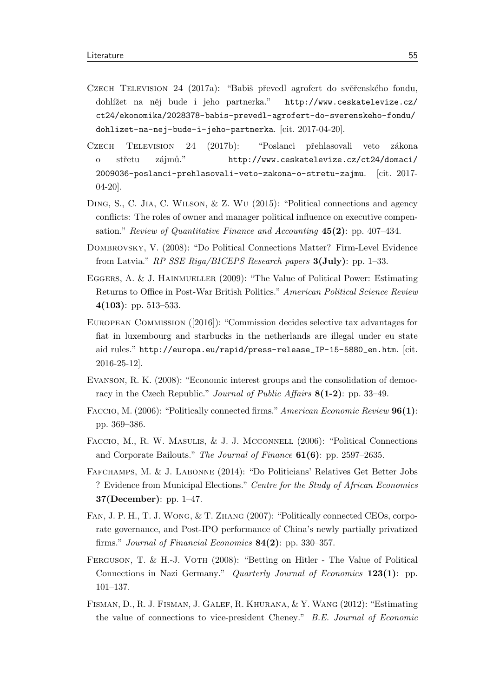- CZECH TELEVISION 24 (2017a): "Babiš převedl agrofert do svěřenského fondu, dohlížet na něj bude i jeho partnerka." [http://www.ceskatelevize.cz/](http://www.ceskatelevize.cz/ct24/ekonomika/2028378-babis-prevedl-agrofert-do-sverenskeho-fondu/dohlizet-na-nej-bude-i-jeho-partnerka) [ct24/ekonomika/2028378-babis-prevedl-agrofert-do-sverenskeho-fondu/](http://www.ceskatelevize.cz/ct24/ekonomika/2028378-babis-prevedl-agrofert-do-sverenskeho-fondu/dohlizet-na-nej-bude-i-jeho-partnerka) [dohlizet-na-nej-bude-i-jeho-partnerka](http://www.ceskatelevize.cz/ct24/ekonomika/2028378-babis-prevedl-agrofert-do-sverenskeho-fondu/dohlizet-na-nej-bude-i-jeho-partnerka). [cit. 2017-04-20].
- Czech Television 24 (2017b): "Poslanci přehlasovali veto zákona o střetu zájmů." [http://www.ceskatelevize.cz/ct24/domaci/](http://www.ceskatelevize.cz/ct24/domaci/2009036-poslanci-prehlasovali-veto-zakona-o-stretu-zajmu) [2009036-poslanci-prehlasovali-veto-zakona-o-stretu-zajmu](http://www.ceskatelevize.cz/ct24/domaci/2009036-poslanci-prehlasovali-veto-zakona-o-stretu-zajmu). [cit. 2017- 04-20].
- DING, S., C. JIA, C. WILSON, & Z. WU (2015): "Political connections and agency conflicts: The roles of owner and manager political influence on executive compensation." Review of Quantitative Finance and Accounting  $45(2)$ : pp. 407–434.
- Dombrovsky, V. (2008): "Do Political Connections Matter? Firm-Level Evidence from Latvia." RP SSE Riga/BICEPS Research papers 3(July): pp. 1–33.
- Eggers, A. & J. Hainmueller (2009): "The Value of Political Power: Estimating Returns to Office in Post-War British Politics." American Political Science Review 4(103): pp. 513–533.
- European Commission ([2016]): "Commission decides selective tax advantages for fiat in luxembourg and starbucks in the netherlands are illegal under eu state aid rules." [http://europa.eu/rapid/press-release\\_IP-15-5880\\_en.htm](http://europa.eu/rapid/press-release_IP-15-5880_en.htm). [cit. 2016-25-12].
- Evanson, R. K. (2008): "Economic interest groups and the consolidation of democracy in the Czech Republic." Journal of Public Affairs 8(1-2): pp. 33–49.
- FACCIO, M. (2006): "Politically connected firms." American Economic Review 96(1): pp. 369–386.
- FACCIO, M., R. W. MASULIS, & J. J. MCCONNELL (2006): "Political Connections and Corporate Bailouts." The Journal of Finance  $61(6)$ : pp. 2597–2635.
- Fafchamps, M. & J. Labonne (2014): "Do Politicians' Relatives Get Better Jobs ? Evidence from Municipal Elections." Centre for the Study of African Economics 37(December): pp. 1–47.
- Fan, J. P. H., T. J. Wong, & T. Zhang (2007): "Politically connected CEOs, corporate governance, and Post-IPO performance of China's newly partially privatized firms." Journal of Financial Economics  $84(2)$ : pp. 330–357.
- FERGUSON, T. & H.-J. VOTH (2008): "Betting on Hitler The Value of Political Connections in Nazi Germany." Quarterly Journal of Economics 123(1): pp. 101–137.
- Fisman, D., R. J. Fisman, J. Galef, R. Khurana, & Y. Wang (2012): "Estimating the value of connections to vice-president Cheney." B.E. Journal of Economic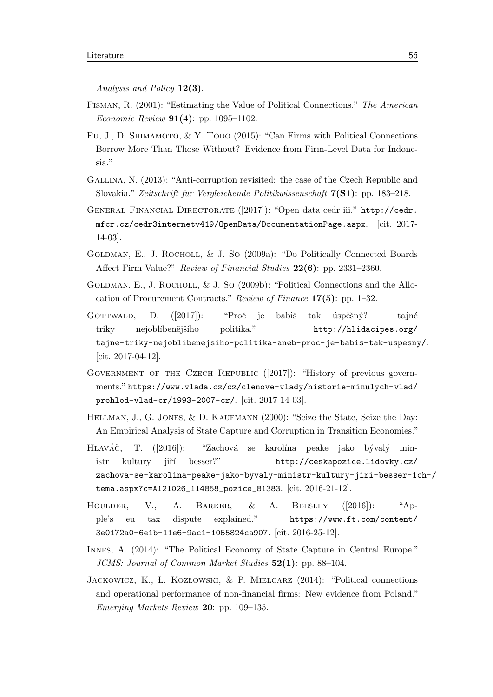Analysis and Policy 12(3).

- Fisman, R. (2001): "Estimating the Value of Political Connections." The American *Economic Review* 91(4): pp. 1095–1102.
- FU, J., D. SHIMAMOTO, & Y. TODO (2015): "Can Firms with Political Connections Borrow More Than Those Without? Evidence from Firm-Level Data for Indonesia."
- Gallina, N. (2013): "Anti-corruption revisited: the case of the Czech Republic and Slovakia." Zeitschrift für Vergleichende Politikwissenschaft  $7(S1)$ : pp. 183–218.
- General Financial Directorate ([2017]): "Open data cedr iii." [http://cedr.](http://cedr.mfcr.cz/cedr3internetv419/OpenData/DocumentationPage.aspx) [mfcr.cz/cedr3internetv419/OpenData/DocumentationPage.aspx](http://cedr.mfcr.cz/cedr3internetv419/OpenData/DocumentationPage.aspx). [cit. 2017- 14-03].
- GOLDMAN, E., J. ROCHOLL, & J. SO (2009a): "Do Politically Connected Boards Affect Firm Value?" Review of Financial Studies 22(6): pp. 2331–2360.
- GOLDMAN, E., J. ROCHOLL,  $&$  J. So (2009b): "Political Connections and the Allocation of Procurement Contracts." Review of Finance 17(5): pp. 1–32.
- GOTTWALD, D. ([2017]): "Proč je babiš tak úspěšný? tajné triky nejoblíbenějšího politika." [http://hlidacipes.org/](http://hlidacipes.org/tajne-triky-nejoblibenejsiho-politika-aneb-proc-je-babis-tak-uspesny/) [tajne-triky-nejoblibenejsiho-politika-aneb-proc-je-babis-tak-uspesny/](http://hlidacipes.org/tajne-triky-nejoblibenejsiho-politika-aneb-proc-je-babis-tak-uspesny/). [cit. 2017-04-12].
- GOVERNMENT OF THE CZECH REPUBLIC ([2017]): "History of previous governments." [https://www.vlada.cz/cz/clenove-vlady/historie-minulych-vlad/](https://www.vlada.cz/cz/clenove-vlady/historie-minulych-vlad/prehled-vlad-cr/1993-2007-cr/) [prehled-vlad-cr/1993-2007-cr/](https://www.vlada.cz/cz/clenove-vlady/historie-minulych-vlad/prehled-vlad-cr/1993-2007-cr/). [cit. 2017-14-03].
- Hellman, J., G. Jones, & D. Kaufmann (2000): "Seize the State, Seize the Day: An Empirical Analysis of State Capture and Corruption in Transition Economies."
- HLAVÁČ, T. ([2016]): "Zachová se karolína peake jako bývalý ministr kultury jiří besser?" [http://ceskapozice.lidovky.cz/](http://ceskapozice.lidovky.cz/zachova-se-karolina-peake-jako-byvaly-ministr-kultury-jiri-besser-1ch-/tema.aspx?c=A121026_114858_pozice_81383) [zachova-se-karolina-peake-jako-byvaly-ministr-kultury-jiri-besser-1c](http://ceskapozice.lidovky.cz/zachova-se-karolina-peake-jako-byvaly-ministr-kultury-jiri-besser-1ch-/tema.aspx?c=A121026_114858_pozice_81383)h-/ [tema.aspx?c=A121026\\_114858\\_pozice\\_81383](http://ceskapozice.lidovky.cz/zachova-se-karolina-peake-jako-byvaly-ministr-kultury-jiri-besser-1ch-/tema.aspx?c=A121026_114858_pozice_81383). [cit. 2016-21-12].
- HOULDER, V., A. BARKER, & A. BEESLEY ([2016]): "Apple's eu tax dispute explained." [https://www.ft.com/content/](https://www.ft.com/content/3e0172a0-6e1b-11e6-9ac1-1055824ca907) [3e0172a0-6e1b-11e6-9ac1-1055824ca907](https://www.ft.com/content/3e0172a0-6e1b-11e6-9ac1-1055824ca907). [cit. 2016-25-12].
- Innes, A. (2014): "The Political Economy of State Capture in Central Europe." JCMS: Journal of Common Market Studies  $52(1)$ : pp. 88-104.
- JACKOWICZ, K., L. KOZŁOWSKI, & P. MIELCARZ  $(2014)$ : "Political connections and operational performance of non-financial firms: New evidence from Poland." Emerging Markets Review 20: pp. 109–135.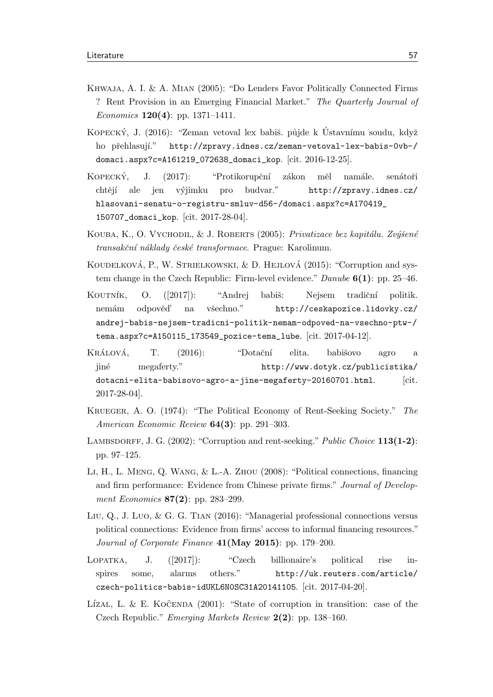- Khwaja, A. I. & A. Mian (2005): "Do Lenders Favor Politically Connected Firms ? Rent Provision in an Emerging Financial Market." The Quarterly Journal of Economics  $120(4)$ : pp. 1371–1411.
- KOPECKÝ, J.  $(2016)$ : "Zeman vetoval lex babiš. půjde k Ústavnímu soudu, když ho přehlasují." [http://zpravy.idnes.cz/zeman-vetoval-lex-babis-0vb-/](http://zpravy.idnes.cz/zeman-vetoval-lex-babis-0vb-/domaci.aspx?c=A161219_072638_domaci_kop) [domaci.aspx?c=A161219\\_072638\\_domaci\\_kop](http://zpravy.idnes.cz/zeman-vetoval-lex-babis-0vb-/domaci.aspx?c=A161219_072638_domaci_kop). [cit. 2016-12-25].
- KOPECKÝ, J. (2017): "Protikorupční zákon měl namále. senátoři chtějí ale jen výjimku pro budvar." [http://zpravy.idnes.cz/](http://zpravy.idnes.cz/hlasovani-senatu-o-registru-smluv-d56-/domaci.aspx?c=A170419_150707_domaci_kop) [hlasovani-senatu-o-registru-smluv-d56-/domaci.aspx?c=A170419\\_](http://zpravy.idnes.cz/hlasovani-senatu-o-registru-smluv-d56-/domaci.aspx?c=A170419_150707_domaci_kop) [150707\\_domaci\\_kop](http://zpravy.idnes.cz/hlasovani-senatu-o-registru-smluv-d56-/domaci.aspx?c=A170419_150707_domaci_kop). [cit. 2017-28-04].
- KOUBA, K., O. VYCHODIL, & J. ROBERTS  $(2005)$ : Privatizace bez kapitálu. Zvýšené transakční náklady české transformace. Prague: Karolinum.
- KOUDELKOVÁ, P., W. STRIELKOWSKI, & D. HEJLOVÁ (2015): "Corruption and system change in the Czech Republic: Firm-level evidence." Danube  $6(1)$ : pp. 25–46.
- KOUTNÍK, O. ([2017]): "Andrej babiš: Nejsem tradiční politik. nemám odpověď na všechno." [http://ceskapozice.lidovky.cz/](http://ceskapozice.lidovky.cz/andrej-babis-nejsem-tradicni-politik-nemam-odpoved-na-vsechno-ptw-/tema.aspx?c=A150115_173549_pozice-tema_lube) [andrej-babis-nejsem-tradicni-politik-nemam-odpoved-na-vsechno-ptw-/](http://ceskapozice.lidovky.cz/andrej-babis-nejsem-tradicni-politik-nemam-odpoved-na-vsechno-ptw-/tema.aspx?c=A150115_173549_pozice-tema_lube) [tema.aspx?c=A150115\\_173549\\_pozice-tema\\_lube](http://ceskapozice.lidovky.cz/andrej-babis-nejsem-tradicni-politik-nemam-odpoved-na-vsechno-ptw-/tema.aspx?c=A150115_173549_pozice-tema_lube). [cit. 2017-04-12].
- KRÁLOVÁ, T. (2016): "Dotační elita. babišovo agro a jiné megaferty." [http://www.dotyk.cz/publicistika/](http://www.dotyk.cz/publicistika/dotacni-elita-babisovo-agro-a-jine-megaferty-20160701.html) [dotacni-elita-babisovo-agro-a-jine-megaferty-20160701.html](http://www.dotyk.cz/publicistika/dotacni-elita-babisovo-agro-a-jine-megaferty-20160701.html). [cit. 2017-28-04].
- Krueger, A. O. (1974): "The Political Economy of Rent-Seeking Society." The American Economic Review 64(3): pp. 291–303.
- LAMBSDORFF, J. G.  $(2002)$ : "Corruption and rent-seeking." *Public Choice* 113(1-2): pp. 97–125.
- Li, H., L. Meng, Q. Wang, & L.-A. Zhou (2008): "Political connections, financing and firm performance: Evidence from Chinese private firms." Journal of Development Economics **87(2)**: pp. 283–299.
- Liu, Q., J. Luo, & G. G. Tian (2016): "Managerial professional connections versus political connections: Evidence from firms' access to informal financing resources." Journal of Corporate Finance  $41(May 2015)$ : pp. 179–200.
- LOPATKA, J.  $([2017])$ : "Czech billionaire's political rise inspires some, alarms others." [http://uk.reuters.com/article/](http://uk.reuters.com/article/czech-politics-babis-idUKL6N0SC31A20141105) [czech-politics-babis-idUKL6N0SC31A20141105](http://uk.reuters.com/article/czech-politics-babis-idUKL6N0SC31A20141105). [cit. 2017-04-20].
- LÍZAL, L. & E. KOČENDA  $(2001)$ : "State of corruption in transition: case of the Czech Republic." Emerging Markets Review 2(2): pp. 138–160.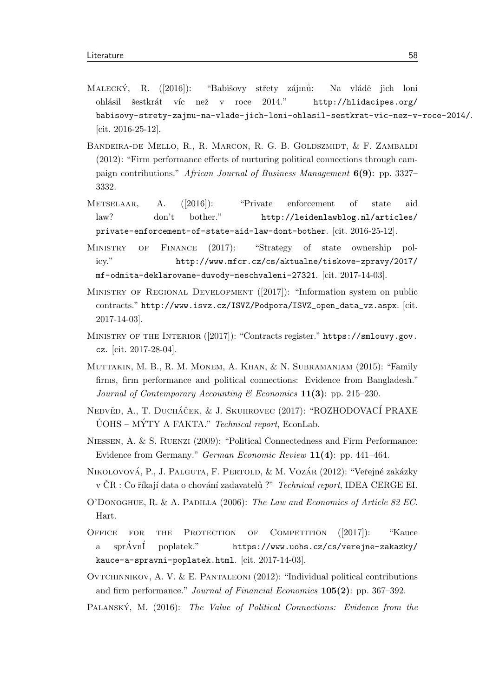- MALECKÝ, R. ([2016]): "Babišovy střety zájmů: Na vládě jich loni ohlásil šestkrát víc než v roce 2014." [http://hlidacipes.org/](http://hlidacipes.org/babisovy-strety-zajmu-na-vlade-jich-loni-ohlasil-sestkrat-vic-nez-v-roce-2014/) [babisovy-strety-zajmu-na-vlade-jich-loni-ohlasil-sestkrat-vic-nez-v-roce-2014/](http://hlidacipes.org/babisovy-strety-zajmu-na-vlade-jich-loni-ohlasil-sestkrat-vic-nez-v-roce-2014/). [cit.  $2016-25-12$ ].
- Bandeira-de Mello, R., R. Marcon, R. G. B. Goldszmidt, & F. Zambaldi (2012): "Firm performance effects of nurturing political connections through campaign contributions." African Journal of Business Management 6(9): pp. 3327– 3332.
- METSELAAR, A. ([2016]): "Private enforcement of state aid law? don't bother." [http://leidenlawblog.nl/articles/](http://leidenlawblog.nl/articles/private-enforcement-of-state-aid-law-dont-bother) [private-enforcement-of-state-aid-law-dont-bother](http://leidenlawblog.nl/articles/private-enforcement-of-state-aid-law-dont-bother). [cit. 2016-25-12].
- Ministry of Finance (2017): "Strategy of state ownership policy." [http://www.mfcr.cz/cs/aktualne/tiskove-zpravy/2017/](http://www.mfcr.cz/cs/aktualne/tiskove-zpravy/2017/mf-odmita-deklarovane-duvody-neschvaleni-27321) [mf-odmita-deklarovane-duvody-neschvaleni-27321](http://www.mfcr.cz/cs/aktualne/tiskove-zpravy/2017/mf-odmita-deklarovane-duvody-neschvaleni-27321). [cit. 2017-14-03].
- Ministry of Regional Development ([2017]): "Information system on public contracts." [http://www.isvz.cz/ISVZ/Podpora/ISVZ\\_open\\_data\\_vz.aspx](http://www.isvz.cz/ISVZ/Podpora/ISVZ_open_data_vz.aspx). [cit. 2017-14-03].
- Ministry of the Interior ([2017]): "Contracts register." [https://smlouvy.gov.](https://smlouvy.gov.cz) [cz](https://smlouvy.gov.cz). [cit. 2017-28-04].
- Muttakin, M. B., R. M. Monem, A. Khan, & N. Subramaniam (2015): "Family firms, firm performance and political connections: Evidence from Bangladesh." Journal of Contemporary Accounting  $\mathcal B$  Economics 11(3): pp. 215–230.
- NEDVĚD, A., T. DUCHÁČEK, & J. SKUHROVEC (2017): "ROZHODOVACÍ PRAXE  $\angle$ UOHS – MÝTY A FAKTA." *Technical report*, EconLab.
- Niessen, A. & S. Ruenzi (2009): "Political Connectedness and Firm Performance: Evidence from Germany." German Economic Review 11(4): pp. 441–464.
- NIKOLOVOVÁ, P., J. PALGUTA, F. PERTOLD, & M. VOZÁR (2012): "Veřejné zakázky v ČR : Co říkají data o chování zadavatelů?" *Technical report*, IDEA CERGE EI.
- O'Donoghue, R. & A. Padilla (2006): The Law and Economics of Article 82 EC. Hart.
- Office for the Protection of Competition ([2017]): "Kauce a sprÁvnÍ poplatek." [https://www.uohs.cz/cs/verejne-zakazky/](https://www.uohs.cz/cs/verejne-zakazky/kauce-a-spravni-poplatek.html) [kauce-a-spravni-poplatek.html](https://www.uohs.cz/cs/verejne-zakazky/kauce-a-spravni-poplatek.html). [cit. 2017-14-03].
- OVTCHINNIKOV, A. V. & E. PANTALEONI (2012): "Individual political contributions and firm performance." Journal of Financial Economics 105(2): pp. 367–392.
- PALANSKÝ, M. (2016): The Value of Political Connections: Evidence from the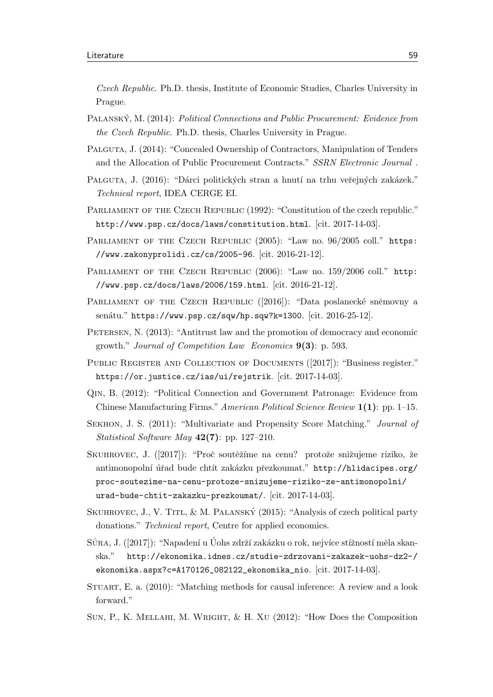Czech Republic. Ph.D. thesis, Institute of Economic Studies, Charles University in Prague.

- PALANSKÝ, M. (2014): Political Connections and Public Procurement: Evidence from the Czech Republic. Ph.D. thesis, Charles University in Prague.
- PALGUTA, J. (2014): "Concealed Ownership of Contractors, Manipulation of Tenders and the Allocation of Public Procurement Contracts." SSRN Electronic Journal .
- PALGUTA, J. (2016): "Dárci politických stran a hnutí na trhu veřejných zakázek." Technical report, IDEA CERGE EI.
- PARLIAMENT OF THE CZECH REPUBLIC (1992): "Constitution of the czech republic." <http://www.psp.cz/docs/laws/constitution.html>. [cit. 2017-14-03].
- PARLIAMENT OF THE CZECH REPUBLIC (2005): "Law no. 96/2005 coll." [https:](https://www.zakonyprolidi.cz/cs/2005-96) [//www.zakonyprolidi.cz/cs/2005-96](https://www.zakonyprolidi.cz/cs/2005-96). [cit. 2016-21-12].
- PARLIAMENT OF THE CZECH REPUBLIC (2006): "Law no. 159/2006 coll." [http:](http://www.psp.cz/docs/laws/2006/159.html) [//www.psp.cz/docs/laws/2006/159.html](http://www.psp.cz/docs/laws/2006/159.html). [cit. 2016-21-12].
- PARLIAMENT OF THE CZECH REPUBLIC ([2016]): "Data poslanecké sněmovny a senátu." <https://www.psp.cz/sqw/hp.sqw?k=1300>. [cit. 2016-25-12].
- PETERSEN, N. (2013): "Antitrust law and the promotion of democracy and economic growth." Journal of Competition Law Economics 9(3): p. 593.
- PUBLIC REGISTER AND COLLECTION OF DOCUMENTS ([2017]): "Business register." <https://or.justice.cz/ias/ui/rejstrik>. [cit. 2017-14-03].
- Qin, B. (2012): "Political Connection and Government Patronage: Evidence from Chinese Manufacturing Firms." American Political Science Review 1(1): pp. 1–15.
- Sekhon, J. S. (2011): "Multivariate and Propensity Score Matching." Journal of Statistical Software May  $42(7)$ : pp. 127–210.
- SKUHROVEC, J. ([2017]): "Proč soutěžíme na cenu? protože snižujeme riziko, že antimonopolní úřad bude chtít zakázku přezkoumat." [http://hlidacipes.org/](http://hlidacipes.org/proc-soutezime-na-cenu-protoze-snizujeme-riziko-ze-antimonopolni/urad-bude-chtit-zakazku-prezkoumat/) [proc-soutezime-na-cenu-protoze-snizujeme-riziko-ze-antimonopolni/](http://hlidacipes.org/proc-soutezime-na-cenu-protoze-snizujeme-riziko-ze-antimonopolni/urad-bude-chtit-zakazku-prezkoumat/) [urad-bude-chtit-zakazku-prezkoumat/](http://hlidacipes.org/proc-soutezime-na-cenu-protoze-snizujeme-riziko-ze-antimonopolni/urad-bude-chtit-zakazku-prezkoumat/). [cit. 2017-14-03].
- Skuhrovec, J., V. Titl, & M. Palansky´ (2015): "Analysis of czech political party donations." Technical report, Centre for applied economics.
- SŮRA, J. ([2017]): "Napadení u Úohs zdrží zakázku o rok, nejvíce stížností měla skanska." [http://ekonomika.idnes.cz/studie-zdrzovani-zakazek-uohs-dz2-/](http://ekonomika.idnes.cz/studie-zdrzovani-zakazek-uohs-dz2-/ekonomika.aspx?c=A170126_082122_ekonomika_nio) [ekonomika.aspx?c=A170126\\_082122\\_ekonomika\\_nio](http://ekonomika.idnes.cz/studie-zdrzovani-zakazek-uohs-dz2-/ekonomika.aspx?c=A170126_082122_ekonomika_nio). [cit. 2017-14-03].
- Stuart, E. a. (2010): "Matching methods for causal inference: A review and a look forward."
- Sun, P., K. Mellahi, M. Wright, & H. Xu (2012): "How Does the Composition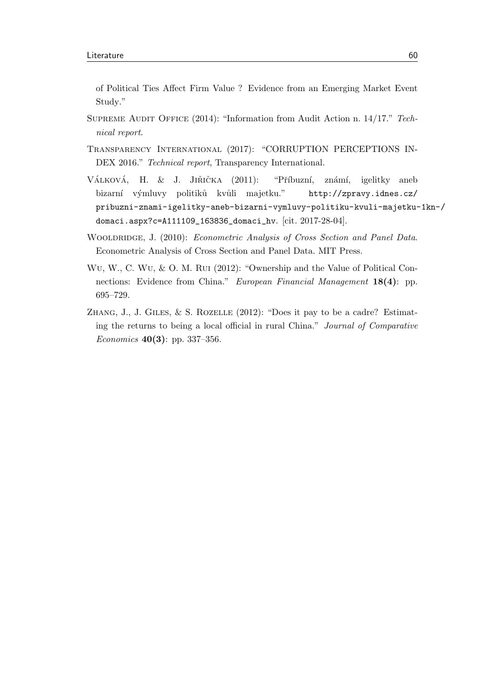of Political Ties Affect Firm Value ? Evidence from an Emerging Market Event Study."

- Supreme Audit Office (2014): "Information from Audit Action n. 14/17." Technical report.
- Transparency International (2017): "CORRUPTION PERCEPTIONS IN-DEX 2016." Technical report, Transparency International.
- VÁLKOVÁ, H. & J. JIŘIČKA  $(2011)$ : "Příbuzní, známí, igelitky aneb bizarní výmluvy politiků kvůli majetku." [http://zpravy.idnes.cz/](http://zpravy.idnes.cz/pribuzni-znami-igelitky-aneb-bizarni-vymluvy-politiku-kvuli-majetku-1kn-/domaci.aspx?c=A111109_163836_domaci_hv) [pribuzni-znami-igelitky-aneb-bizarni-vymluvy-politiku-kvuli-majetku-](http://zpravy.idnes.cz/pribuzni-znami-igelitky-aneb-bizarni-vymluvy-politiku-kvuli-majetku-1kn-/domaci.aspx?c=A111109_163836_domaci_hv)1kn-/ [domaci.aspx?c=A111109\\_163836\\_domaci\\_hv](http://zpravy.idnes.cz/pribuzni-znami-igelitky-aneb-bizarni-vymluvy-politiku-kvuli-majetku-1kn-/domaci.aspx?c=A111109_163836_domaci_hv). [cit. 2017-28-04].
- WOOLDRIDGE, J. (2010): Econometric Analysis of Cross Section and Panel Data. Econometric Analysis of Cross Section and Panel Data. MIT Press.
- Wu, W., C. Wu, & O. M. Rui (2012): "Ownership and the Value of Political Connections: Evidence from China." European Financial Management 18(4): pp. 695–729.
- ZHANG, J., J. GILES, & S. ROZELLE (2012): "Does it pay to be a cadre? Estimating the returns to being a local official in rural China." Journal of Comparative Economics 40(3): pp. 337–356.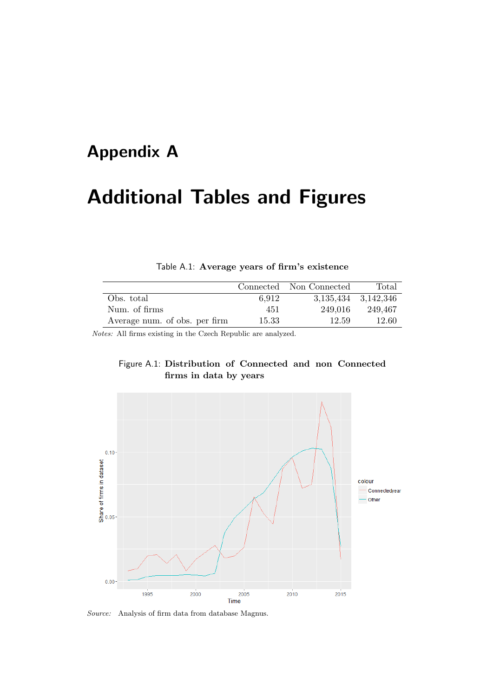## Appendix A

## Additional Tables and Figures

|                               |       | Connected Non Connected | Total   |
|-------------------------------|-------|-------------------------|---------|
| Obs. total                    | 6.912 | 3,135,434 3,142,346     |         |
| Num. of firms                 | 451   | 249.016                 | 249,467 |
| Average num. of obs. per firm | 15.33 | 12.59                   | 12.60   |

Table A.1: Average years of firm's existence

Notes: All firms existing in the Czech Republic are analyzed.





Source: Analysis of firm data from database Magnus.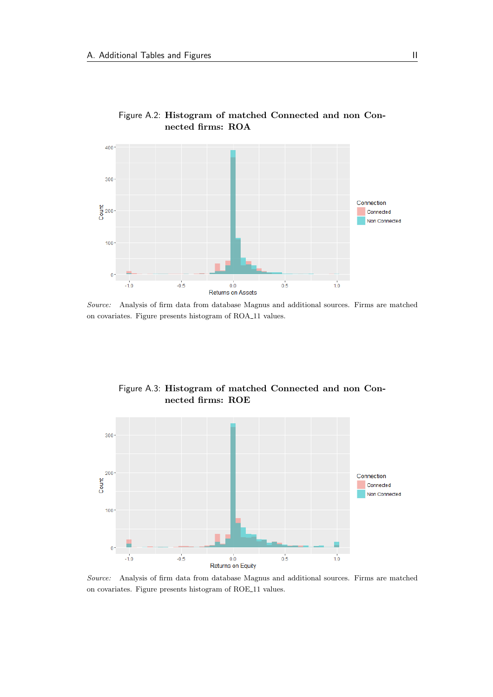

Figure A.2: Histogram of matched Connected and non Connected firms: ROA

Source: Analysis of firm data from database Magnus and additional sources. Firms are matched on covariates. Figure presents histogram of ROA\_11 values.



Figure A.3: Histogram of matched Connected and non Connected firms: ROE

Source: Analysis of firm data from database Magnus and additional sources. Firms are matched on covariates. Figure presents histogram of ROE\_11 values.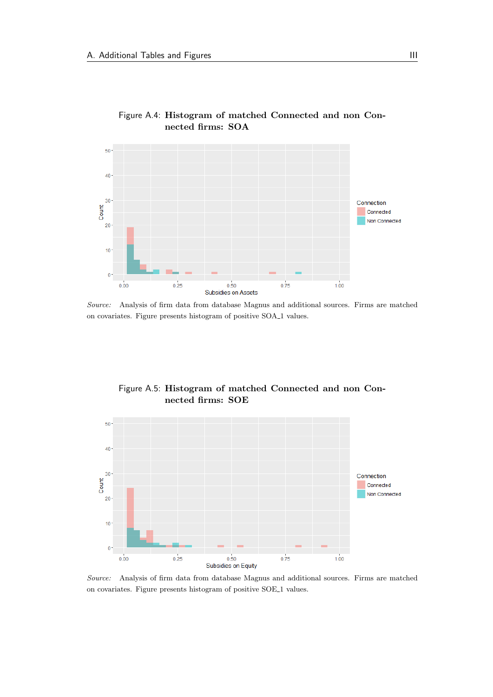

Figure A.4: Histogram of matched Connected and non Connected firms: SOA

Source: Analysis of firm data from database Magnus and additional sources. Firms are matched on covariates. Figure presents histogram of positive SOA<sub>-1</sub> values.



Figure A.5: Histogram of matched Connected and non Connected firms: SOE

Source: Analysis of firm data from database Magnus and additional sources. Firms are matched on covariates. Figure presents histogram of positive SOE 1 values.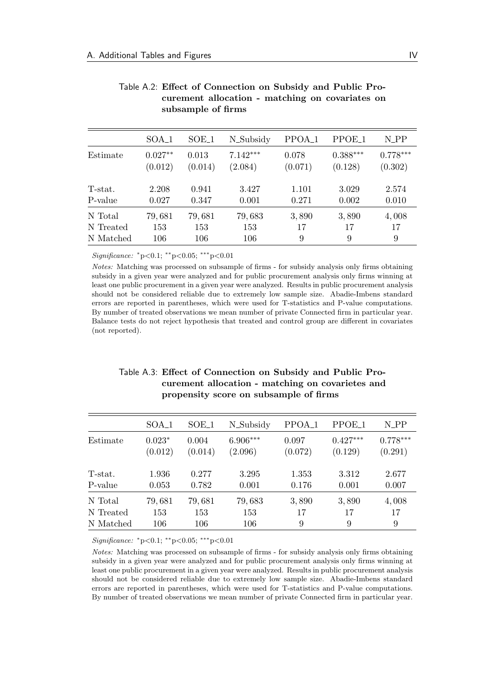|           | $SOA_{-1}$ | $SOE_1$ | N_Subsidy  | PPOA <sub>-1</sub> | PPOE <sub>-1</sub> | N_PP       |
|-----------|------------|---------|------------|--------------------|--------------------|------------|
| Estimate  | $0.027**$  | 0.013   | $7.142***$ | 0.078              | $0.388***$         | $0.778***$ |
|           | (0.012)    | (0.014) | (2.084)    | (0.071)            | (0.128)            | (0.302)    |
| T-stat.   | 2.208      | 0.941   | 3.427      | 1.101              | 3.029              | 2.574      |
| P-value   | 0.027      | 0.347   | 0.001      | 0.271              | 0.002              | 0.010      |
| N Total   | 79,681     | 79,681  | 79,683     | 3,890              | 3,890              | 4,008      |
| N Treated | 153        | 153     | 153        | 17                 | 17                 | 17         |
| N Matched | 106        | 106     | 106        | 9                  | 9                  | 9          |

Table A.2: Effect of Connection on Subsidy and Public Procurement allocation - matching on covariates on subsample of firms

Significance: <sup>∗</sup>p*<*0.1; ∗∗p*<*0.05; ∗∗∗p*<*0.01

Notes: Matching was processed on subsample of firms - for subsidy analysis only firms obtaining subsidy in a given year were analyzed and for public procurement analysis only firms winning at least one public procurement in a given year were analyzed. Results in public procurement analysis should not be considered reliable due to extremely low sample size. Abadie-Imbens standard errors are reported in parentheses, which were used for T-statistics and P-value computations. By number of treated observations we mean number of private Connected firm in particular year. Balance tests do not reject hypothesis that treated and control group are different in covariates (not reported).

| Table A.3: Effect of Connection on Subsidy and Public Pro- |
|------------------------------------------------------------|
| curement allocation - matching on covarietes and           |
| propensity score on subsample of firms                     |

|                    | SOA <sub>-1</sub>   | SOE_1            | N_Subsidy             | PPOA <sub>-1</sub> | PPOE <sub>1</sub>     | N_PP                  |
|--------------------|---------------------|------------------|-----------------------|--------------------|-----------------------|-----------------------|
| Estimate           | $0.023*$<br>(0.012) | 0.004<br>(0.014) | $6.906***$<br>(2.096) | 0.097<br>(0.072)   | $0.427***$<br>(0.129) | $0.778***$<br>(0.291) |
| T-stat.<br>P-value | 1.936<br>0.053      | 0.277<br>0.782   | 3.295<br>0.001        | 1.353<br>0.176     | 3.312<br>0.001        | 2.677<br>0.007        |
| N Total            | 79,681              | 79,681           | 79,683                | 3,890              | 3,890                 | 4,008                 |
| N Treated          | 153                 | 153              | 153                   | 17                 | 17                    | 17                    |
| N Matched          | 106                 | 106              | 106                   | 9                  | 9                     | 9                     |

Significance: <sup>∗</sup>p*<*0.1; ∗∗p*<*0.05; ∗∗∗p*<*0.01

Notes: Matching was processed on subsample of firms - for subsidy analysis only firms obtaining subsidy in a given year were analyzed and for public procurement analysis only firms winning at least one public procurement in a given year were analyzed. Results in public procurement analysis should not be considered reliable due to extremely low sample size. Abadie-Imbens standard errors are reported in parentheses, which were used for T-statistics and P-value computations. By number of treated observations we mean number of private Connected firm in particular year.